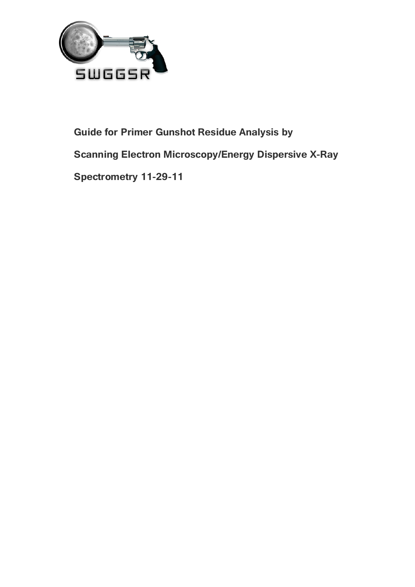

# **Guide for Primer Gunshot Residue Analysis by Scanning Electron Microscopy/Energy Dispersive X-Ray**

**Spectrometry 11-29-11**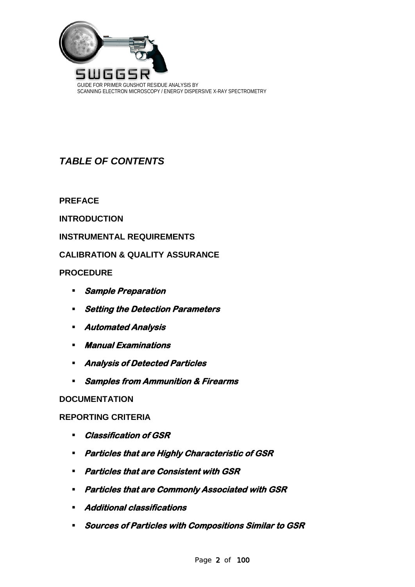

### *TABLE OF CONTENTS*

**PREFACE**

**INTRODUCTION**

**INSTRUMENTAL REQUIREMENTS**

**CALIBRATION & QUALITY ASSURANCE**

#### **PROCEDURE**

- **Sample Preparation**
- **Setting the Detection Parameters**
- **Automated Analysis**
- **Manual Examinations**
- **Analysis of Detected Particles**
- **Samples from Ammunition & Firearms**

#### **DOCUMENTATION**

#### **REPORTING CRITERIA**

- **Classification of GSR**
- **Particles that are Highly Characteristic of GSR**
- **Particles that are Consistent with GSR**
- **Particles that are Commonly Associated with GSR**
- **Additional classifications**
- **Sources of Particles with Compositions Similar to GSR**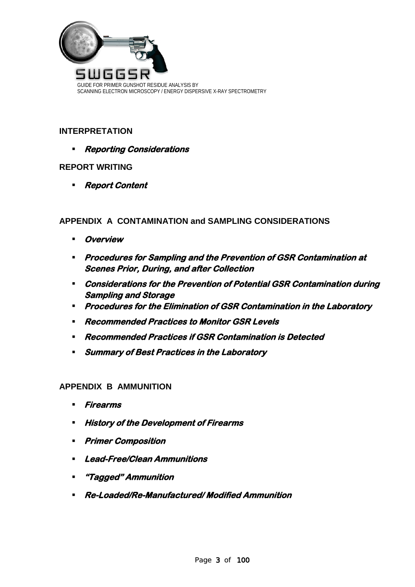

#### **INTERPRETATION**

**Reporting Considerations** 

#### **REPORT WRITING**

**Report Content** 

#### **APPENDIX A CONTAMINATION and SAMPLING CONSIDERATIONS**

- **Overview**
- **Procedures for Sampling and the Prevention of GSR Contamination at Scenes Prior, During, and after Collection**
- **Considerations for the Prevention of Potential GSR Contamination during Sampling and Storage**
- **Procedures for the Elimination of GSR Contamination in the Laboratory**
- **Recommended Practices to Monitor GSR Levels**
- **Recommended Practices if GSR Contamination is Detected**
- **Summary of Best Practices in the Laboratory**

#### **APPENDIX B AMMUNITION**

- **Firearms**
- **History of the Development of Firearms**
- **Primer Composition**
- **Lead-Free/Clean Ammunitions**
- **"Tagged" Ammunition**
- **Re-Loaded/Re-Manufactured/ Modified Ammunition**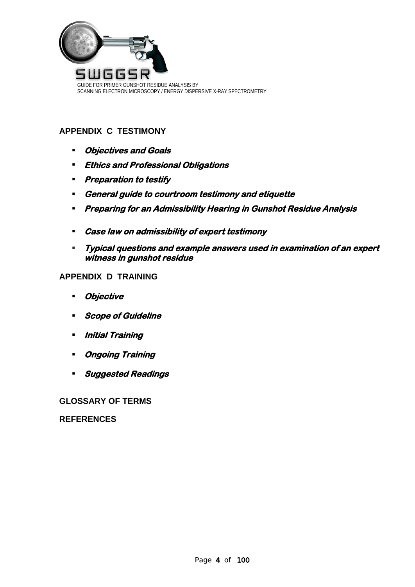

#### **APPENDIX C TESTIMONY**

- **Objectives and Goals**
- **Ethics and Professional Obligations**
- **Preparation to testify**
- **General guide to courtroom testimony and etiquette**
- **Preparing for an Admissibility Hearing in Gunshot Residue Analysis**
- **Case law on admissibility of expert testimony**
- **Typical questions and example answers used in examination of an expert witness in gunshot residue**

#### **APPENDIX D TRAINING**

- **Objective**
- **Scope of Guideline**
- **Initial Training**
- **Ongoing Training**
- **Suggested Readings**

**GLOSSARY OF TERMS**

**REFERENCES**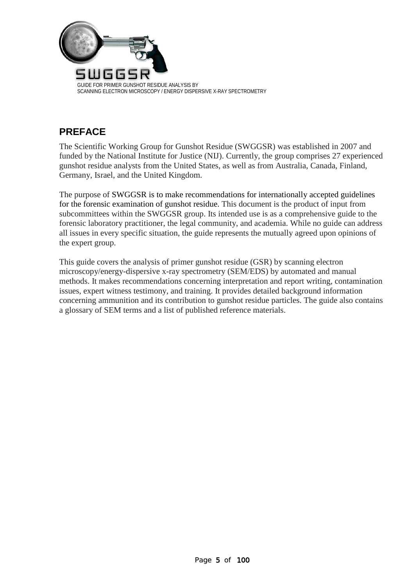

### **PREFACE**

The Scientific Working Group for Gunshot Residue (SWGGSR) was established in 2007 and funded by the National Institute for Justice (NIJ). Currently, the group comprises 27 experienced gunshot residue analysts from the United States, as well as from Australia, Canada, Finland, Germany, Israel, and the United Kingdom.

The purpose of SWGGSR is to make recommendations for internationally accepted guidelines for the forensic examination of gunshot residue. This document is the product of input from subcommittees within the SWGGSR group. Its intended use is as a comprehensive guide to the forensic laboratory practitioner, the legal community, and academia. While no guide can address all issues in every specific situation, the guide represents the mutually agreed upon opinions of the expert group.

This guide covers the analysis of primer gunshot residue (GSR) by scanning electron microscopy/energy-dispersive x-ray spectrometry (SEM/EDS) by automated and manual methods. It makes recommendations concerning interpretation and report writing, contamination issues, expert witness testimony, and training. It provides detailed background information concerning ammunition and its contribution to gunshot residue particles. The guide also contains a glossary of SEM terms and a list of published reference materials.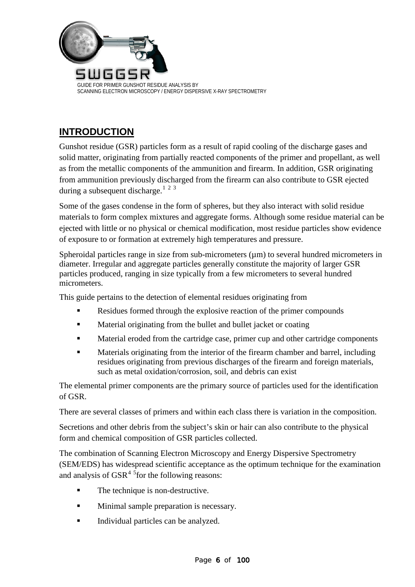

# **INTRODUCTION**

Gunshot residue (GSR) particles form as a result of rapid cooling of the discharge gases and solid matter, originating from partially reacted components of the primer and propellant, as well as from the metallic components of the ammunition and firearm. In addition, GSR originating from ammunition previously discharged from the firearm can also contribute to GSR ejected during a subsequent discharge.<sup>[1](#page-90-0)[2](#page-90-1)[3](#page-90-2)</sup>

Some of the gases condense in the form of spheres, but they also interact with solid residue materials to form complex mixtures and aggregate forms. Although some residue material can be ejected with little or no physical or chemical modification, most residue particles show evidence of exposure to or formation at extremely high temperatures and pressure.

Spheroidal particles range in size from sub-micrometers ( $\mu$ m) to several hundred micrometers in diameter. Irregular and aggregate particles generally constitute the majority of larger GSR particles produced, ranging in size typically from a few micrometers to several hundred micrometers.

This guide pertains to the detection of elemental residues originating from

- Residues formed through the explosive reaction of the primer compounds
- Material originating from the bullet and bullet jacket or coating
- Material eroded from the cartridge case, primer cup and other cartridge components
- Materials originating from the interior of the firearm chamber and barrel, including residues originating from previous discharges of the firearm and foreign materials, such as metal oxidation/corrosion, soil, and debris can exist

The elemental primer components are the primary source of particles used for the identification of GSR.

There are several classes of primers and within each class there is variation in the composition.

Secretions and other debris from the subject's skin or hair can also contribute to the physical form and chemical composition of GSR particles collected.

The combination of Scanning Electron Microscopy and Energy Dispersive Spectrometry (SEM/EDS) has widespread scientific acceptance as the optimum technique for the examination and analysis of  $GSR<sup>4-5</sup>$  $GSR<sup>4-5</sup>$  $GSR<sup>4-5</sup>$  $GSR<sup>4-5</sup>$  $GSR<sup>4-5</sup>$  for the following reasons:

- The technique is non-destructive.
- **Minimal sample preparation is necessary.**
- Individual particles can be analyzed.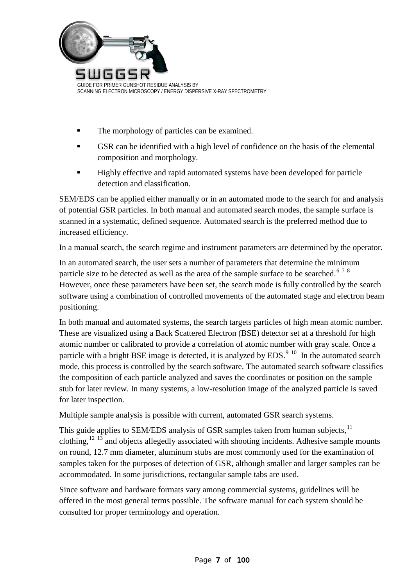

- The morphology of particles can be examined.
- GSR can be identified with a high level of confidence on the basis of the elemental composition and morphology.
- Highly effective and rapid automated systems have been developed for particle detection and classification.

SEM/EDS can be applied either manually or in an automated mode to the search for and analysis of potential GSR particles. In both manual and automated search modes, the sample surface is scanned in a systematic, defined sequence. Automated search is the preferred method due to increased efficiency.

In a manual search, the search regime and instrument parameters are determined by the operator.

In an automated search, the user sets a number of parameters that determine the minimum particle size to be detected as well as the area of the sample surface to be searched.<sup>[6](#page-91-0)[7](#page-91-1)[8](#page-91-2)</sup> However, once these parameters have been set, the search mode is fully controlled by the search software using a combination of controlled movements of the automated stage and electron beam positioning.

In both manual and automated systems, the search targets particles of high mean atomic number. These are visualized using a Back Scattered Electron (BSE) detector set at a threshold for high atomic number or calibrated to provide a correlation of atomic number with gray scale. Once a particle with a bright BSE image is detected, it is analyzed by  $EDS<sup>9 10</sup>$  $EDS<sup>9 10</sup>$  $EDS<sup>9 10</sup>$  $EDS<sup>9 10</sup>$  $EDS<sup>9 10</sup>$  In the automated search mode, this process is controlled by the search software. The automated search software classifies the composition of each particle analyzed and saves the coordinates or position on the sample stub for later review. In many systems, a low-resolution image of the analyzed particle is saved for later inspection.

Multiple sample analysis is possible with current, automated GSR search systems.

This guide applies to SEM/EDS analysis of GSR samples taken from human subjects,<sup>[11](#page-91-5)</sup> clothing,<sup>[12](#page-91-6) [13](#page-91-7)</sup> and objects allegedly associated with shooting incidents. Adhesive sample mounts on round, 12.7 mm diameter, aluminum stubs are most commonly used for the examination of samples taken for the purposes of detection of GSR, although smaller and larger samples can be accommodated. In some jurisdictions, rectangular sample tabs are used.

Since software and hardware formats vary among commercial systems, guidelines will be offered in the most general terms possible. The software manual for each system should be consulted for proper terminology and operation.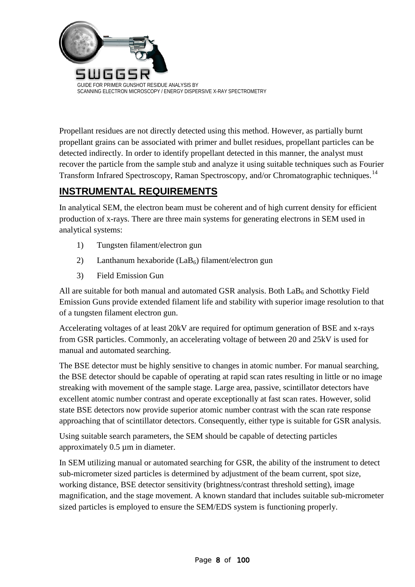

Propellant residues are not directly detected using this method. However, as partially burnt propellant grains can be associated with primer and bullet residues, propellant particles can be detected indirectly. In order to identify propellant detected in this manner, the analyst must recover the particle from the sample stub and analyze it using suitable techniques such as Fourier Transform Infrared Spectroscopy, Raman Spectroscopy, and/or Chromatographic techniques.<sup>[14](#page-92-0)</sup>

# **INSTRUMENTAL REQUIREMENTS**

In analytical SEM, the electron beam must be coherent and of high current density for efficient production of x-rays. There are three main systems for generating electrons in SEM used in analytical systems:

- 1) Tungsten filament/electron gun
- 2) [Lanthanum hexaboride](http://en.wikipedia.org/wiki/Lanthanum_hexaboride) (LaB $_6$ ) filament/electron gun
- 3) Field Emission Gun

All are suitable for both manual and automated GSR analysis. Both  $LaB<sub>6</sub>$  and Schottky Field Emission Guns provide extended filament life and stability with superior image resolution to that of a tungsten filament electron gun.

Accelerating voltages of at least 20kV are required for optimum generation of BSE and x-rays from GSR particles. Commonly, an accelerating voltage of between 20 and 25kV is used for manual and automated searching.

The BSE detector must be highly sensitive to changes in atomic number. For manual searching, the BSE detector should be capable of operating at rapid scan rates resulting in little or no image streaking with movement of the sample stage. Large area, passive, scintillator detectors have excellent atomic number contrast and operate exceptionally at fast scan rates. However, solid state BSE detectors now provide superior atomic number contrast with the scan rate response approaching that of scintillator detectors. Consequently, either type is suitable for GSR analysis.

Using suitable search parameters, the SEM should be capable of detecting particles approximately 0.5 µm in diameter.

In SEM utilizing manual or automated searching for GSR, the ability of the instrument to detect sub-micrometer sized particles is determined by adjustment of the beam current, spot size, working distance, BSE detector sensitivity (brightness/contrast threshold setting), image magnification, and the stage movement. A known standard that includes suitable sub-micrometer sized particles is employed to ensure the SEM/EDS system is functioning properly.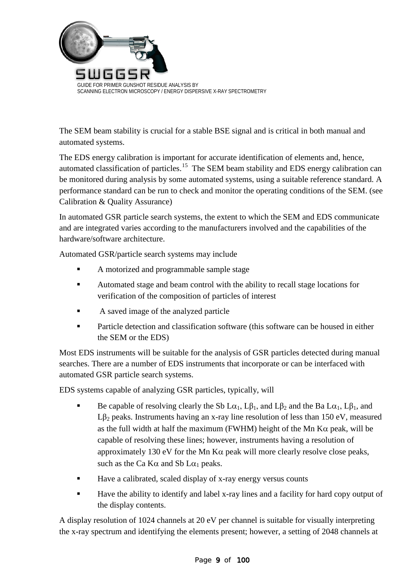

The SEM beam stability is crucial for a stable BSE signal and is critical in both manual and automated systems.

The EDS energy calibration is important for accurate identification of elements and, hence, automated classification of particles.<sup>15</sup> The SEM beam stability and EDS energy calibration can be monitored during analysis by some automated systems, using a suitable reference standard. A performance standard can be run to check and monitor the operating conditions of the SEM. (see Calibration & Quality Assurance)

In automated GSR particle search systems, the extent to which the SEM and EDS communicate and are integrated varies according to the manufacturers involved and the capabilities of the hardware/software architecture.

Automated GSR/particle search systems may include

- A motorized and programmable sample stage
- Automated stage and beam control with the ability to recall stage locations for verification of the composition of particles of interest
- A saved image of the analyzed particle
- Particle detection and classification software (this software can be housed in either the SEM or the EDS)

Most EDS instruments will be suitable for the analysis of GSR particles detected during manual searches. There are a number of EDS instruments that incorporate or can be interfaced with automated GSR particle search systems.

EDS systems capable of analyzing GSR particles, typically, will

- Be capable of resolving clearly the Sb L $\alpha_1$ , L $\beta_1$ , and L $\beta_2$  and the Ba L $\alpha_1$ , L $\beta_1$ , and Lβ<sub>2</sub> peaks. Instruments having an x-ray line resolution of less than 150 eV, measured as the full width at half the maximum (FWHM) height of the Mn  $K\alpha$  peak, will be capable of resolving these lines; however, instruments having a resolution of approximately 130 eV for the Mn  $K\alpha$  peak will more clearly resolve close peaks, such as the Ca K $\alpha$  and Sb L $\alpha_1$  peaks.
- Have a calibrated, scaled display of x-ray energy versus counts
- Have the ability to identify and label x-ray lines and a facility for hard copy output of the display contents.

A display resolution of 1024 channels at 20 eV per channel is suitable for visually interpreting the x-ray spectrum and identifying the elements present; however, a setting of 2048 channels at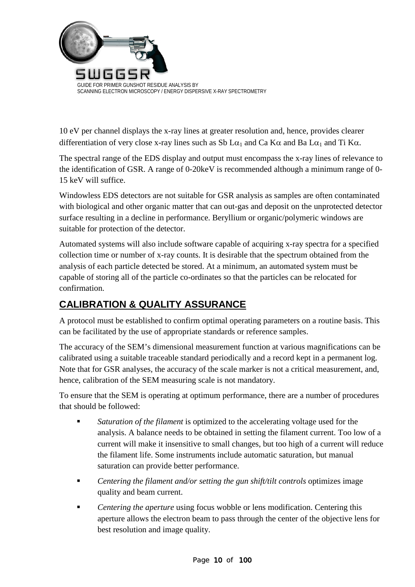

10 eV per channel displays the x-ray lines at greater resolution and, hence, provides clearer differentiation of very close x-ray lines such as Sb  $La_1$  and Ca K $\alpha$  and Ba  $La_1$  and Ti K $\alpha$ .

The spectral range of the EDS display and output must encompass the x-ray lines of relevance to the identification of GSR. A range of 0-20keV is recommended although a minimum range of 0- 15 keV will suffice.

Windowless EDS detectors are not suitable for GSR analysis as samples are often contaminated with biological and other organic matter that can out-gas and deposit on the unprotected detector surface resulting in a decline in performance. Beryllium or organic/polymeric windows are suitable for protection of the detector.

Automated systems will also include software capable of acquiring x-ray spectra for a specified collection time or number of x-ray counts. It is desirable that the spectrum obtained from the analysis of each particle detected be stored. At a minimum, an automated system must be capable of storing all of the particle co-ordinates so that the particles can be relocated for confirmation.

# **CALIBRATION & QUALITY ASSURANCE**

A protocol must be established to confirm optimal operating parameters on a routine basis. This can be facilitated by the use of appropriate standards or reference samples.

The accuracy of the SEM's dimensional measurement function at various magnifications can be calibrated using a suitable traceable standard periodically and a record kept in a permanent log. Note that for GSR analyses, the accuracy of the scale marker is not a critical measurement, and, hence, calibration of the SEM measuring scale is not mandatory.

To ensure that the SEM is operating at optimum performance, there are a number of procedures that should be followed:

- *Saturation of the filament* is optimized to the accelerating voltage used for the analysis. A balance needs to be obtained in setting the filament current. Too low of a current will make it insensitive to small changes, but too high of a current will reduce the filament life. Some instruments include automatic saturation, but manual saturation can provide better performance.
- *Centering the filament and/or setting the gun shift/tilt controls* optimizes image quality and beam current.
- *Centering the aperture* using focus wobble or lens modification. Centering this aperture allows the electron beam to pass through the center of the objective lens for best resolution and image quality.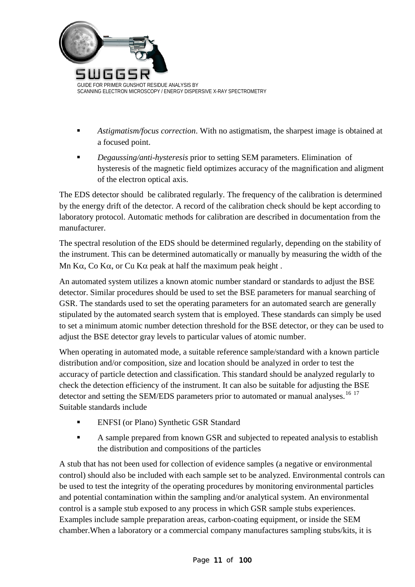

- *Astigmatism/focus correction*. With no astigmatism, the sharpest image is obtained at a focused point.
- *Degaussing/anti-hysteresis* prior to setting SEM parameters. Elimination of hysteresis of the magnetic field optimizes accuracy of the magnification and aligment of the electron optical axis.

The EDS detector should be calibrated regularly. The frequency of the calibration is determined by the energy drift of the detector. A record of the calibration check should be kept according to laboratory protocol. Automatic methods for calibration are described in documentation from the manufacturer.

The spectral resolution of the EDS should be determined regularly, depending on the stability of the instrument. This can be determined automatically or manually by measuring the width of the Mn K $\alpha$ , Co K $\alpha$ , or Cu K $\alpha$  peak at half the maximum peak height.

An automated system utilizes a known atomic number standard or standards to adjust the BSE detector. Similar procedures should be used to set the BSE parameters for manual searching of GSR. The standards used to set the operating parameters for an automated search are generally stipulated by the automated search system that is employed. These standards can simply be used to set a minimum atomic number detection threshold for the BSE detector, or they can be used to adjust the BSE detector gray levels to particular values of atomic number.

When operating in automated mode, a suitable reference sample/standard with a known particle distribution and/or composition, size and location should be analyzed in order to test the accuracy of particle detection and classification. This standard should be analyzed regularly to check the detection efficiency of the instrument. It can also be suitable for adjusting the BSE detector and setting the SEM/EDS parameters prior to automated or manual analyses.<sup>[16](#page-93-1) [17](#page-93-2)</sup> Suitable standards include

- ENFSI (or Plano) Synthetic GSR Standard
- A sample prepared from known GSR and subjected to repeated analysis to establish the distribution and compositions of the particles

A stub that has not been used for collection of evidence samples (a negative or environmental control) should also be included with each sample set to be analyzed. Environmental controls can be used to test the integrity of the operating procedures by monitoring environmental particles and potential contamination within the sampling and/or analytical system. An environmental control is a sample stub exposed to any process in which GSR sample stubs experiences. Examples include sample preparation areas, carbon-coating equipment, or inside the SEM chamber.When a laboratory or a commercial company manufactures sampling stubs/kits, it is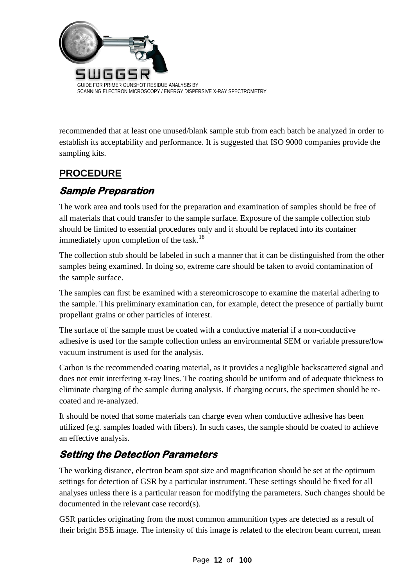

recommended that at least one unused/blank sample stub from each batch be analyzed in order to establish its acceptability and performance. It is suggested that ISO 9000 companies provide the sampling kits.

# **PROCEDURE**

### **Sample Preparation**

The work area and tools used for the preparation and examination of samples should be free of all materials that could transfer to the sample surface. Exposure of the sample collection stub should be limited to essential procedures only and it should be replaced into its container immediately upon completion of the task.<sup>[18](#page-94-0)</sup>

The collection stub should be labeled in such a manner that it can be distinguished from the other samples being examined. In doing so, extreme care should be taken to avoid contamination of the sample surface.

The samples can first be examined with a stereomicroscope to examine the material adhering to the sample. This preliminary examination can, for example, detect the presence of partially burnt propellant grains or other particles of interest.

The surface of the sample must be coated with a conductive material if a non-conductive adhesive is used for the sample collection unless an environmental SEM or variable pressure/low vacuum instrument is used for the analysis.

Carbon is the recommended coating material, as it provides a negligible backscattered signal and does not emit interfering x-ray lines. The coating should be uniform and of adequate thickness to eliminate charging of the sample during analysis. If charging occurs, the specimen should be recoated and re-analyzed.

It should be noted that some materials can charge even when conductive adhesive has been utilized (e.g. samples loaded with fibers). In such cases, the sample should be coated to achieve an effective analysis.

# **Setting the Detection Parameters**

The working distance, electron beam spot size and magnification should be set at the optimum settings for detection of GSR by a particular instrument. These settings should be fixed for all analyses unless there is a particular reason for modifying the parameters. Such changes should be documented in the relevant case record(s).

GSR particles originating from the most common ammunition types are detected as a result of their bright BSE image. The intensity of this image is related to the electron beam current, mean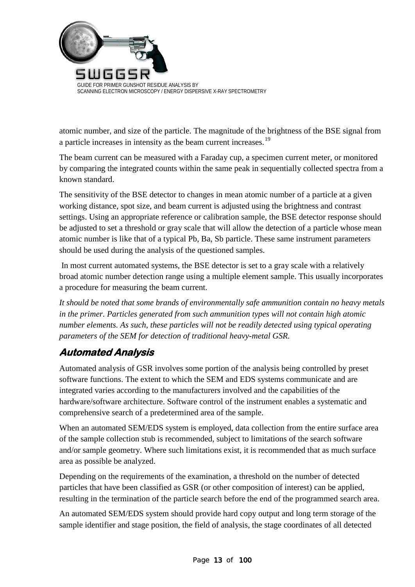

atomic number, and size of the particle. The magnitude of the brightness of the BSE signal from a particle increases in intensity as the beam current increases.<sup>[19](#page-95-0)</sup>

The beam current can be measured with a Faraday cup, a specimen current meter, or monitored by comparing the integrated counts within the same peak in sequentially collected spectra from a known standard.

The sensitivity of the BSE detector to changes in mean atomic number of a particle at a given working distance, spot size, and beam current is adjusted using the brightness and contrast settings. Using an appropriate reference or calibration sample, the BSE detector response should be adjusted to set a threshold or gray scale that will allow the detection of a particle whose mean atomic number is like that of a typical Pb, Ba, Sb particle. These same instrument parameters should be used during the analysis of the questioned samples.

In most current automated systems, the BSE detector is set to a gray scale with a relatively broad atomic number detection range using a multiple element sample. This usually incorporates a procedure for measuring the beam current.

*It should be noted that some brands of environmentally safe ammunition contain no heavy metals in the primer. Particles generated from such ammunition types will not contain high atomic number elements. As such, these particles will not be readily detected using typical operating parameters of the SEM for detection of traditional heavy-metal GSR.*

# **Automated Analysis**

Automated analysis of GSR involves some portion of the analysis being controlled by preset software functions. The extent to which the SEM and EDS systems communicate and are integrated varies according to the manufacturers involved and the capabilities of the hardware/software architecture. Software control of the instrument enables a systematic and comprehensive search of a predetermined area of the sample.

When an automated SEM/EDS system is employed, data collection from the entire surface area of the sample collection stub is recommended, subject to limitations of the search software and/or sample geometry. Where such limitations exist, it is recommended that as much surface area as possible be analyzed.

Depending on the requirements of the examination, a threshold on the number of detected particles that have been classified as GSR (or other composition of interest) can be applied, resulting in the termination of the particle search before the end of the programmed search area.

An automated SEM/EDS system should provide hard copy output and long term storage of the sample identifier and stage position, the field of analysis, the stage coordinates of all detected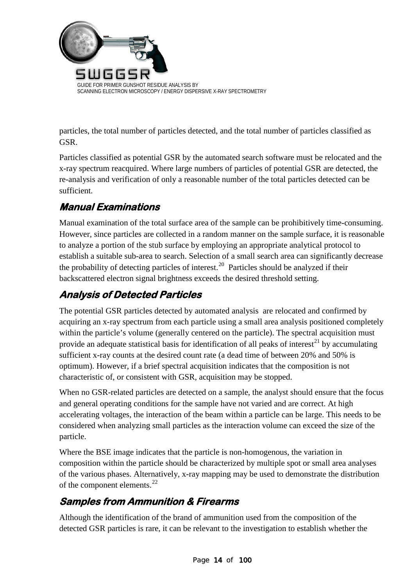

particles, the total number of particles detected, and the total number of particles classified as GSR.

Particles classified as potential GSR by the automated search software must be relocated and the x-ray spectrum reacquired. Where large numbers of particles of potential GSR are detected, the re-analysis and verification of only a reasonable number of the total particles detected can be sufficient.

# **Manual Examinations**

Manual examination of the total surface area of the sample can be prohibitively time-consuming. However, since particles are collected in a random manner on the sample surface, it is reasonable to analyze a portion of the stub surface by employing an appropriate analytical protocol to establish a suitable sub-area to search. Selection of a small search area can significantly decrease the probability of detecting particles of interest.<sup>[20](#page-95-1)</sup> Particles should be analyzed if their backscattered electron signal brightness exceeds the desired threshold setting.

# **Analysis of Detected Particles**

The potential GSR particles detected by automated analysis are relocated and confirmed by acquiring an x-ray spectrum from each particle using a small area analysis positioned completely within the particle's volume (generally centered on the particle). The spectral acquisition must provide an adequate statistical basis for identification of all peaks of interest<sup>[21](#page-95-2)</sup> by accumulating sufficient x-ray counts at the desired count rate (a dead time of between 20% and 50% is optimum). However, if a brief spectral acquisition indicates that the composition is not characteristic of, or consistent with GSR, acquisition may be stopped.

When no GSR-related particles are detected on a sample, the analyst should ensure that the focus and general operating conditions for the sample have not varied and are correct. At high accelerating voltages, the interaction of the beam within a particle can be large. This needs to be considered when analyzing small particles as the interaction volume can exceed the size of the particle.

Where the BSE image indicates that the particle is non-homogenous, the variation in composition within the particle should be characterized by multiple spot or small area analyses of the various phases. Alternatively, x-ray mapping may be used to demonstrate the distribution of the component elements. $^{22}$  $^{22}$  $^{22}$ 

# **Samples from Ammunition & Firearms**

Although the identification of the brand of ammunition used from the composition of the detected GSR particles is rare, it can be relevant to the investigation to establish whether the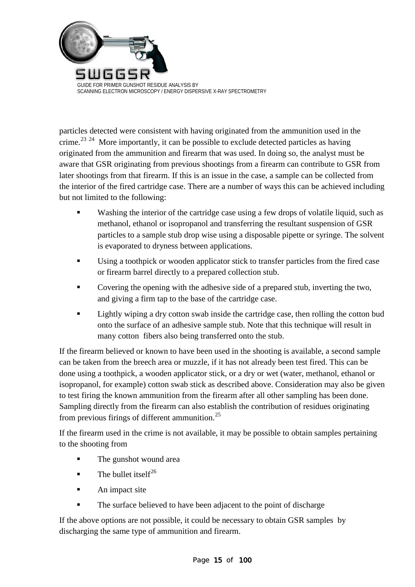

particles detected were consistent with having originated from the ammunition used in the crime.<sup>[23](#page-96-0) 24</sup> More importantly, it can be possible to exclude detected particles as having originated from the ammunition and firearm that was used. In doing so, the analyst must be aware that GSR originating from previous shootings from a firearm can contribute to GSR from later shootings from that firearm. If this is an issue in the case, a sample can be collected from the interior of the fired cartridge case. There are a number of ways this can be achieved including but not limited to the following:

- Washing the interior of the cartridge case using a few drops of volatile liquid, such as methanol, ethanol or isopropanol and transferring the resultant suspension of GSR particles to a sample stub drop wise using a disposable pipette or syringe. The solvent is evaporated to dryness between applications.
- Using a toothpick or wooden applicator stick to transfer particles from the fired case or firearm barrel directly to a prepared collection stub.
- Covering the opening with the adhesive side of a prepared stub, inverting the two, and giving a firm tap to the base of the cartridge case.
- **Example 1** Lightly wiping a dry cotton swab inside the cartridge case, then rolling the cotton bud onto the surface of an adhesive sample stub. Note that this technique will result in many cotton fibers also being transferred onto the stub.

If the firearm believed or known to have been used in the shooting is available, a second sample can be taken from the breech area or muzzle, if it has not already been test fired. This can be done using a toothpick, a wooden applicator stick, or a dry or wet (water, methanol, ethanol or isopropanol, for example) cotton swab stick as described above. Consideration may also be given to test firing the known ammunition from the firearm after all other sampling has been done. Sampling directly from the firearm can also establish the contribution of residues originating from previous firings of different ammunition.<sup>[25](#page-96-2)</sup>

If the firearm used in the crime is not available, it may be possible to obtain samples pertaining to the shooting from

- **The gunshot wound area**
- $\blacksquare$  The bullet itself<sup>[26](#page-96-3)</sup>
- An impact site
- The surface believed to have been adjacent to the point of discharge

If the above options are not possible, it could be necessary to obtain GSR samples by discharging the same type of ammunition and firearm.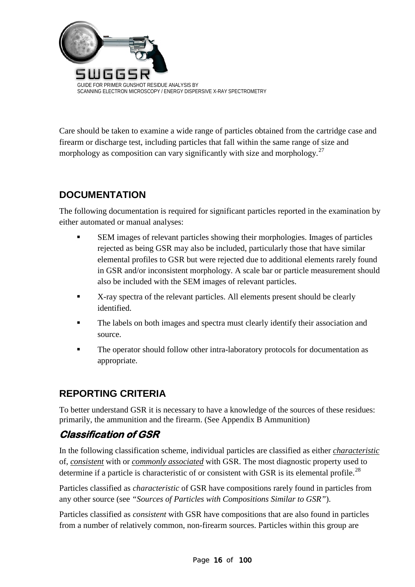

Care should be taken to examine a wide range of particles obtained from the cartridge case and firearm or discharge test, including particles that fall within the same range of size and morphology as composition can vary significantly with size and morphology.<sup>[27](#page-97-0)</sup>

### **DOCUMENTATION**

The following documentation is required for significant particles reported in the examination by either automated or manual analyses:

- SEM images of relevant particles showing their morphologies. Images of particles rejected as being GSR may also be included, particularly those that have similar elemental profiles to GSR but were rejected due to additional elements rarely found in GSR and/or inconsistent morphology. A scale bar or particle measurement should also be included with the SEM images of relevant particles.
- X-ray spectra of the relevant particles. All elements present should be clearly identified.
- The labels on both images and spectra must clearly identify their association and source.
- The operator should follow other intra-laboratory protocols for documentation as appropriate.

# **REPORTING CRITERIA**

To better understand GSR it is necessary to have a knowledge of the sources of these residues: primarily, the ammunition and the firearm. (See Appendix B Ammunition)

# **Classification of GSR**

In the following classification scheme, individual particles are classified as either *characteristic* of, *consistent* with or *commonly associated* with GSR. The most diagnostic property used to determine if a particle is characteristic of or consistent with GSR is its elemental profile.<sup>[28](#page-97-1)</sup>

Particles classified as *characteristic* of GSR have compositions rarely found in particles from any other source (see *"Sources of Particles with Compositions Similar to GSR"*).

Particles classified as *consistent* with GSR have compositions that are also found in particles from a number of relatively common, non-firearm sources. Particles within this group are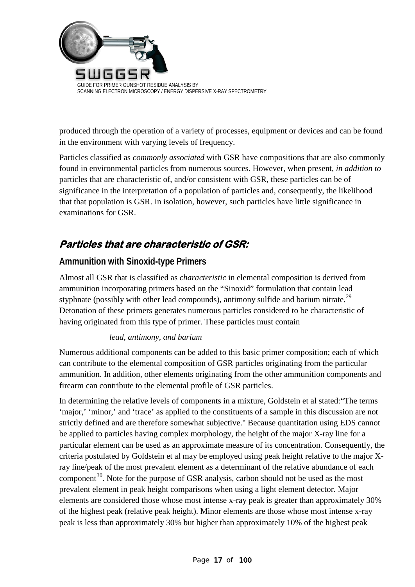

produced through the operation of a variety of processes, equipment or devices and can be found in the environment with varying levels of frequency.

Particles classified as *commonly associated* with GSR have compositions that are also commonly found in environmental particles from numerous sources. However, when present, *in addition to* particles that are characteristic of, and/or consistent with GSR, these particles can be of significance in the interpretation of a population of particles and, consequently, the likelihood that that population is GSR. In isolation, however, such particles have little significance in examinations for GSR.

# **Particles that are characteristic of GSR:**

### **Ammunition with Sinoxid-type Primers**

Almost all GSR that is classified as *characteristic* in elemental composition is derived from ammunition incorporating primers based on the "Sinoxid" formulation that contain lead styphnate (possibly with other lead compounds), antimony sulfide and barium nitrate.<sup>29</sup> Detonation of these primers generates numerous particles considered to be characteristic of having originated from this type of primer. These particles must contain

#### *lead, antimony, and barium*

Numerous additional components can be added to this basic primer composition; each of which can contribute to the elemental composition of GSR particles originating from the particular ammunition. In addition, other elements originating from the other ammunition components and firearm can contribute to the elemental profile of GSR particles.

In determining the relative levels of components in a mixture, Goldstein et al stated:"The terms 'major,' 'minor,' and 'trace' as applied to the constituents of a sample in this discussion are not strictly defined and are therefore somewhat subjective." Because quantitation using EDS cannot be applied to particles having complex morphology, the height of the major X-ray line for a particular element can be used as an approximate measure of its concentration. Consequently, the criteria postulated by Goldstein et al may be employed using peak height relative to the major Xray line/peak of the most prevalent element as a determinant of the relative abundance of each component<sup>[30](#page-98-1)</sup>. Note for the purpose of GSR analysis, carbon should not be used as the most prevalent element in peak height comparisons when using a light element detector. Major elements are considered those whose most intense x-ray peak is greater than approximately 30% of the highest peak (relative peak height). Minor elements are those whose most intense x-ray peak is less than approximately 30% but higher than approximately 10% of the highest peak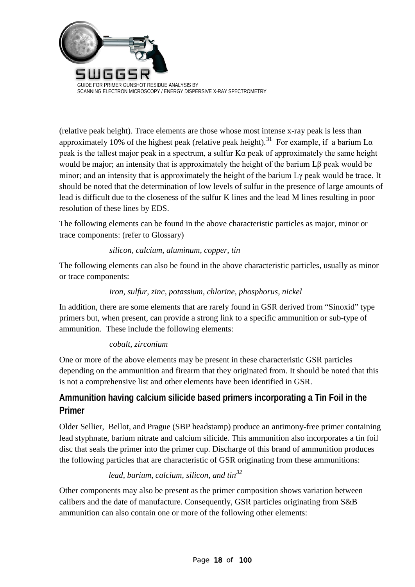

(relative peak height). Trace elements are those whose most intense x-ray peak is less than approximately 10% of the highest peak (relative peak height).<sup>31</sup> For example, if a barium L $\alpha$ peak is the tallest major peak in a spectrum, a sulfur Kα peak of approximately the same height would be major; an intensity that is approximately the height of the barium Lβ peak would be minor; and an intensity that is approximately the height of the barium Lγ peak would be trace. It should be noted that the determination of low levels of sulfur in the presence of large amounts of lead is difficult due to the closeness of the sulfur K lines and the lead M lines resulting in poor resolution of these lines by EDS.

The following elements can be found in the above characteristic particles as major, minor or trace components: (refer to Glossary)

#### *silicon, calcium, aluminum, copper, tin*

The following elements can also be found in the above characteristic particles, usually as minor or trace components:

#### *iron, sulfur, zinc, potassium, chlorine, phosphorus, nickel*

In addition, there are some elements that are rarely found in GSR derived from "Sinoxid" type primers but, when present, can provide a strong link to a specific ammunition or sub-type of ammunition. These include the following elements:

#### *cobalt, zirconium*

One or more of the above elements may be present in these characteristic GSR particles depending on the ammunition and firearm that they originated from. It should be noted that this is not a comprehensive list and other elements have been identified in GSR.

### **Ammunition having calcium silicide based primers incorporating a Tin Foil in the Primer**

Older Sellier, Bellot, and Prague (SBP headstamp) produce an antimony-free primer containing lead styphnate, barium nitrate and calcium silicide. This ammunition also incorporates a tin foil disc that seals the primer into the primer cup. Discharge of this brand of ammunition produces the following particles that are characteristic of GSR originating from these ammunitions:

#### *lead, barium, calcium, silicon, and tin[32](#page-99-1)*

Other components may also be present as the primer composition shows variation between calibers and the date of manufacture. Consequently, GSR particles originating from S&B ammunition can also contain one or more of the following other elements: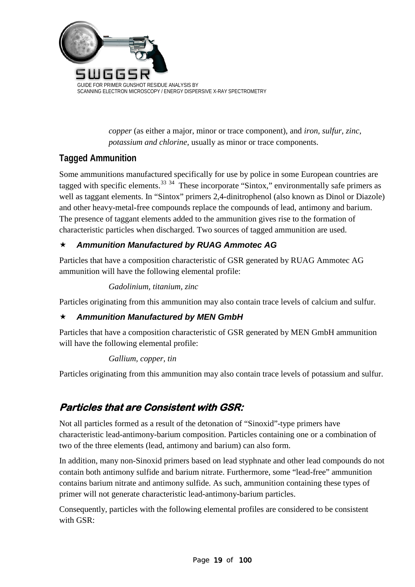

*copper* (as either a major, minor or trace component), and *iron, sulfur, zinc, potassium and chlorine,* usually as minor or trace components.

### **Tagged Ammunition**

Some ammunitions manufactured specifically for use by police in some European countries are tagged with specific elements.<sup>[33](#page-99-2) 34</sup> These incorporate "Sintox," environmentally safe primers as well as taggant elements. In "Sintox" primers 2,4-dinitrophenol (also known as Dinol or Diazole) and other heavy-metal-free compounds replace the compounds of lead, antimony and barium. The presence of taggant elements added to the ammunition gives rise to the formation of characteristic particles when discharged. Two sources of tagged ammunition are used.

#### *Ammunition Manufactured by RUAG Ammotec AG*

Particles that have a composition characteristic of GSR generated by RUAG Ammotec AG ammunition will have the following elemental profile:

#### *Gadolinium, titanium, zinc*

Particles originating from this ammunition may also contain trace levels of calcium and sulfur.

#### *Ammunition Manufactured by MEN GmbH*

Particles that have a composition characteristic of GSR generated by MEN GmbH ammunition will have the following elemental profile:

#### *Gallium, copper, tin*

Particles originating from this ammunition may also contain trace levels of potassium and sulfur.

### **Particles that are Consistent with GSR:**

Not all particles formed as a result of the detonation of "Sinoxid"-type primers have characteristic lead-antimony-barium composition. Particles containing one or a combination of two of the three elements (lead, antimony and barium) can also form.

In addition, many non-Sinoxid primers based on lead styphnate and other lead compounds do not contain both antimony sulfide and barium nitrate. Furthermore, some "lead-free" ammunition contains barium nitrate and antimony sulfide. As such, ammunition containing these types of primer will not generate characteristic lead-antimony-barium particles.

Consequently, particles with the following elemental profiles are considered to be consistent with GSR: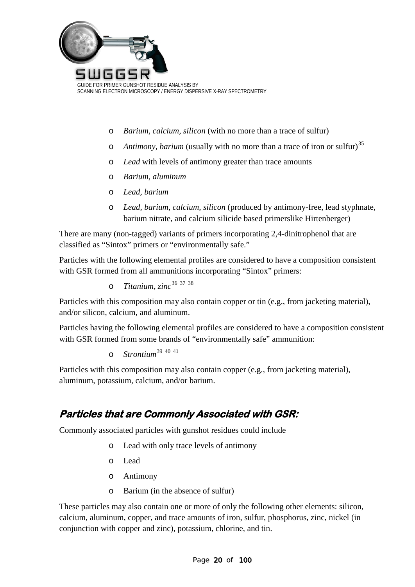

- o *Barium, calcium, silicon* (with no more than a trace of sulfur)
- o *Antimony, barium* (usually with no more than a trace of iron or sulfur)[35](#page-99-4)
- o *Lead* with levels of antimony greater than trace amounts
- o *Barium, aluminum*
- o *Lead, barium*
- o *Lead, barium, calcium, silicon* (produced by antimony-free, lead styphnate, barium nitrate, and calcium silicide based primerslike Hirtenberger)

There are many (non-tagged) variants of primers incorporating 2,4-dinitrophenol that are classified as "Sintox" primers or "environmentally safe."

Particles with the following elemental profiles are considered to have a composition consistent with GSR formed from all ammunitions incorporating "Sintox" primers:

o *Titanium, zinc*[36](#page-99-5) [37](#page-99-6) [38](#page-99-7)

Particles with this composition may also contain copper or tin (e.g., from jacketing material), and/or silicon, calcium, and aluminum.

Particles having the following elemental profiles are considered to have a composition consistent with GSR formed from some brands of "environmentally safe" ammunition:

o *Strontium*[39](#page-99-8) [40](#page-99-9) [41](#page-99-10)

Particles with this composition may also contain copper (e.g., from jacketing material), aluminum, potassium, calcium, and/or barium.

### **Particles that are Commonly Associated with GSR:**

Commonly associated particles with gunshot residues could include

- o Lead with only trace levels of antimony
- o Lead
- o Antimony
- o Barium (in the absence of sulfur)

These particles may also contain one or more of only the following other elements: silicon, calcium, aluminum, copper, and trace amounts of iron, sulfur, phosphorus, zinc, nickel (in conjunction with copper and zinc), potassium, chlorine, and tin.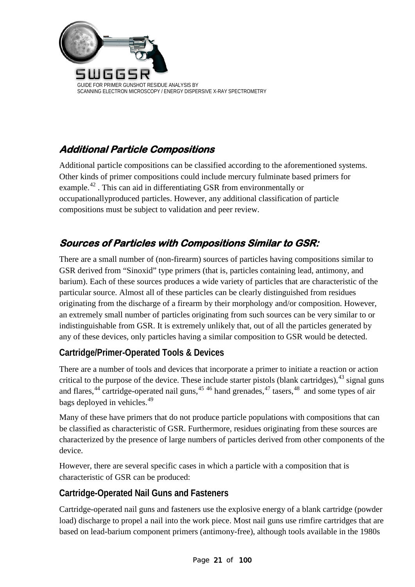

# **Additional Particle Compositions**

Additional particle compositions can be classified according to the aforementioned systems. Other kinds of primer compositions could include mercury fulminate based primers for example.<sup>[42](#page-99-11)</sup>. This can aid in differentiating GSR from environmentally or occupationallyproduced particles. However, any additional classification of particle compositions must be subject to validation and peer review.

# **Sources of Particles with Compositions Similar to GSR:**

There are a small number of (non-firearm) sources of particles having compositions similar to GSR derived from "Sinoxid" type primers (that is, particles containing lead, antimony, and barium). Each of these sources produces a wide variety of particles that are characteristic of the particular source. Almost all of these particles can be clearly distinguished from residues originating from the discharge of a firearm by their morphology and/or composition. However, an extremely small number of particles originating from such sources can be very similar to or indistinguishable from GSR. It is extremely unlikely that, out of all the particles generated by any of these devices, only particles having a similar composition to GSR would be detected.

### **Cartridge/Primer-Operated Tools & Devices**

There are a number of tools and devices that incorporate a primer to initiate a reaction or action critical to the purpose of the device. These include starter pistols (blank cartridges),<sup>[43](#page-99-12)</sup> signal guns and flares,  $44$  cartridge-operated nail guns,  $45\,46$  $45\,46$  $45\,46$  hand grenades,  $47$  tasers,  $48\,$  $48\,$  and some types of air bags deployed in vehicles.<sup>[49](#page-99-16)</sup>

Many of these have primers that do not produce particle populations with compositions that can be classified as characteristic of GSR. Furthermore, residues originating from these sources are characterized by the presence of large numbers of particles derived from other components of the device.

However, there are several specific cases in which a particle with a composition that is characteristic of GSR can be produced:

### **Cartridge-Operated Nail Guns and Fasteners**

Cartridge-operated nail guns and fasteners use the explosive energy of a blank cartridge (powder load) discharge to propel a nail into the work piece. Most nail guns use rimfire cartridges that are based on lead-barium component primers (antimony-free), although tools available in the 1980s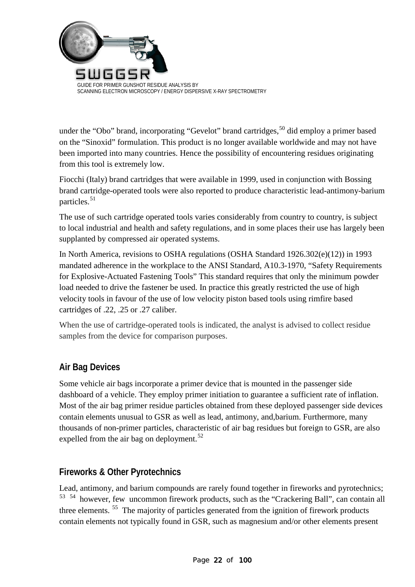

under the "Obo" brand, incorporating "Gevelot" brand cartridges,  $50$  did employ a primer based on the "Sinoxid" formulation. This product is no longer available worldwide and may not have been imported into many countries. Hence the possibility of encountering residues originating from this tool is extremely low.

Fiocchi (Italy) brand cartridges that were available in 1999, used in conjunction with Bossing brand cartridge-operated tools were also reported to produce characteristic lead-antimony-barium particles.<sup>[51](#page-99-4)</sup>

The use of such cartridge operated tools varies considerably from country to country, is subject to local industrial and health and safety regulations, and in some places their use has largely been supplanted by compressed air operated systems.

In North America, revisions to OSHA regulations (OSHA Standard 1926.302(e)(12)) in 1993 mandated adherence in the workplace to the ANSI Standard, A10.3-1970, "Safety Requirements for Explosive-Actuated Fastening Tools" This standard requires that only the minimum powder load needed to drive the fastener be used. In practice this greatly restricted the use of high velocity tools in favour of the use of low velocity piston based tools using rimfire based cartridges of .22, .25 or .27 caliber.

When the use of cartridge-operated tools is indicated, the analyst is advised to collect residue samples from the device for comparison purposes.

### **Air Bag Devices**

Some vehicle air bags incorporate a primer device that is mounted in the passenger side dashboard of a vehicle. They employ primer initiation to guarantee a sufficient rate of inflation. Most of the air bag primer residue particles obtained from these deployed passenger side devices contain elements unusual to GSR as well as lead, antimony, and,barium. Furthermore, many thousands of non-primer particles, characteristic of air bag residues but foreign to GSR, are also expelled from the air bag on deployment.<sup>[52](#page-99-5)</sup>

### **Fireworks & Other Pyrotechnics**

Lead, antimony, and barium compounds are rarely found together in fireworks and pyrotechnics;  $53$   $54$  however, few uncommon firework products, such as the "Crackering Ball", can contain all three elements.<sup>[55](#page-99-20)</sup> The majority of particles generated from the ignition of firework products contain elements not typically found in GSR, such as magnesium and/or other elements present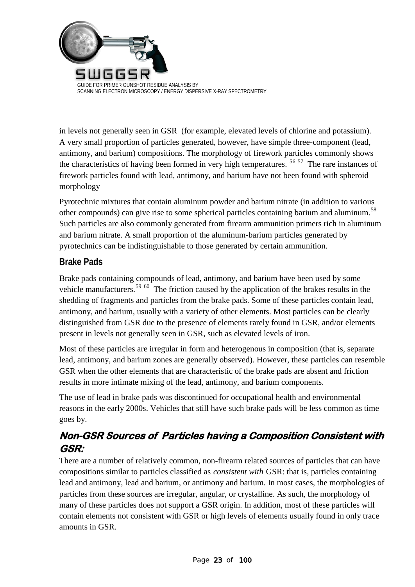

in levels not generally seen in GSR (for example, elevated levels of chlorine and potassium). A very small proportion of particles generated, however, have simple three-component (lead, antimony, and barium) compositions. The morphology of firework particles commonly shows the characteristics of having been formed in very high temperatures.  $56\,57$  $56\,57$  The rare instances of firework particles found with lead, antimony, and barium have not been found with spheroid morphology

Pyrotechnic mixtures that contain aluminum powder and barium nitrate (in addition to various other compounds) can give rise to some spherical particles containing barium and aluminum.<sup>58</sup> Such particles are also commonly generated from firearm ammunition primers rich in aluminum and barium nitrate. A small proportion of the aluminum-barium particles generated by pyrotechnics can be indistinguishable to those generated by certain ammunition.

### **Brake Pads**

Brake pads containing compounds of lead, antimony, and barium have been used by some vehicle manufacturers.[59](#page-99-23) [60](#page-99-24) The friction caused by the application of the brakes results in the shedding of fragments and particles from the brake pads. Some of these particles contain lead, antimony, and barium, usually with a variety of other elements. Most particles can be clearly distinguished from GSR due to the presence of elements rarely found in GSR, and/or elements present in levels not generally seen in GSR, such as elevated levels of iron.

Most of these particles are irregular in form and heterogenous in composition (that is, separate lead, antimony, and barium zones are generally observed). However, these particles can resemble GSR when the other elements that are characteristic of the brake pads are absent and friction results in more intimate mixing of the lead, antimony, and barium components.

The use of lead in brake pads was discontinued for occupational health and environmental reasons in the early 2000s. Vehicles that still have such brake pads will be less common as time goes by.

# **Non-GSR Sources of Particles having a Composition Consistent with GSR:**

There are a number of relatively common, non-firearm related sources of particles that can have compositions similar to particles classified as *consistent with* GSR: that is, particles containing lead and antimony, lead and barium, or antimony and barium. In most cases, the morphologies of particles from these sources are irregular, angular, or crystalline. As such, the morphology of many of these particles does not support a GSR origin. In addition, most of these particles will contain elements not consistent with GSR or high levels of elements usually found in only trace amounts in GSR.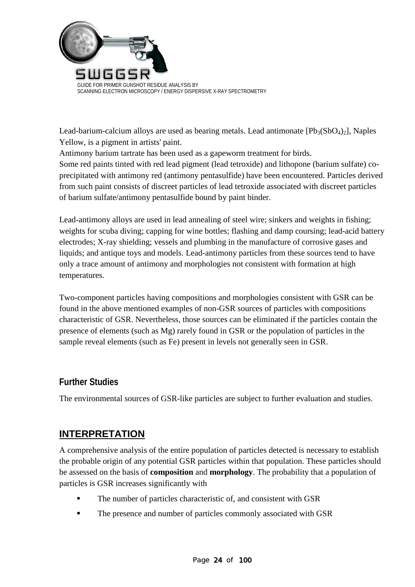

Lead-barium-calcium alloys are used as bearing metals. Lead antimonate  $[Pb_3(SbO_4)_2]$ , Naples Yellow, is a pigment in artists' paint.

Antimony barium tartrate has been used as a gapeworm treatment for birds.

Some red paints tinted with red lead pigment (lead tetroxide) and lithopone (barium sulfate) coprecipitated with antimony red (antimony pentasulfide) have been encountered. Particles derived from such paint consists of discreet particles of lead tetroxide associated with discreet particles of barium sulfate/antimony pentasulfide bound by paint binder.

Lead-antimony alloys are used in lead annealing of steel wire; sinkers and weights in fishing; weights for scuba diving; capping for wine bottles; flashing and damp coursing; lead-acid battery electrodes; X-ray shielding; vessels and plumbing in the manufacture of corrosive gases and liquids; and antique toys and models. Lead-antimony particles from these sources tend to have only a trace amount of antimony and morphologies not consistent with formation at high temperatures.

Two-component particles having compositions and morphologies consistent with GSR can be found in the above mentioned examples of non-GSR sources of particles with compositions characteristic of GSR. Nevertheless, those sources can be eliminated if the particles contain the presence of elements (such as Mg) rarely found in GSR or the population of particles in the sample reveal elements (such as Fe) present in levels not generally seen in GSR.

#### **Further Studies**

The environmental sources of GSR-like particles are subject to further evaluation and studies.

### **INTERPRETATION**

A comprehensive analysis of the entire population of particles detected is necessary to establish the probable origin of any potential GSR particles within that population. These particles should be assessed on the basis of **composition** and **morphology**. The probability that a population of particles is GSR increases significantly with

- The number of particles characteristic of, and consistent with GSR
- The presence and number of particles commonly associated with GSR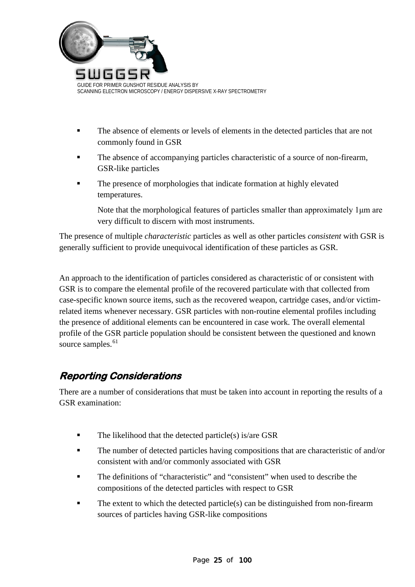

- The absence of elements or levels of elements in the detected particles that are not commonly found in GSR
- The absence of accompanying particles characteristic of a source of non-firearm, GSR-like particles
- The presence of morphologies that indicate formation at highly elevated temperatures.

Note that the morphological features of particles smaller than approximately 1μm are very difficult to discern with most instruments.

The presence of multiple *characteristic* particles as well as other particles *consistent* with GSR is generally sufficient to provide unequivocal identification of these particles as GSR.

An approach to the identification of particles considered as characteristic of or consistent with GSR is to compare the elemental profile of the recovered particulate with that collected from case-specific known source items, such as the recovered weapon, cartridge cases, and/or victimrelated items whenever necessary. GSR particles with non-routine elemental profiles including the presence of additional elements can be encountered in case work. The overall elemental profile of the GSR particle population should be consistent between the questioned and known source samples.<sup>[61](#page-99-25)</sup>

# **Reporting Considerations**

There are a number of considerations that must be taken into account in reporting the results of a GSR examination:

- $\blacksquare$  The likelihood that the detected particle(s) is/are GSR
- The number of detected particles having compositions that are characteristic of and/or consistent with and/or commonly associated with GSR
- The definitions of "characteristic" and "consistent" when used to describe the compositions of the detected particles with respect to GSR
- The extent to which the detected particle(s) can be distinguished from non-firearm sources of particles having GSR-like compositions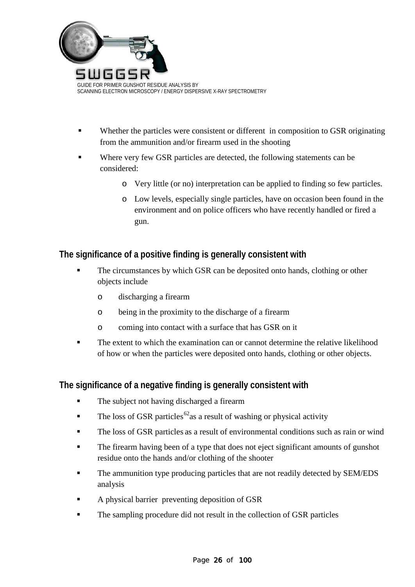

- Whether the particles were consistent or different in composition to GSR originating from the ammunition and/or firearm used in the shooting
- Where very few GSR particles are detected, the following statements can be considered:
	- o Very little (or no) interpretation can be applied to finding so few particles.
	- o Low levels, especially single particles, have on occasion been found in the environment and on police officers who have recently handled or fired a gun.

### **The significance of a positive finding is generally consistent with**

- The circumstances by which GSR can be deposited onto hands, clothing or other objects include
	- o discharging a firearm
	- o being in the proximity to the discharge of a firearm
	- o coming into contact with a surface that has GSR on it
- The extent to which the examination can or cannot determine the relative likelihood of how or when the particles were deposited onto hands, clothing or other objects.

#### **The significance of a negative finding is generally consistent with**

- The subject not having discharged a firearm
- The loss of GSR particles<sup>[62](#page-99-26)</sup>as a result of washing or physical activity
- The loss of GSR particles as a result of environmental conditions such as rain or wind
- The firearm having been of a type that does not eject significant amounts of gunshot residue onto the hands and/or clothing of the shooter
- The ammunition type producing particles that are not readily detected by SEM/EDS analysis
- A physical barrier preventing deposition of GSR
- The sampling procedure did not result in the collection of GSR particles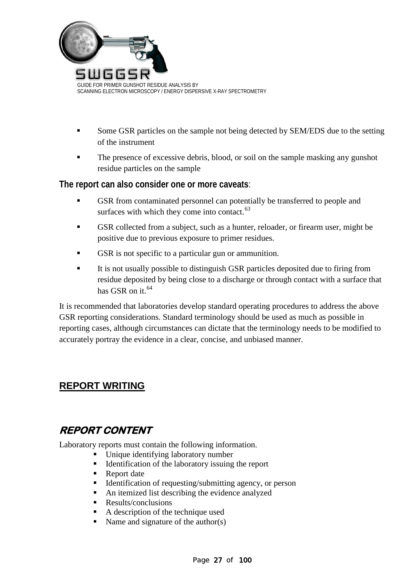

- Some GSR particles on the sample not being detected by SEM/EDS due to the setting of the instrument
- The presence of excessive debris, blood, or soil on the sample masking any gunshot residue particles on the sample

**The report can also consider one or more caveats**:

- GSR from contaminated personnel can potentially be transferred to people and surfaces with which they come into contact. $63$
- GSR collected from a subject, such as a hunter, reloader, or firearm user, might be positive due to previous exposure to primer residues.
- GSR is not specific to a particular gun or ammunition.
- It is not usually possible to distinguish GSR particles deposited due to firing from residue deposited by being close to a discharge or through contact with a surface that has GSR on it.<sup>[64](#page-99-16)</sup>

It is recommended that laboratories develop standard operating procedures to address the above GSR reporting considerations. Standard terminology should be used as much as possible in reporting cases, although circumstances can dictate that the terminology needs to be modified to accurately portray the evidence in a clear, concise, and unbiased manner.

### **REPORT WRITING**

### **REPORT CONTENT**

Laboratory reports must contain the following information.

- Unique identifying laboratory number
- Identification of the laboratory issuing the report
- Report date
- Identification of requesting/submitting agency, or person
- An itemized list describing the evidence analyzed
- **Results/conclusions**
- A description of the technique used
- Name and signature of the author(s)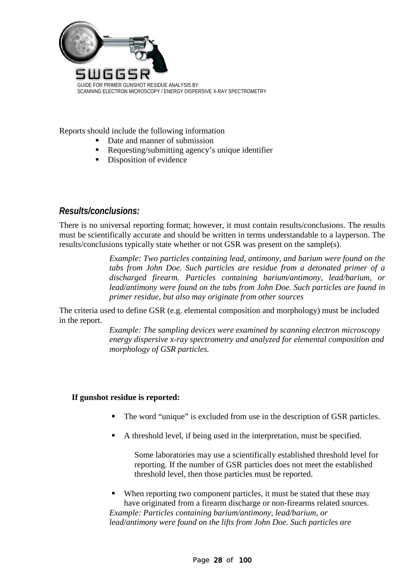

Reports should include the following information

- Date and manner of submission
- Requesting/submitting agency's unique identifier
- Disposition of evidence

#### *Results/conclusions:*

There is no universal reporting format; however, it must contain results/conclusions. The results must be scientifically accurate and should be written in terms understandable to a layperson. The results/conclusions typically state whether or not GSR was present on the sample(s).

> *Example: Two particles containing lead, antimony, and barium were found on the tabs from John Doe. Such particles are residue from a detonated primer of a discharged firearm. Particles containing barium/antimony, lead/barium, or lead/antimony were found on the tabs from John Doe. Such particles are found in primer residue, but also may originate from other sources*

The criteria used to define GSR (e.g. elemental composition and morphology) must be included in the report.

> *Example: The sampling devices were examined by scanning electron microscopy energy dispersive x-ray spectrometry and analyzed for elemental composition and morphology of GSR particles.*

#### **If gunshot residue is reported:**

- The word "unique" is excluded from use in the description of GSR particles.
- A threshold level, if being used in the interpretation, must be specified.

Some laboratories may use a scientifically established threshold level for reporting. If the number of GSR particles does not meet the established threshold level, then those particles must be reported.

• When reporting two component particles, it must be stated that these may have originated from a firearm discharge or non-firearms related sources. *Example: Particles containing barium/antimony, lead/barium, or lead/antimony were found on the lifts from John Doe. Such particles are*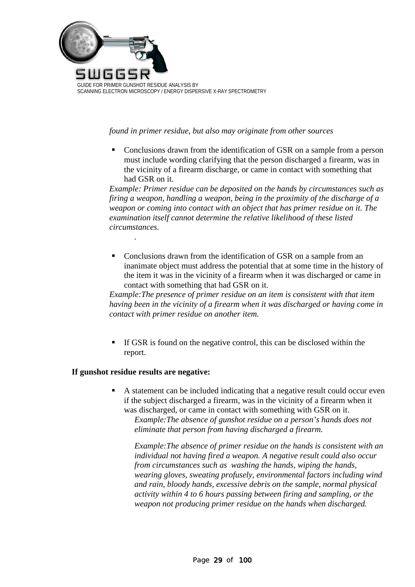

#### *found in primer residue, but also may originate from other sources*

 Conclusions drawn from the identification of GSR on a sample from a person must include wording clarifying that the person discharged a firearm, was in the vicinity of a firearm discharge, or came in contact with something that had GSR on it.

*Example: Primer residue can be deposited on the hands by circumstances such as firing a weapon, handling a weapon, being in the proximity of the discharge of a weapon or coming into contact with an object that has primer residue on it. The examination itself cannot determine the relative likelihood of these listed circumstances.*

• Conclusions drawn from the identification of GSR on a sample from an inanimate object must address the potential that at some time in the history of the item it was in the vicinity of a firearm when it was discharged or came in contact with something that had GSR on it.

*Example:The presence of primer residue on an item is consistent with that item having been in the vicinity of a firearm when it was discharged or having come in contact with primer residue on another item.*

 If GSR is found on the negative control, this can be disclosed within the report.

#### **If gunshot residue results are negative:**

*.* 

 A statement can be included indicating that a negative result could occur even if the subject discharged a firearm, was in the vicinity of a firearm when it was discharged, or came in contact with something with GSR on it. *Example:The absence of gunshot residue on a person's hands does not eliminate that person from having discharged a firearm.*

*Example:The absence of primer residue on the hands is consistent with an individual not having fired a weapon. A negative result could also occur from circumstances such as washing the hands, wiping the hands, wearing gloves, sweating profusely, environmental factors including wind and rain, bloody hands, excessive debris on the sample, normal physical activity within 4 to 6 hours passing between firing and sampling, or the weapon not producing primer residue on the hands when discharged.*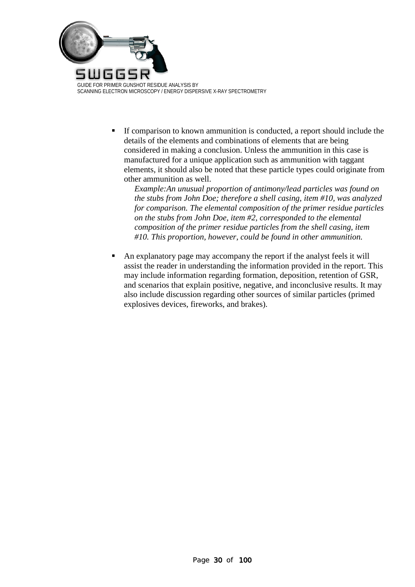

 If comparison to known ammunition is conducted, a report should include the details of the elements and combinations of elements that are being considered in making a conclusion. Unless the ammunition in this case is manufactured for a unique application such as ammunition with taggant elements, it should also be noted that these particle types could originate from other ammunition as well.

*Example:An unusual proportion of antimony/lead particles was found on the stubs from John Doe; therefore a shell casing, item #10, was analyzed for comparison. The elemental composition of the primer residue particles on the stubs from John Doe, item #2, corresponded to the elemental composition of the primer residue particles from the shell casing, item #10. This proportion, however, could be found in other ammunition.*

 An explanatory page may accompany the report if the analyst feels it will assist the reader in understanding the information provided in the report. This may include information regarding formation, deposition, retention of GSR, and scenarios that explain positive, negative, and inconclusive results. It may also include discussion regarding other sources of similar particles (primed explosives devices, fireworks, and brakes).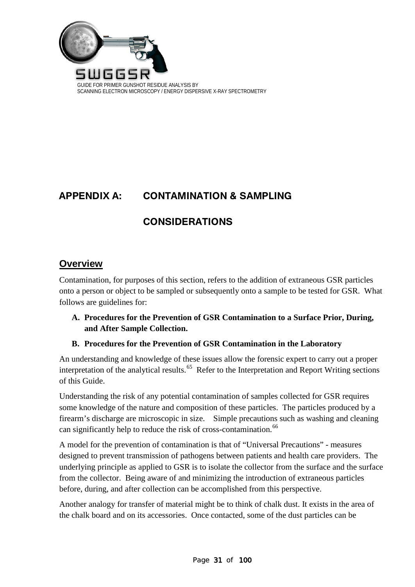

# **APPENDIX A: CONTAMINATION & SAMPLING**

### **CONSIDERATIONS**

### **Overview**

Contamination, for purposes of this section, refers to the addition of extraneous GSR particles onto a person or object to be sampled or subsequently onto a sample to be tested for GSR. What follows are guidelines for:

**A. Procedures for the Prevention of GSR Contamination to a Surface Prior, During, and After Sample Collection.**

#### **B. Procedures for the Prevention of GSR Contamination in the Laboratory**

An understanding and knowledge of these issues allow the forensic expert to carry out a proper interpretation of the analytical results.<sup>[65](#page-99-3)</sup> Refer to the Interpretation and Report Writing sections of this Guide.

Understanding the risk of any potential contamination of samples collected for GSR requires some knowledge of the nature and composition of these particles. The particles produced by a firearm's discharge are microscopic in size. Simple precautions such as washing and cleaning can significantly help to reduce the risk of cross-contamination.<sup>[66](#page-99-4)</sup>

A model for the prevention of contamination is that of "Universal Precautions" - measures designed to prevent transmission of pathogens between patients and health care providers. The underlying principle as applied to GSR is to isolate the collector from the surface and the surface from the collector. Being aware of and minimizing the introduction of extraneous particles before, during, and after collection can be accomplished from this perspective.

Another analogy for transfer of material might be to think of chalk dust. It exists in the area of the chalk board and on its accessories. Once contacted, some of the dust particles can be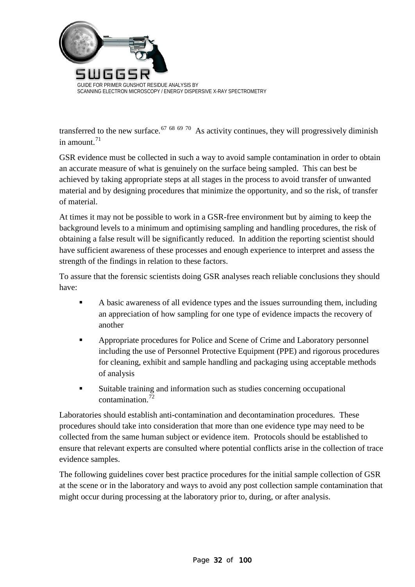

transferred to the new surface.  $67\,68\,69\,70$  $67\,68\,69\,70$  $67\,68\,69\,70$  $67\,68\,69\,70$  $67\,68\,69\,70$  $67\,68\,69\,70$  $67\,68\,69\,70$  As activity continues, they will progressively diminish in amount. $71$ 

GSR evidence must be collected in such a way to avoid sample contamination in order to obtain an accurate measure of what is genuinely on the surface being sampled. This can best be achieved by taking appropriate steps at all stages in the process to avoid transfer of unwanted material and by designing procedures that minimize the opportunity, and so the risk, of transfer of material.

At times it may not be possible to work in a GSR-free environment but by aiming to keep the background levels to a minimum and optimising sampling and handling procedures, the risk of obtaining a false result will be significantly reduced. In addition the reporting scientist should have sufficient awareness of these processes and enough experience to interpret and assess the strength of the findings in relation to these factors.

To assure that the forensic scientists doing GSR analyses reach reliable conclusions they should have:

- A basic awareness of all evidence types and the issues surrounding them, including an appreciation of how sampling for one type of evidence impacts the recovery of another
- Appropriate procedures for Police and Scene of Crime and Laboratory personnel including the use of Personnel Protective Equipment (PPE) and rigorous procedures for cleaning, exhibit and sample handling and packaging using acceptable methods of analysis
- Suitable training and information such as studies concerning occupational contamination.[72](#page-99-30)

Laboratories should establish anti-contamination and decontamination procedures. These procedures should take into consideration that more than one evidence type may need to be collected from the same human subject or evidence item. Protocols should be established to ensure that relevant experts are consulted where potential conflicts arise in the collection of trace evidence samples.

The following guidelines cover best practice procedures for the initial sample collection of GSR at the scene or in the laboratory and ways to avoid any post collection sample contamination that might occur during processing at the laboratory prior to, during, or after analysis.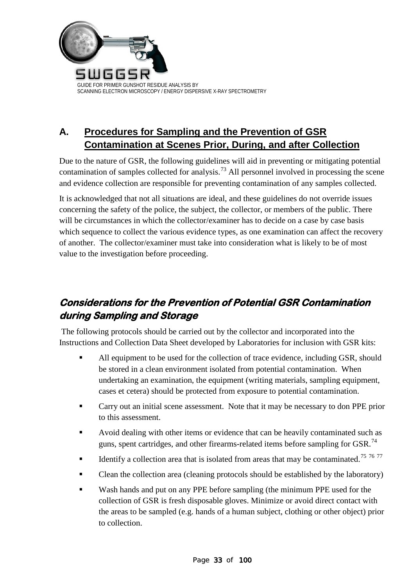

# **A. Procedures for Sampling and the Prevention of GSR Contamination at Scenes Prior, During, and after Collection**

Due to the nature of GSR, the following guidelines will aid in preventing or mitigating potential contamination of samples collected for analysis.<sup>[73](#page-99-31)</sup> All personnel involved in processing the scene and evidence collection are responsible for preventing contamination of any samples collected.

It is acknowledged that not all situations are ideal, and these guidelines do not override issues concerning the safety of the police, the subject, the collector, or members of the public. There will be circumstances in which the collector/examiner has to decide on a case by case basis which sequence to collect the various evidence types, as one examination can affect the recovery of another. The collector/examiner must take into consideration what is likely to be of most value to the investigation before proceeding.

# **Considerations for the Prevention of Potential GSR Contamination during Sampling and Storage**

The following protocols should be carried out by the collector and incorporated into the Instructions and Collection Data Sheet developed by Laboratories for inclusion with GSR kits:

- All equipment to be used for the collection of trace evidence, including GSR, should be stored in a clean environment isolated from potential contamination. When undertaking an examination, the equipment (writing materials, sampling equipment, cases et cetera) should be protected from exposure to potential contamination.
- Carry out an initial scene assessment. Note that it may be necessary to don PPE prior to this assessment.
- Avoid dealing with other items or evidence that can be heavily contaminated such as guns, spent cartridges, and other firearms-related items before sampling for GSR.<sup>[74](#page-99-11)</sup>
- Identify a collection area that is isolated from areas that may be contaminated.<sup>[75](#page-99-32) [76](#page-99-14)</sup>  $^{77}$  $^{77}$  $^{77}$
- Clean the collection area (cleaning protocols should be established by the laboratory)
- Wash hands and put on any PPE before sampling (the minimum PPE used for the collection of GSR is fresh disposable gloves. Minimize or avoid direct contact with the areas to be sampled (e.g. hands of a human subject, clothing or other object) prior to collection.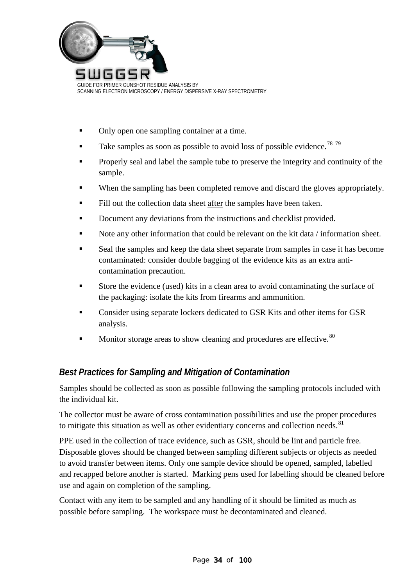

- Only open one sampling container at a time.
- Take samples as soon as possible to avoid loss of possible evidence.<sup>[78](#page-99-34) [79](#page-99-27)</sup>
- **Properly seal and label the sample tube to preserve the integrity and continuity of the** sample.
- When the sampling has been completed remove and discard the gloves appropriately.
- Fill out the collection data sheet after the samples have been taken.
- Document any deviations from the instructions and checklist provided.
- Note any other information that could be relevant on the kit data / information sheet.
- Seal the samples and keep the data sheet separate from samples in case it has become contaminated: consider double bagging of the evidence kits as an extra anticontamination precaution.
- Store the evidence (used) kits in a clean area to avoid contaminating the surface of the packaging: isolate the kits from firearms and ammunition.
- Consider using separate lockers dedicated to GSR Kits and other items for GSR analysis.
- Monitor storage areas to show cleaning and procedures are effective.<sup>[80](#page-99-16)</sup>

#### *Best Practices for Sampling and Mitigation of Contamination*

Samples should be collected as soon as possible following the sampling protocols included with the individual kit.

The collector must be aware of cross contamination possibilities and use the proper procedures to mitigate this situation as well as other evidentiary concerns and collection needs. $81$ 

PPE used in the collection of trace evidence, such as GSR, should be lint and particle free. Disposable gloves should be changed between sampling different subjects or objects as needed to avoid transfer between items. Only one sample device should be opened, sampled, labelled and recapped before another is started. Marking pens used for labelling should be cleaned before use and again on completion of the sampling.

Contact with any item to be sampled and any handling of it should be limited as much as possible before sampling. The workspace must be decontaminated and cleaned.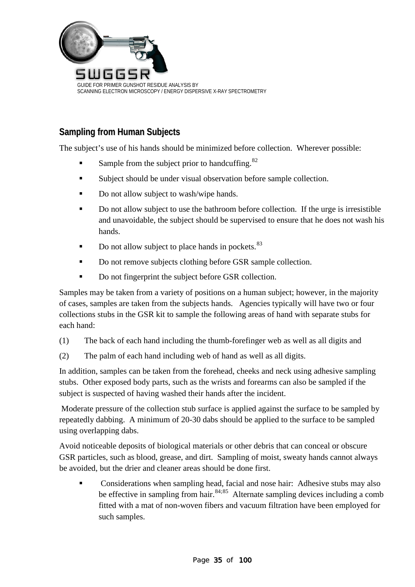

### **Sampling from Human Subjects**

The subject's use of his hands should be minimized before collection. Wherever possible:

- Sample from the subject prior to handcuffing.<sup>[82](#page-99-36)</sup>
- Subject should be under visual observation before sample collection.
- Do not allow subject to wash/wipe hands.
- Do not allow subject to use the bathroom before collection. If the urge is irresistible and unavoidable, the subject should be supervised to ensure that he does not wash his hands.
- Do not allow subject to place hands in pockets.<sup>[83](#page-99-37)</sup>
- Do not remove subjects clothing before GSR sample collection.
- Do not fingerprint the subject before GSR collection.

Samples may be taken from a variety of positions on a human subject; however, in the majority of cases, samples are taken from the subjects hands. Agencies typically will have two or four collections stubs in the GSR kit to sample the following areas of hand with separate stubs for each hand:

- (1) The back of each hand including the thumb-forefinger web as well as all digits and
- (2) The palm of each hand including web of hand as well as all digits.

In addition, samples can be taken from the forehead, cheeks and neck using adhesive sampling stubs. Other exposed body parts, such as the wrists and forearms can also be sampled if the subject is suspected of having washed their hands after the incident.

Moderate pressure of the collection stub surface is applied against the surface to be sampled by repeatedly dabbing. A minimum of 20-30 dabs should be applied to the surface to be sampled using overlapping dabs.

Avoid noticeable deposits of biological materials or other debris that can conceal or obscure GSR particles, such as blood, grease, and dirt. Sampling of moist, sweaty hands cannot always be avoided, but the drier and cleaner areas should be done first.

 Considerations when sampling head, facial and nose hair: Adhesive stubs may also be effective in sampling from hair.  $84,85$  $84,85$  Alternate sampling devices including a comb fitted with a mat of non-woven fibers and vacuum filtration have been employed for such samples.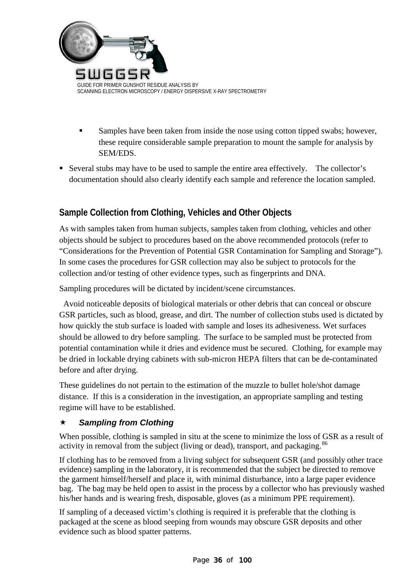

- Samples have been taken from inside the nose using cotton tipped swabs; however, these require considerable sample preparation to mount the sample for analysis by SEM/EDS.
- Several stubs may have to be used to sample the entire area effectively. The collector's documentation should also clearly identify each sample and reference the location sampled.

### **Sample Collection from Clothing, Vehicles and Other Objects**

As with samples taken from human subjects, samples taken from clothing, vehicles and other objects should be subject to procedures based on the above recommended protocols (refer to "Considerations for the Prevention of Potential GSR Contamination for Sampling and Storage"). In some cases the procedures for GSR collection may also be subject to protocols for the collection and/or testing of other evidence types, such as fingerprints and DNA.

Sampling procedures will be dictated by incident/scene circumstances.

 Avoid noticeable deposits of biological materials or other debris that can conceal or obscure GSR particles, such as blood, grease, and dirt. The number of collection stubs used is dictated by how quickly the stub surface is loaded with sample and loses its adhesiveness. Wet surfaces should be allowed to dry before sampling. The surface to be sampled must be protected from potential contamination while it dries and evidence must be secured. Clothing, for example may be dried in lockable drying cabinets with sub-micron HEPA filters that can be de-contaminated before and after drying.

These guidelines do not pertain to the estimation of the muzzle to bullet hole/shot damage distance. If this is a consideration in the investigation, an appropriate sampling and testing regime will have to be established.

#### *Sampling from Clothing*

When possible, clothing is sampled in situ at the scene to minimize the loss of GSR as a result of activity in removal from the subject (living or dead), transport, and packaging.<sup>[86](#page-99-7)</sup>

If clothing has to be removed from a living subject for subsequent GSR (and possibly other trace evidence) sampling in the laboratory, it is recommended that the subject be directed to remove the garment himself/herself and place it, with minimal disturbance, into a large paper evidence bag. The bag may be held open to assist in the process by a collector who has previously washed his/her hands and is wearing fresh, disposable, gloves (as a minimum PPE requirement).

If sampling of a deceased victim's clothing is required it is preferable that the clothing is packaged at the scene as blood seeping from wounds may obscure GSR deposits and other evidence such as blood spatter patterns.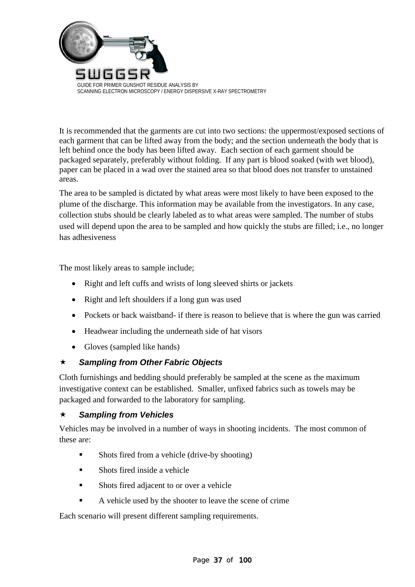

It is recommended that the garments are cut into two sections: the uppermost/exposed sections of each garment that can be lifted away from the body; and the section underneath the body that is left behind once the body has been lifted away. Each section of each garment should be packaged separately, preferably without folding. If any part is blood soaked (with wet blood), paper can be placed in a wad over the stained area so that blood does not transfer to unstained areas.

The area to be sampled is dictated by what areas were most likely to have been exposed to the plume of the discharge. This information may be available from the investigators. In any case, collection stubs should be clearly labeled as to what areas were sampled. The number of stubs used will depend upon the area to be sampled and how quickly the stubs are filled; i.e., no longer has adhesiveness

The most likely areas to sample include;

- Right and left cuffs and wrists of long sleeved shirts or jackets
- Right and left shoulders if a long gun was used
- Pockets or back waistband- if there is reason to believe that is where the gun was carried
- Headwear including the underneath side of hat visors
- Gloves (sampled like hands)

### *Sampling from Other Fabric Objects*

Cloth furnishings and bedding should preferably be sampled at the scene as the maximum investigative context can be established. Smaller, unfixed fabrics such as towels may be packaged and forwarded to the laboratory for sampling.

### *Sampling from Vehicles*

Vehicles may be involved in a number of ways in shooting incidents. The most common of these are:

- Shots fired from a vehicle (drive-by shooting)
- Shots fired inside a vehicle
- Shots fired adjacent to or over a vehicle
- A vehicle used by the shooter to leave the scene of crime

Each scenario will present different sampling requirements.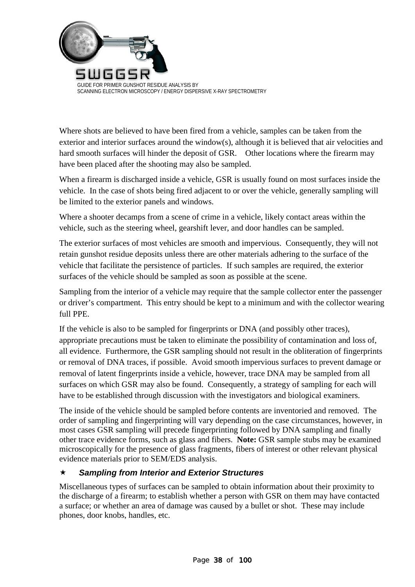

Where shots are believed to have been fired from a vehicle, samples can be taken from the exterior and interior surfaces around the window(s), although it is believed that air velocities and hard smooth surfaces will hinder the deposit of GSR. Other locations where the firearm may have been placed after the shooting may also be sampled.

When a firearm is discharged inside a vehicle, GSR is usually found on most surfaces inside the vehicle. In the case of shots being fired adjacent to or over the vehicle, generally sampling will be limited to the exterior panels and windows.

Where a shooter decamps from a scene of crime in a vehicle, likely contact areas within the vehicle, such as the steering wheel, gearshift lever, and door handles can be sampled.

The exterior surfaces of most vehicles are smooth and impervious. Consequently, they will not retain gunshot residue deposits unless there are other materials adhering to the surface of the vehicle that facilitate the persistence of particles. If such samples are required, the exterior surfaces of the vehicle should be sampled as soon as possible at the scene.

Sampling from the interior of a vehicle may require that the sample collector enter the passenger or driver's compartment. This entry should be kept to a minimum and with the collector wearing full PPE.

If the vehicle is also to be sampled for fingerprints or DNA (and possibly other traces), appropriate precautions must be taken to eliminate the possibility of contamination and loss of, all evidence. Furthermore, the GSR sampling should not result in the obliteration of fingerprints or removal of DNA traces, if possible. Avoid smooth impervious surfaces to prevent damage or removal of latent fingerprints inside a vehicle, however, trace DNA may be sampled from all surfaces on which GSR may also be found. Consequently, a strategy of sampling for each will have to be established through discussion with the investigators and biological examiners.

The inside of the vehicle should be sampled before contents are inventoried and removed. The order of sampling and fingerprinting will vary depending on the case circumstances, however, in most cases GSR sampling will precede fingerprinting followed by DNA sampling and finally other trace evidence forms, such as glass and fibers. **Note:** GSR sample stubs may be examined microscopically for the presence of glass fragments, fibers of interest or other relevant physical evidence materials prior to SEM/EDS analysis.

### *Sampling from Interior and Exterior Structures*

Miscellaneous types of surfaces can be sampled to obtain information about their proximity to the discharge of a firearm; to establish whether a person with GSR on them may have contacted a surface; or whether an area of damage was caused by a bullet or shot. These may include phones, door knobs, handles, etc.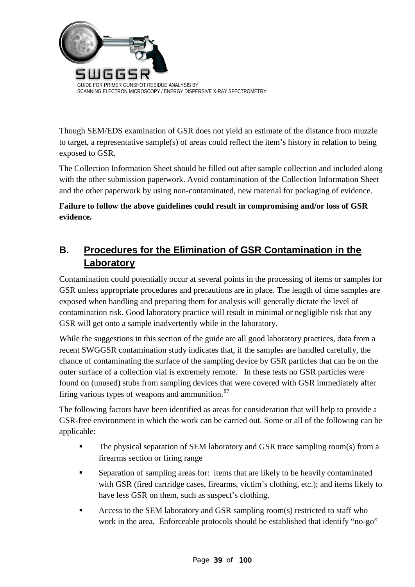

Though SEM/EDS examination of GSR does not yield an estimate of the distance from muzzle to target, a representative sample(s) of areas could reflect the item's history in relation to being exposed to GSR.

The Collection Information Sheet should be filled out after sample collection and included along with the other submission paperwork. Avoid contamination of the Collection Information Sheet and the other paperwork by using non-contaminated, new material for packaging of evidence.

**Failure to follow the above guidelines could result in compromising and/or loss of GSR evidence.**

# **B. Procedures for the Elimination of GSR Contamination in the Laboratory**

Contamination could potentially occur at several points in the processing of items or samples for GSR unless appropriate procedures and precautions are in place. The length of time samples are exposed when handling and preparing them for analysis will generally dictate the level of contamination risk. Good laboratory practice will result in minimal or negligible risk that any GSR will get onto a sample inadvertently while in the laboratory.

While the suggestions in this section of the guide are all good laboratory practices, data from a recent SWGGSR contamination study indicates that, if the samples are handled carefully, the chance of contaminating the surface of the sampling device by GSR particles that can be on the outer surface of a collection vial is extremely remote. In these tests no GSR particles were found on (unused) stubs from sampling devices that were covered with GSR immediately after firing various types of weapons and ammunition. $87$ 

The following factors have been identified as areas for consideration that will help to provide a GSR-free environment in which the work can be carried out. Some or all of the following can be applicable:

- The physical separation of SEM laboratory and GSR trace sampling room(s) from a firearms section or firing range
- Separation of sampling areas for: items that are likely to be heavily contaminated with GSR (fired cartridge cases, firearms, victim's clothing, etc.); and items likely to have less GSR on them, such as suspect's clothing.
- Access to the SEM laboratory and GSR sampling room(s) restricted to staff who work in the area. Enforceable protocols should be established that identify "no-go"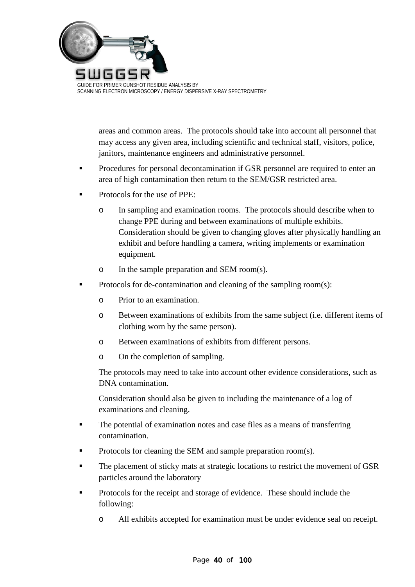

areas and common areas. The protocols should take into account all personnel that may access any given area, including scientific and technical staff, visitors, police, janitors, maintenance engineers and administrative personnel.

- Procedures for personal decontamination if GSR personnel are required to enter an area of high contamination then return to the SEM/GSR restricted area.
- Protocols for the use of PPE:
	- o In sampling and examination rooms. The protocols should describe when to change PPE during and between examinations of multiple exhibits. Consideration should be given to changing gloves after physically handling an exhibit and before handling a camera, writing implements or examination equipment.
	- o In the sample preparation and SEM room(s).
- Protocols for de-contamination and cleaning of the sampling room(s):
	- o Prior to an examination.
	- o Between examinations of exhibits from the same subject (i.e. different items of clothing worn by the same person).
	- o Between examinations of exhibits from different persons.
	- o On the completion of sampling.

The protocols may need to take into account other evidence considerations, such as DNA contamination.

Consideration should also be given to including the maintenance of a log of examinations and cleaning.

- The potential of examination notes and case files as a means of transferring contamination.
- **Protocols for cleaning the SEM and sample preparation room(s).**
- The placement of sticky mats at strategic locations to restrict the movement of GSR particles around the laboratory
- **Protocols for the receipt and storage of evidence. These should include the** following:
	- o All exhibits accepted for examination must be under evidence seal on receipt.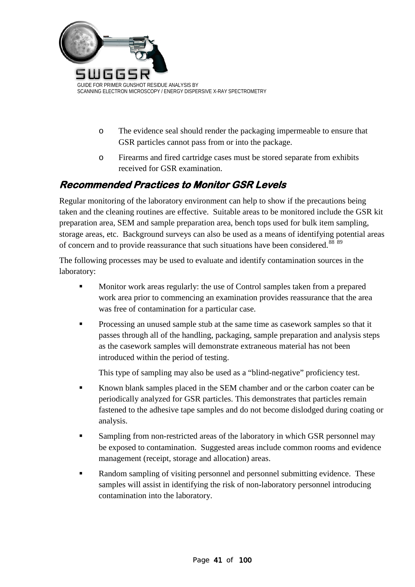

- o The evidence seal should render the packaging impermeable to ensure that GSR particles cannot pass from or into the package.
- o Firearms and fired cartridge cases must be stored separate from exhibits received for GSR examination.

## **Recommended Practices to Monitor GSR Levels**

Regular monitoring of the laboratory environment can help to show if the precautions being taken and the cleaning routines are effective. Suitable areas to be monitored include the GSR kit preparation area, SEM and sample preparation area, bench tops used for bulk item sampling, storage areas, etc. Background surveys can also be used as a means of identifying potential areas of concern and to provide reassurance that such situations have been considered.<sup>[88](#page-99-1)</sup> [89](#page-99-2)

The following processes may be used to evaluate and identify contamination sources in the laboratory:

- Monitor work areas regularly: the use of Control samples taken from a prepared work area prior to commencing an examination provides reassurance that the area was free of contamination for a particular case.
- Processing an unused sample stub at the same time as casework samples so that it passes through all of the handling, packaging, sample preparation and analysis steps as the casework samples will demonstrate extraneous material has not been introduced within the period of testing.

This type of sampling may also be used as a "blind-negative" proficiency test.

- Known blank samples placed in the SEM chamber and or the carbon coater can be periodically analyzed for GSR particles. This demonstrates that particles remain fastened to the adhesive tape samples and do not become dislodged during coating or analysis.
- Sampling from non-restricted areas of the laboratory in which GSR personnel may be exposed to contamination. Suggested areas include common rooms and evidence management (receipt, storage and allocation) areas.
- **Random sampling of visiting personnel and personnel submitting evidence.** These samples will assist in identifying the risk of non-laboratory personnel introducing contamination into the laboratory.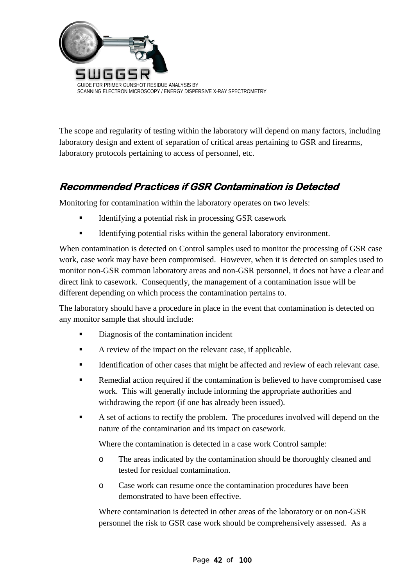

The scope and regularity of testing within the laboratory will depend on many factors, including laboratory design and extent of separation of critical areas pertaining to GSR and firearms, laboratory protocols pertaining to access of personnel, etc.

# **Recommended Practices if GSR Contamination is Detected**

Monitoring for contamination within the laboratory operates on two levels:

- Identifying a potential risk in processing GSR casework
- Identifying potential risks within the general laboratory environment.

When contamination is detected on Control samples used to monitor the processing of GSR case work, case work may have been compromised. However, when it is detected on samples used to monitor non-GSR common laboratory areas and non-GSR personnel, it does not have a clear and direct link to casework. Consequently, the management of a contamination issue will be different depending on which process the contamination pertains to.

The laboratory should have a procedure in place in the event that contamination is detected on any monitor sample that should include:

- Diagnosis of the contamination incident
- A review of the impact on the relevant case, if applicable.
- Identification of other cases that might be affected and review of each relevant case.
- Remedial action required if the contamination is believed to have compromised case work. This will generally include informing the appropriate authorities and withdrawing the report (if one has already been issued).
- A set of actions to rectify the problem. The procedures involved will depend on the nature of the contamination and its impact on casework.

Where the contamination is detected in a case work Control sample:

- o The areas indicated by the contamination should be thoroughly cleaned and tested for residual contamination.
- o Case work can resume once the contamination procedures have been demonstrated to have been effective.

Where contamination is detected in other areas of the laboratory or on non-GSR personnel the risk to GSR case work should be comprehensively assessed. As a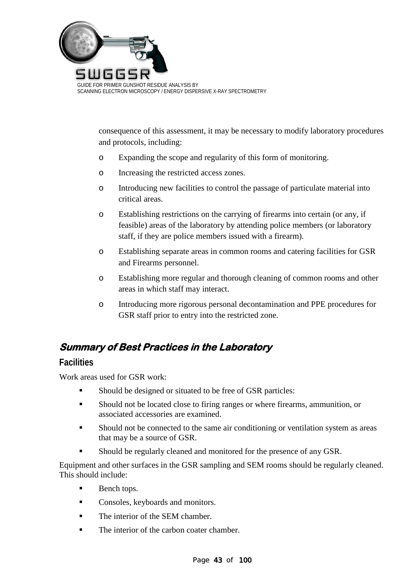

consequence of this assessment, it may be necessary to modify laboratory procedures and protocols, including:

- o Expanding the scope and regularity of this form of monitoring.
- o Increasing the restricted access zones.
- o Introducing new facilities to control the passage of particulate material into critical areas.
- o Establishing restrictions on the carrying of firearms into certain (or any, if feasible) areas of the laboratory by attending police members (or laboratory staff, if they are police members issued with a firearm).
- o Establishing separate areas in common rooms and catering facilities for GSR and Firearms personnel.
- o Establishing more regular and thorough cleaning of common rooms and other areas in which staff may interact.
- o Introducing more rigorous personal decontamination and PPE procedures for GSR staff prior to entry into the restricted zone.

# **Summary of Best Practices in the Laboratory**

### **Facilities**

Work areas used for GSR work:

- Should be designed or situated to be free of GSR particles:
- Should not be located close to firing ranges or where firearms, ammunition, or associated accessories are examined.
- Should not be connected to the same air conditioning or ventilation system as areas that may be a source of GSR.
- Should be regularly cleaned and monitored for the presence of any GSR.

Equipment and other surfaces in the GSR sampling and SEM rooms should be regularly cleaned. This should include:

- Bench tops.
- Consoles, keyboards and monitors.
- The interior of the SEM chamber.
- The interior of the carbon coater chamber.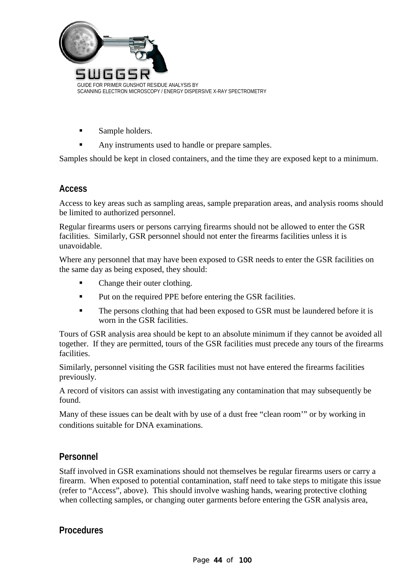

- **Sample holders.**
- Any instruments used to handle or prepare samples.

Samples should be kept in closed containers, and the time they are exposed kept to a minimum.

### **Access**

Access to key areas such as sampling areas, sample preparation areas, and analysis rooms should be limited to authorized personnel.

Regular firearms users or persons carrying firearms should not be allowed to enter the GSR facilities. Similarly, GSR personnel should not enter the firearms facilities unless it is unavoidable.

Where any personnel that may have been exposed to GSR needs to enter the GSR facilities on the same day as being exposed, they should:

- Change their outer clothing.
- Put on the required PPE before entering the GSR facilities.
- The persons clothing that had been exposed to GSR must be laundered before it is worn in the GSR facilities.

Tours of GSR analysis area should be kept to an absolute minimum if they cannot be avoided all together. If they are permitted, tours of the GSR facilities must precede any tours of the firearms facilities.

Similarly, personnel visiting the GSR facilities must not have entered the firearms facilities previously.

A record of visitors can assist with investigating any contamination that may subsequently be found.

Many of these issues can be dealt with by use of a dust free "clean room'" or by working in conditions suitable for DNA examinations.

### **Personnel**

Staff involved in GSR examinations should not themselves be regular firearms users or carry a firearm. When exposed to potential contamination, staff need to take steps to mitigate this issue (refer to "Access", above). This should involve washing hands, wearing protective clothing when collecting samples, or changing outer garments before entering the GSR analysis area,

### **Procedures**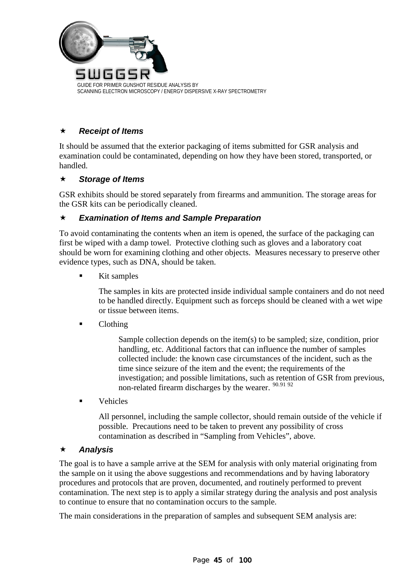

### *Receipt of Items*

It should be assumed that the exterior packaging of items submitted for GSR analysis and examination could be contaminated, depending on how they have been stored, transported, or handled.

### *Storage of Items*

GSR exhibits should be stored separately from firearms and ammunition. The storage areas for the GSR kits can be periodically cleaned.

### *Examination of Items and Sample Preparation*

To avoid contaminating the contents when an item is opened, the surface of the packaging can first be wiped with a damp towel. Protective clothing such as gloves and a laboratory coat should be worn for examining clothing and other objects. Measures necessary to preserve other evidence types, such as DNA, should be taken.

Kit samples

The samples in kits are protected inside individual sample containers and do not need to be handled directly. Equipment such as forceps should be cleaned with a wet wipe or tissue between items.

• Clothing

Sample collection depends on the item(s) to be sampled; size, condition, prior handling, etc. Additional factors that can influence the number of samples collected include: the known case circumstances of the incident, such as the time since seizure of the item and the event; the requirements of the investigation; and possible limitations, such as retention of GSR from previous, non-related firearm discharges by the wearer. [90.](#page-99-3)[91](#page-99-4) [92](#page-99-5)

Vehicles

All personnel, including the sample collector, should remain outside of the vehicle if possible. Precautions need to be taken to prevent any possibility of cross contamination as described in "Sampling from Vehicles", above.

### *Analysis*

The goal is to have a sample arrive at the SEM for analysis with only material originating from the sample on it using the above suggestions and recommendations and by having laboratory procedures and protocols that are proven, documented, and routinely performed to prevent contamination. The next step is to apply a similar strategy during the analysis and post analysis to continue to ensure that no contamination occurs to the sample.

The main considerations in the preparation of samples and subsequent SEM analysis are: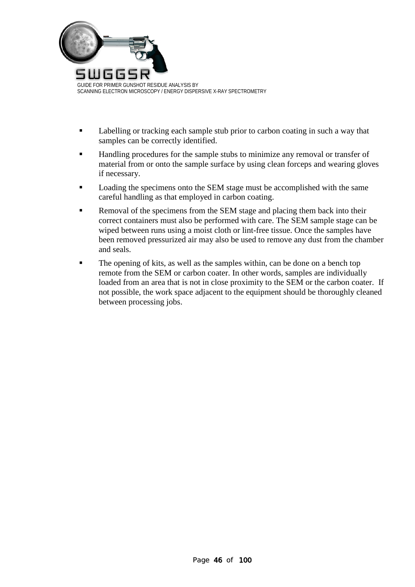

- **Labelling or tracking each sample stub prior to carbon coating in such a way that** samples can be correctly identified.
- Handling procedures for the sample stubs to minimize any removal or transfer of material from or onto the sample surface by using clean forceps and wearing gloves if necessary.
- Loading the specimens onto the SEM stage must be accomplished with the same careful handling as that employed in carbon coating.
- Removal of the specimens from the SEM stage and placing them back into their correct containers must also be performed with care. The SEM sample stage can be wiped between runs using a moist cloth or lint-free tissue. Once the samples have been removed pressurized air may also be used to remove any dust from the chamber and seals.
- The opening of kits, as well as the samples within, can be done on a bench top remote from the SEM or carbon coater. In other words, samples are individually loaded from an area that is not in close proximity to the SEM or the carbon coater. If not possible, the work space adjacent to the equipment should be thoroughly cleaned between processing jobs.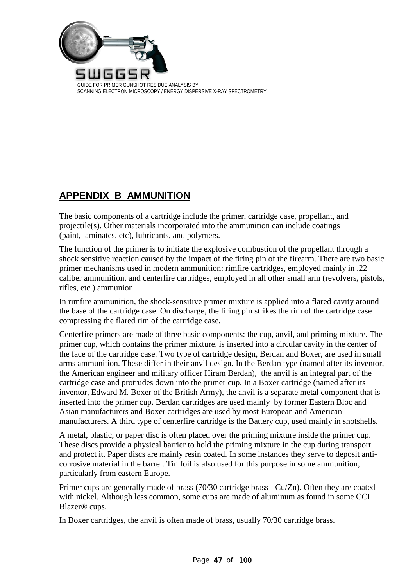

# **APPENDIX B AMMUNITION**

The basic components of a cartridge include the primer, cartridge case, propellant, and projectile(s). Other materials incorporated into the ammunition can include coatings (paint, laminates, etc), lubricants, and polymers.

The function of the primer is to initiate the explosive combustion of the propellant through a shock sensitive reaction caused by the impact of the firing pin of the firearm. There are two basic primer mechanisms used in modern ammunition: rimfire cartridges, employed mainly in .22 caliber ammunition, and centerfire cartridges, employed in all other small arm (revolvers, pistols, rifles, etc.) ammunion.

In rimfire ammunition, the shock-sensitive primer mixture is applied into a flared cavity around the base of the cartridge case. On discharge, the firing pin strikes the rim of the cartridge case compressing the flared rim of the cartridge case.

Centerfire primers are made of three basic components: the cup, anvil, and priming mixture. The primer cup, which contains the primer mixture, is inserted into a circular cavity in the center of the face of the cartridge case. Two type of cartridge design, Berdan and Boxer, are used in small arms ammunition. These differ in their anvil design. In the Berdan type (named after its inventor, the American engineer and military officer Hiram Berdan), the anvil is an integral part of the cartridge case and protrudes down into the primer cup. In a Boxer cartridge (named after its inventor, Edward M. Boxer of the British Army), the anvil is a separate metal component that is inserted into the primer cup. Berdan cartridges are used mainly by former Eastern Bloc and Asian manufacturers and Boxer cartridges are used by most European and American manufacturers. A third type of centerfire cartridge is the Battery cup, used mainly in shotshells.

A metal, plastic, or paper disc is often placed over the priming mixture inside the primer cup. These discs provide a physical barrier to hold the priming mixture in the cup during transport and protect it. Paper discs are mainly resin coated. In some instances they serve to deposit anticorrosive material in the barrel. Tin foil is also used for this purpose in some ammunition, particularly from eastern Europe.

Primer cups are generally made of brass (70/30 cartridge brass - Cu/Zn). Often they are coated with nickel. Although less common, some cups are made of aluminum as found in some CCI Blazer® cups.

In Boxer cartridges, the anvil is often made of brass, usually 70/30 cartridge brass.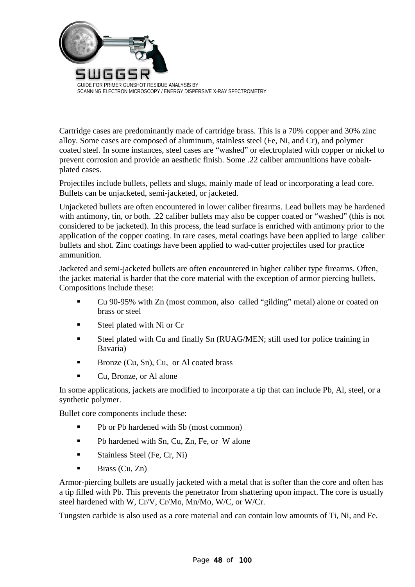

Cartridge cases are predominantly made of cartridge brass. This is a 70% copper and 30% zinc alloy. Some cases are composed of aluminum, stainless steel (Fe, Ni, and Cr), and polymer coated steel. In some instances, steel cases are "washed" or electroplated with copper or nickel to prevent corrosion and provide an aesthetic finish. Some .22 caliber ammunitions have cobaltplated cases.

Projectiles include bullets, pellets and slugs, mainly made of lead or incorporating a lead core. Bullets can be unjacketed, semi-jacketed, or jacketed.

Unjacketed bullets are often encountered in lower caliber firearms. Lead bullets may be hardened with antimony, tin, or both. .22 caliber bullets may also be copper coated or "washed" (this is not considered to be jacketed). In this process, the lead surface is enriched with antimony prior to the application of the copper coating. In rare cases, metal coatings have been applied to large caliber bullets and shot. Zinc coatings have been applied to wad-cutter projectiles used for practice ammunition.

Jacketed and semi-jacketed bullets are often encountered in higher caliber type firearms. Often, the jacket material is harder that the core material with the exception of armor piercing bullets. Compositions include these:

- Cu 90-95% with Zn (most common, also called "gilding" metal) alone or coated on brass or steel
- Steel plated with Ni or Cr
- Steel plated with Cu and finally Sn (RUAG/MEN; still used for police training in Bavaria)
- Bronze (Cu, Sn), Cu, or Al coated brass
- Cu, Bronze, or Al alone

In some applications, jackets are modified to incorporate a tip that can include Pb, Al, steel, or a synthetic polymer.

Bullet core components include these:

- **Phoney** Pb or Pb hardened with Sb (most common)
- **Ph hardened with Sn, Cu, Zn, Fe, or W alone**
- $\blacksquare$  Stainless Steel (Fe, Cr, Ni)
- $\blacksquare$  Brass (Cu, Zn)

Armor-piercing bullets are usually jacketed with a metal that is softer than the core and often has a tip filled with Pb. This prevents the penetrator from shattering upon impact. The core is usually steel hardened with W, Cr/V, Cr/Mo, Mn/Mo, W/C, or W/Cr.

Tungsten carbide is also used as a core material and can contain low amounts of Ti, Ni, and Fe.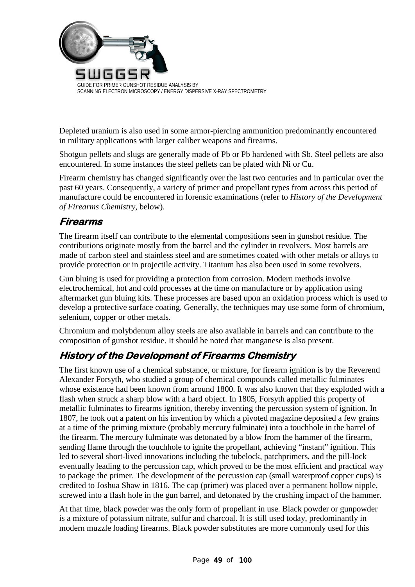

Depleted uranium is also used in some armor-piercing ammunition predominantly encountered in military applications with larger caliber weapons and firearms.

Shotgun pellets and slugs are generally made of Pb or Pb hardened with Sb. Steel pellets are also encountered. In some instances the steel pellets can be plated with Ni or Cu.

Firearm chemistry has changed significantly over the last two centuries and in particular over the past 60 years. Consequently, a variety of primer and propellant types from across this period of manufacture could be encountered in forensic examinations (refer to *History of the Development of Firearms Chemistry*, below).

## **Firearms**

The firearm itself can contribute to the elemental compositions seen in gunshot residue. The contributions originate mostly from the barrel and the cylinder in revolvers. Most barrels are made of carbon steel and stainless steel and are sometimes coated with other metals or alloys to provide protection or in projectile activity. Titanium has also been used in some revolvers.

Gun bluing is used for providing a protection from corrosion. Modern methods involve electrochemical, hot and cold processes at the time on manufacture or by application using aftermarket gun bluing kits. These processes are based upon an oxidation process which is used to develop a protective surface coating. Generally, the techniques may use some form of chromium, selenium, copper or other metals.

Chromium and molybdenum alloy steels are also available in barrels and can contribute to the composition of gunshot residue. It should be noted that manganese is also present.

# **History of the Development of Firearms Chemistry**

The first known use of a chemical substance, or mixture, for firearm ignition is by the Reverend Alexander Forsyth, who studied a group of chemical compounds called metallic fulminates whose existence had been known from around 1800. It was also known that they exploded with a flash when struck a sharp blow with a hard object. In 1805, Forsyth applied this property of metallic fulminates to firearms ignition, thereby inventing the percussion system of ignition. In 1807, he took out a patent on his invention by which a pivoted magazine deposited a few grains at a time of the priming mixture (probably mercury fulminate) into a touchhole in the barrel of the firearm. The mercury fulminate was detonated by a blow from the hammer of the firearm, sending flame through the touchhole to ignite the propellant, achieving "instant" ignition. This led to several short-lived innovations including the tubelock, patchprimers, and the pill-lock eventually leading to the percussion cap, which proved to be the most efficient and practical way to package the primer. The development of the percussion cap (small waterproof copper cups) is credited to Joshua Shaw in 1816. The cap (primer) was placed over a permanent hollow nipple, screwed into a flash hole in the gun barrel, and detonated by the crushing impact of the hammer.

At that time, black powder was the only form of propellant in use. Black powder or gunpowder is a mixture of potassium nitrate, sulfur and charcoal. It is still used today, predominantly in modern muzzle loading firearms. Black powder substitutes are more commonly used for this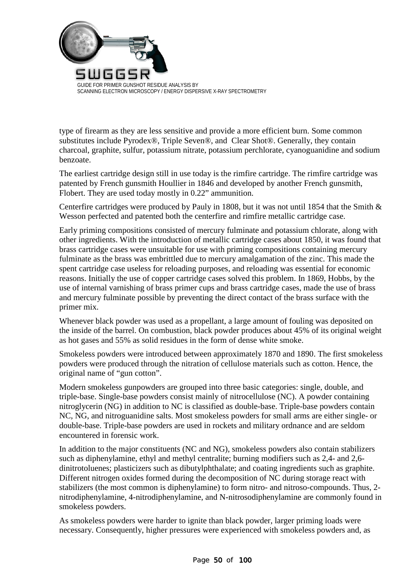

type of firearm as they are less sensitive and provide a more efficient burn. Some common substitutes include Pyrodex®, Triple Seven®, and Clear Shot®. Generally, they contain charcoal, graphite, sulfur, potassium nitrate, potassium perchlorate, cyanoguanidine and sodium benzoate.

The earliest cartridge design still in use today is the rimfire cartridge. The rimfire cartridge was patented by French gunsmith Houllier in 1846 and developed by another French gunsmith, Flobert. They are used today mostly in 0.22" ammunition.

Centerfire cartridges were produced by Pauly in 1808, but it was not until 1854 that the Smith & Wesson perfected and patented both the centerfire and rimfire metallic cartridge case.

Early priming compositions consisted of mercury fulminate and potassium chlorate, along with other ingredients. With the introduction of metallic cartridge cases about 1850, it was found that brass cartridge cases were unsuitable for use with priming compositions containing mercury fulminate as the brass was embrittled due to mercury amalgamation of the zinc. This made the spent cartridge case useless for reloading purposes, and reloading was essential for economic reasons. Initially the use of copper cartridge cases solved this problem. In 1869, Hobbs, by the use of internal varnishing of brass primer cups and brass cartridge cases, made the use of brass and mercury fulminate possible by preventing the direct contact of the brass surface with the primer mix.

Whenever black powder was used as a propellant, a large amount of fouling was deposited on the inside of the barrel. On combustion, black powder produces about 45% of its original weight as hot gases and 55% as solid residues in the form of dense white smoke.

Smokeless powders were introduced between approximately 1870 and 1890. The first smokeless powders were produced through the nitration of cellulose materials such as cotton. Hence, the original name of "gun cotton".

Modern smokeless gunpowders are grouped into three basic categories: single, double, and triple-base. Single-base powders consist mainly of nitrocellulose (NC). A powder containing nitroglycerin (NG) in addition to NC is classified as double-base. Triple-base powders contain NC, NG, and nitroguanidine salts. Most smokeless powders for small arms are either single- or double-base. Triple-base powders are used in rockets and military ordnance and are seldom encountered in forensic work.

In addition to the major constituents (NC and NG), smokeless powders also contain stabilizers such as diphenylamine, ethyl and methyl centralite; burning modifiers such as 2,4- and 2,6 dinitrotoluenes; plasticizers such as dibutylphthalate; and coating ingredients such as graphite. Different nitrogen oxides formed during the decomposition of NC during storage react with stabilizers (the most common is diphenylamine) to form nitro- and nitroso-compounds. Thus, 2 nitrodiphenylamine, 4-nitrodiphenylamine, and N-nitrosodiphenylamine are commonly found in smokeless powders.

As smokeless powders were harder to ignite than black powder, larger priming loads were necessary. Consequently, higher pressures were experienced with smokeless powders and, as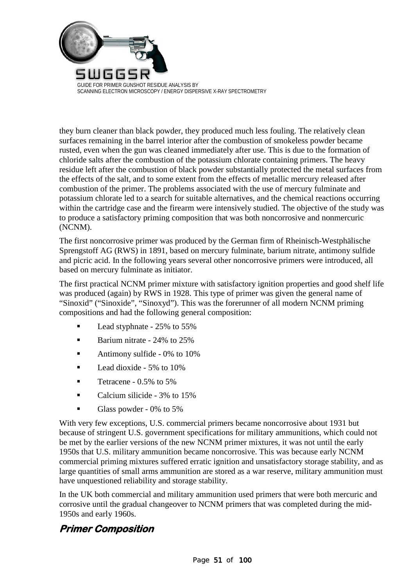

they burn cleaner than black powder, they produced much less fouling. The relatively clean surfaces remaining in the barrel interior after the combustion of smokeless powder became rusted, even when the gun was cleaned immediately after use. This is due to the formation of chloride salts after the combustion of the potassium chlorate containing primers. The heavy residue left after the combustion of black powder substantially protected the metal surfaces from the effects of the salt, and to some extent from the effects of metallic mercury released after combustion of the primer. The problems associated with the use of mercury fulminate and potassium chlorate led to a search for suitable alternatives, and the chemical reactions occurring within the cartridge case and the firearm were intensively studied. The objective of the study was to produce a satisfactory priming composition that was both noncorrosive and nonmercuric (NCNM).

The first noncorrosive primer was produced by the German firm of Rheinisch-Westphälische Sprengstoff AG (RWS) in 1891, based on mercury fulminate, barium nitrate, antimony sulfide and picric acid. In the following years several other noncorrosive primers were introduced, all based on mercury fulminate as initiator.

The first practical NCNM primer mixture with satisfactory ignition properties and good shelf life was produced (again) by RWS in 1928. This type of primer was given the general name of "Sinoxid" ("Sinoxide", "Sinoxyd"). This was the forerunner of all modern NCNM priming compositions and had the following general composition:

- Lead styphnate 25% to 55%
- $\blacksquare$  Barium nitrate 24% to 25%
- Antimony sulfide 0% to 10%
- Lead dioxide 5% to 10%
- **Tetracene 0.5% to 5%**
- Calcium silicide 3% to 15%
- Glass powder 0% to 5%

With very few exceptions, U.S. commercial primers became noncorrosive about 1931 but because of stringent U.S. government specifications for military ammunitions, which could not be met by the earlier versions of the new NCNM primer mixtures, it was not until the early 1950s that U.S. military ammunition became noncorrosive. This was because early NCNM commercial priming mixtures suffered erratic ignition and unsatisfactory storage stability, and as large quantities of small arms ammunition are stored as a war reserve, military ammunition must have unquestioned reliability and storage stability.

In the UK both commercial and military ammunition used primers that were both mercuric and corrosive until the gradual changeover to NCNM primers that was completed during the mid-1950s and early 1960s.

## **Primer Composition**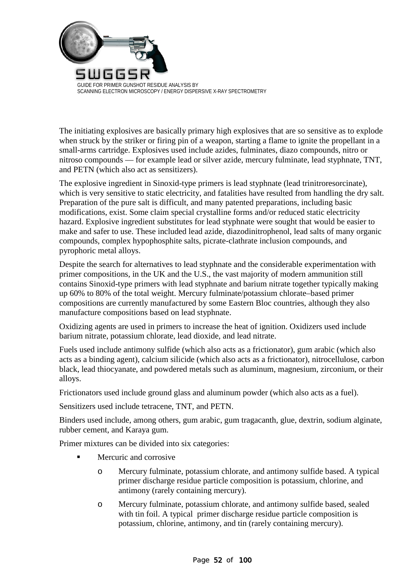

The initiating explosives are basically primary high explosives that are so sensitive as to explode when struck by the striker or firing pin of a weapon, starting a flame to ignite the propellant in a small-arms cartridge. Explosives used include azides, fulminates, diazo compounds, nitro or nitroso compounds — for example lead or silver azide, mercury fulminate, lead styphnate, TNT, and PETN (which also act as sensitizers).

The explosive ingredient in Sinoxid-type primers is lead styphnate (lead trinitroresorcinate), which is very sensitive to static electricity, and fatalities have resulted from handling the dry salt. Preparation of the pure salt is difficult, and many patented preparations, including basic modifications, exist. Some claim special crystalline forms and/or reduced static electricity hazard. Explosive ingredient substitutes for lead styphnate were sought that would be easier to make and safer to use. These included lead azide, diazodinitrophenol, lead salts of many organic compounds, complex hypophosphite salts, picrate-clathrate inclusion compounds, and pyrophoric metal alloys.

Despite the search for alternatives to lead styphnate and the considerable experimentation with primer compositions, in the UK and the U.S., the vast majority of modern ammunition still contains Sinoxid-type primers with lead styphnate and barium nitrate together typically making up 60% to 80% of the total weight. Mercury fulminate/potassium chlorate–based primer compositions are currently manufactured by some Eastern Bloc countries, although they also manufacture compositions based on lead styphnate.

Oxidizing agents are used in primers to increase the heat of ignition. Oxidizers used include barium nitrate, potassium chlorate, lead dioxide, and lead nitrate.

Fuels used include antimony sulfide (which also acts as a frictionator), gum arabic (which also acts as a binding agent), calcium silicide (which also acts as a frictionator), nitrocellulose, carbon black, lead thiocyanate, and powdered metals such as aluminum, magnesium, zirconium, or their alloys.

Frictionators used include ground glass and aluminum powder (which also acts as a fuel).

Sensitizers used include tetracene, TNT, and PETN.

Binders used include, among others, gum arabic, gum tragacanth, glue, dextrin, sodium alginate, rubber cement, and Karaya gum.

Primer mixtures can be divided into six categories:

- Mercuric and corrosive
	- o Mercury fulminate, potassium chlorate, and antimony sulfide based. A typical primer discharge residue particle composition is potassium, chlorine, and antimony (rarely containing mercury).
	- o Mercury fulminate, potassium chlorate, and antimony sulfide based, sealed with tin foil. A typical primer discharge residue particle composition is potassium, chlorine, antimony, and tin (rarely containing mercury).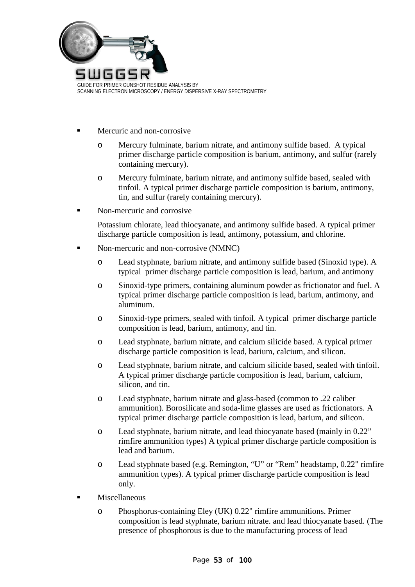

- Mercuric and non-corrosive
	- o Mercury fulminate, barium nitrate, and antimony sulfide based. A typical primer discharge particle composition is barium, antimony, and sulfur (rarely containing mercury).
	- o Mercury fulminate, barium nitrate, and antimony sulfide based, sealed with tinfoil. A typical primer discharge particle composition is barium, antimony, tin, and sulfur (rarely containing mercury).
- Non-mercuric and corrosive

Potassium chlorate, lead thiocyanate, and antimony sulfide based. A typical primer discharge particle composition is lead, antimony, potassium, and chlorine.

- Non-mercuric and non-corrosive (NMNC)
	- o Lead styphnate, barium nitrate, and antimony sulfide based (Sinoxid type). A typical primer discharge particle composition is lead, barium, and antimony
	- o Sinoxid-type primers, containing aluminum powder as frictionator and fuel. A typical primer discharge particle composition is lead, barium, antimony, and aluminum.
	- o Sinoxid-type primers, sealed with tinfoil. A typical primer discharge particle composition is lead, barium, antimony, and tin.
	- o Lead styphnate, barium nitrate, and calcium silicide based. A typical primer discharge particle composition is lead, barium, calcium, and silicon.
	- o Lead styphnate, barium nitrate, and calcium silicide based, sealed with tinfoil. A typical primer discharge particle composition is lead, barium, calcium, silicon, and tin.
	- o Lead styphnate, barium nitrate and glass-based (common to .22 caliber ammunition). Borosilicate and soda-lime glasses are used as frictionators. A typical primer discharge particle composition is lead, barium, and silicon.
	- o Lead styphnate, barium nitrate, and lead thiocyanate based (mainly in 0.22" rimfire ammunition types) A typical primer discharge particle composition is lead and barium.
	- o Lead styphnate based (e.g. Remington, "U" or "Rem" headstamp, 0.22" rimfire ammunition types). A typical primer discharge particle composition is lead only.
- Miscellaneous
	- o Phosphorus-containing Eley (UK) 0.22" rimfire ammunitions. Primer composition is lead styphnate, barium nitrate. and lead thiocyanate based. (The presence of phosphorous is due to the manufacturing process of lead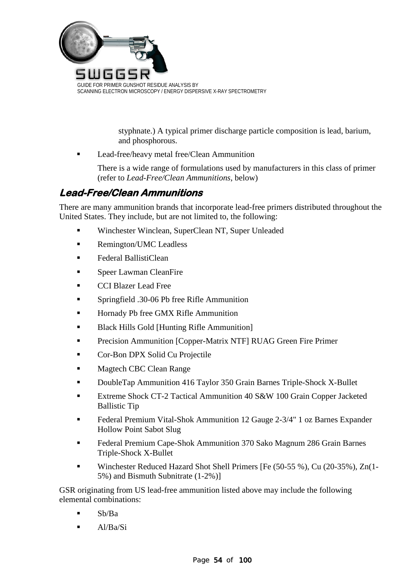

styphnate.) A typical primer discharge particle composition is lead, barium, and phosphorous.

Lead-free/heavy metal free/Clean Ammunition

There is a wide range of formulations used by manufacturers in this class of primer (refer to *Lead-Free/Clean Ammunitions*, below)

## **Lead-Free/Clean Ammunitions**

There are many ammunition brands that incorporate lead-free primers distributed throughout the United States. They include, but are not limited to, the following:

- Winchester Winclean, SuperClean NT, Super Unleaded
- **Remington/UMC Leadless**
- **Federal BallistiClean**
- Speer Lawman CleanFire
- **CCI Blazer Lead Free**
- **Springfield .30-06 Pb free Rifle Ammunition**
- Hornady Pb free GMX Rifle Ammunition
- Black Hills Gold [Hunting Rifle Ammunition]
- **Precision Ammunition [Copper-Matrix NTF] RUAG Green Fire Primer**
- Cor-Bon DPX Solid Cu Projectile
- Magtech CBC Clean Range
- DoubleTap Ammunition 416 Taylor 350 Grain Barnes Triple-Shock X-Bullet
- Extreme Shock CT-2 Tactical Ammunition 40 S&W 100 Grain Copper Jacketed Ballistic Tip
- Federal Premium Vital-Shok Ammunition 12 Gauge 2-3/4" 1 oz Barnes Expander Hollow Point Sabot Slug
- Federal Premium Cape-Shok Ammunition 370 Sako Magnum 286 Grain Barnes Triple-Shock X-Bullet
- Winchester Reduced Hazard Shot Shell Primers [Fe (50-55 %), Cu (20-35%), Zn(1-5%) and Bismuth Subnitrate (1-2%)]

GSR originating from US lead-free ammunition listed above may include the following elemental combinations:

- Sb/Ba
- Al/Ba/Si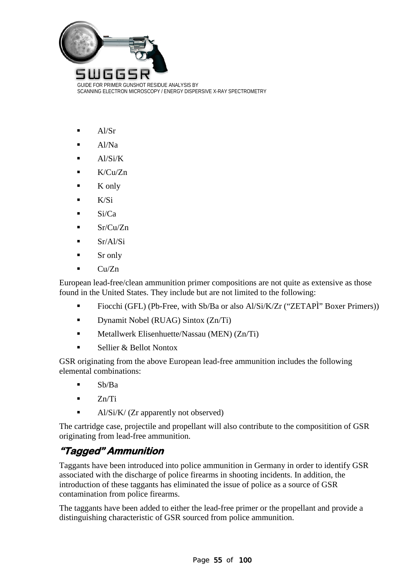

- $\blacksquare$  Al/Sr
- $\blacksquare$  Al/Na
- Al/Si/K
- K/Cu/Zn
- K only
- K/Si
- Si/Ca
- Sr/Cu/Zn
- Sr/Al/Si
- $\blacksquare$  Sr only
- $\blacksquare$   $Cu/Zn$

European lead-free/clean ammunition primer compositions are not quite as extensive as those found in the United States. They include but are not limited to the following:

- Fiocchi (GFL) (Pb-Free, with Sb/Ba or also Al/Si/K/Zr ("ZETAPÌ" Boxer Primers))
- **Dynamit Nobel (RUAG) Sintox (Zn/Ti)**
- $\blacksquare$  Metallwerk Elisenhuette/Nassau (MEN) (Zn/Ti)
- Sellier & Bellot Nontox

GSR originating from the above European lead-free ammunition includes the following elemental combinations:

- Sb/Ba
- $Zn/Ti$
- Al/Si/K/ (Zr apparently not observed)

The cartridge case, projectile and propellant will also contribute to the compositition of GSR originating from lead-free ammunition.

## **"Tagged" Ammunition**

Taggants have been introduced into police ammunition in Germany in order to identify GSR associated with the discharge of police firearms in shooting incidents. In addition, the introduction of these taggants has eliminated the issue of police as a source of GSR contamination from police firearms.

The taggants have been added to either the lead-free primer or the propellant and provide a distinguishing characteristic of GSR sourced from police ammunition.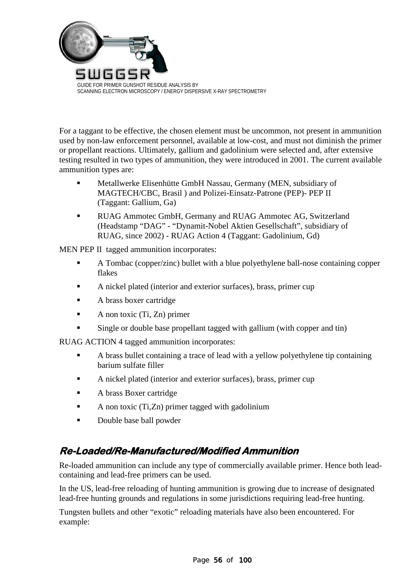

For a taggant to be effective, the chosen element must be uncommon, not present in ammunition used by non-law enforcement personnel, available at low-cost, and must not diminish the primer or propellant reactions. Ultimately, gallium and gadolinium were selected and, after extensive testing resulted in two types of ammunition, they were introduced in 2001. The current available ammunition types are:

- Metallwerke Elisenhütte GmbH Nassau, Germany (MEN, subsidiary of MAGTECH/CBC, Brasil ) and Polizei-Einsatz-Patrone (PEP)- PEP II (Taggant: Gallium, Ga)
- RUAG Ammotec GmbH, Germany and RUAG Ammotec AG, Switzerland (Headstamp "DAG" - "Dynamit-Nobel Aktien Gesellschaft", subsidiary of RUAG, since 2002) - RUAG Action 4 (Taggant: Gadolinium, Gd)

MEN PEP II tagged ammunition incorporates:

- A Tombac (copper/zinc) bullet with a blue polyethylene ball-nose containing copper flakes
- A nickel plated (interior and exterior surfaces), brass, primer cup
- A brass boxer cartridge
- A non toxic  $(T_i, Z_n)$  primer
- Single or double base propellant tagged with gallium (with copper and tin)

RUAG ACTION 4 tagged ammunition incorporates:

- A brass bullet containing a trace of lead with a yellow polyethylene tip containing barium sulfate filler
- A nickel plated (interior and exterior surfaces), brass, primer cup
- A brass Boxer cartridge
- A non toxic  $(T_i,Z_n)$  primer tagged with gadolinium
- Double base ball powder

## **Re-Loaded/Re-Manufactured/Modified Ammunition**

Re-loaded ammunition can include any type of commercially available primer. Hence both leadcontaining and lead-free primers can be used.

In the US, lead-free reloading of hunting ammunition is growing due to increase of designated lead-free hunting grounds and regulations in some jurisdictions requiring lead-free hunting.

Tungsten bullets and other "exotic" reloading materials have also been encountered. For example: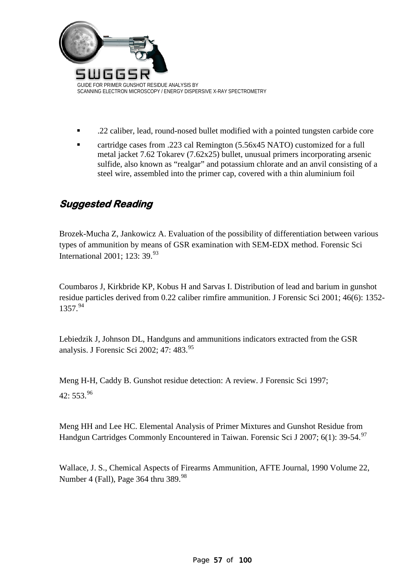

- .22 caliber, lead, round-nosed bullet modified with a pointed tungsten carbide core
- cartridge cases from .223 cal Remington (5.56x45 NATO) customized for a full metal jacket 7.62 Tokarev (7.62x25) bullet, unusual primers incorporating arsenic sulfide, also known as "realgar" and potassium chlorate and an anvil consisting of a steel wire, assembled into the primer cap, covered with a thin aluminium foil

## **Suggested Reading**

Brozek-Mucha Z, Jankowicz A. Evaluation of the possibility of differentiation between various types of ammunition by means of GSR examination with SEM-EDX method. Forensic Sci International 2001; 123: 39.<sup>[93](#page-99-6)</sup>

Coumbaros J, Kirkbride KP, Kobus H and Sarvas I. Distribution of lead and barium in gunshot residue particles derived from 0.22 caliber rimfire ammunition. J Forensic Sci 2001; 46(6): 1352- 1357.[94](#page-99-7)

Lebiedzik J, Johnson DL, Handguns and ammunitions indicators extracted from the GSR analysis. J Forensic Sci 2002; 47: 483.<sup>[95](#page-99-8)</sup>

Meng H-H, Caddy B. Gunshot residue detection: A review. J Forensic Sci 1997; 42:  $553^{96}$  $553^{96}$  $553^{96}$ 

Meng HH and Lee HC. Elemental Analysis of Primer Mixtures and Gunshot Residue from Handgun Cartridges Commonly Encountered in Taiwan. Forensic Sci J 2007; 6(1): 39-54.<sup>[97](#page-99-10)</sup>

Wallace, J. S., Chemical Aspects of Firearms Ammunition, AFTE Journal, 1990 Volume 22, Number 4 (Fall), Page 364 thru  $389.^{98}$  $389.^{98}$  $389.^{98}$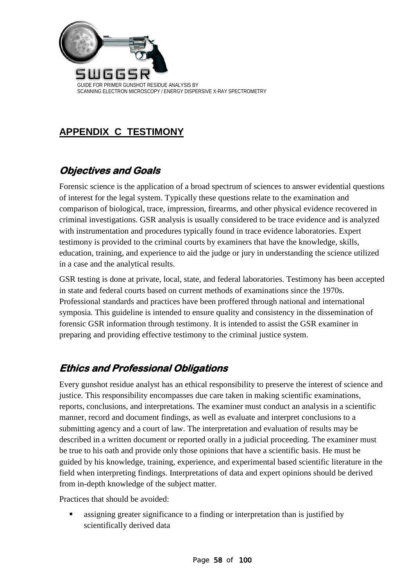

# **APPENDIX C TESTIMONY**

# **Objectives and Goals**

Forensic science is the application of a broad spectrum of sciences to answer evidential questions of interest for the legal system. Typically these questions relate to the examination and comparison of biological, trace, impression, firearms, and other physical evidence recovered in criminal investigations. GSR analysis is usually considered to be trace evidence and is analyzed with instrumentation and procedures typically found in trace evidence laboratories. Expert testimony is provided to the criminal courts by examiners that have the knowledge, skills, education, training, and experience to aid the judge or jury in understanding the science utilized in a case and the analytical results.

GSR testing is done at private, local, state, and federal laboratories. Testimony has been accepted in state and federal courts based on current methods of examinations since the 1970s. Professional standards and practices have been proffered through national and international symposia. This guideline is intended to ensure quality and consistency in the dissemination of forensic GSR information through testimony. It is intended to assist the GSR examiner in preparing and providing effective testimony to the criminal justice system.

# **Ethics and Professional Obligations**

Every gunshot residue analyst has an ethical responsibility to preserve the interest of science and justice. This responsibility encompasses due care taken in making scientific examinations, reports, conclusions, and interpretations. The examiner must conduct an analysis in a scientific manner, record and document findings, as well as evaluate and interpret conclusions to a submitting agency and a court of law. The interpretation and evaluation of results may be described in a written document or reported orally in a judicial proceeding. The examiner must be true to his oath and provide only those opinions that have a scientific basis. He must be guided by his knowledge, training, experience, and experimental based scientific literature in the field when interpreting findings. Interpretations of data and expert opinions should be derived from in-depth knowledge of the subject matter.

Practices that should be avoided:

 assigning greater significance to a finding or interpretation than is justified by scientifically derived data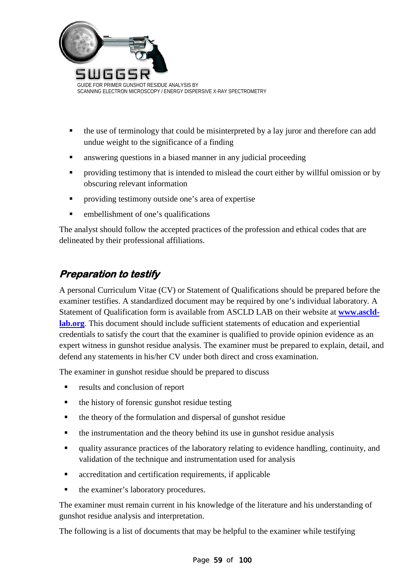

- the use of terminology that could be misinterpreted by a lay juror and therefore can add undue weight to the significance of a finding
- answering questions in a biased manner in any judicial proceeding
- providing testimony that is intended to mislead the court either by willful omission or by obscuring relevant information
- **Part Figure 1** providing testimony outside one's area of expertise
- embellishment of one's qualifications

The analyst should follow the accepted practices of the profession and ethical codes that are delineated by their professional affiliations.

## **Preparation to testify**

A personal Curriculum Vitae (CV) or Statement of Qualifications should be prepared before the examiner testifies. A standardized document may be required by one's individual laboratory*.* A Statement of Qualification form is available from ASCLD LAB on their website at **www.ascldlab.org**. This document should include sufficient statements of education and experiential credentials to satisfy the court that the examiner is qualified to provide opinion evidence as an expert witness in gunshot residue analysis. The examiner must be prepared to explain, detail, and defend any statements in his/her CV under both direct and cross examination.

The examiner in gunshot residue should be prepared to discuss

- results and conclusion of report
- the history of forensic gunshot residue testing
- the theory of the formulation and dispersal of gunshot residue
- the instrumentation and the theory behind its use in gunshot residue analysis
- quality assurance practices of the laboratory relating to evidence handling, continuity, and validation of the technique and instrumentation used for analysis
- accreditation and certification requirements, if applicable
- the examiner's laboratory procedures.

The examiner must remain current in his knowledge of the literature and his understanding of gunshot residue analysis and interpretation.

The following is a list of documents that may be helpful to the examiner while testifying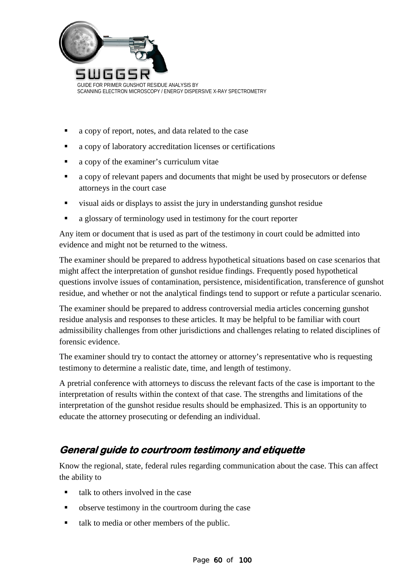

- a copy of report, notes, and data related to the case
- a copy of laboratory accreditation licenses or certifications
- a copy of the examiner's curriculum vitae
- a copy of relevant papers and documents that might be used by prosecutors or defense attorneys in the court case
- visual aids or displays to assist the jury in understanding gunshot residue
- a glossary of terminology used in testimony for the court reporter

Any item or document that is used as part of the testimony in court could be admitted into evidence and might not be returned to the witness.

The examiner should be prepared to address hypothetical situations based on case scenarios that might affect the interpretation of gunshot residue findings. Frequently posed hypothetical questions involve issues of contamination, persistence, misidentification, transference of gunshot residue, and whether or not the analytical findings tend to support or refute a particular scenario.

The examiner should be prepared to address controversial media articles concerning gunshot residue analysis and responses to these articles. It may be helpful to be familiar with court admissibility challenges from other jurisdictions and challenges relating to related disciplines of forensic evidence.

The examiner should try to contact the attorney or attorney's representative who is requesting testimony to determine a realistic date, time, and length of testimony.

A pretrial conference with attorneys to discuss the relevant facts of the case is important to the interpretation of results within the context of that case. The strengths and limitations of the interpretation of the gunshot residue results should be emphasized. This is an opportunity to educate the attorney prosecuting or defending an individual.

# **General guide to courtroom testimony and etiquette**

Know the regional, state, federal rules regarding communication about the case. This can affect the ability to

- talk to others involved in the case
- observe testimony in the courtroom during the case
- talk to media or other members of the public.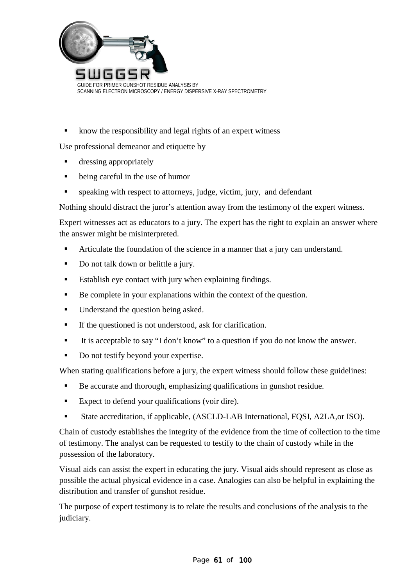

know the responsibility and legal rights of an expert witness

Use professional demeanor and etiquette by

- **dressing appropriately**
- being careful in the use of humor
- speaking with respect to attorneys, judge, victim, jury, and defendant

Nothing should distract the juror's attention away from the testimony of the expert witness.

Expert witnesses act as educators to a jury. The expert has the right to explain an answer where the answer might be misinterpreted.

- Articulate the foundation of the science in a manner that a jury can understand.
- Do not talk down or belittle a jury.
- Establish eye contact with jury when explaining findings.
- Be complete in your explanations within the context of the question.
- Understand the question being asked.
- If the questioned is not understood, ask for clarification.
- It is acceptable to say "I don't know" to a question if you do not know the answer.
- Do not testify beyond your expertise.

When stating qualifications before a jury, the expert witness should follow these guidelines:

- Be accurate and thorough, emphasizing qualifications in gunshot residue.
- Expect to defend your qualifications (voir dire).
- State accreditation, if applicable, (ASCLD-LAB International, FQSI, A2LA,or ISO).

Chain of custody establishes the integrity of the evidence from the time of collection to the time of testimony. The analyst can be requested to testify to the chain of custody while in the possession of the laboratory.

Visual aids can assist the expert in educating the jury. Visual aids should represent as close as possible the actual physical evidence in a case. Analogies can also be helpful in explaining the distribution and transfer of gunshot residue.

The purpose of expert testimony is to relate the results and conclusions of the analysis to the judiciary.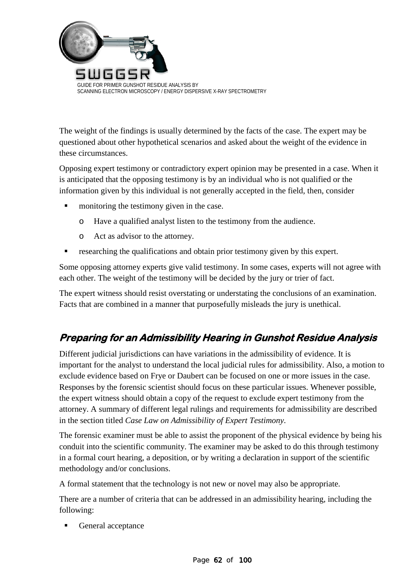

The weight of the findings is usually determined by the facts of the case. The expert may be questioned about other hypothetical scenarios and asked about the weight of the evidence in these circumstances.

Opposing expert testimony or contradictory expert opinion may be presented in a case. When it is anticipated that the opposing testimony is by an individual who is not qualified or the information given by this individual is not generally accepted in the field, then, consider

- monitoring the testimony given in the case.
	- o Have a qualified analyst listen to the testimony from the audience.
	- o Act as advisor to the attorney.
- researching the qualifications and obtain prior testimony given by this expert.

Some opposing attorney experts give valid testimony. In some cases, experts will not agree with each other. The weight of the testimony will be decided by the jury or trier of fact.

The expert witness should resist overstating or understating the conclusions of an examination. Facts that are combined in a manner that purposefully misleads the jury is unethical.

# **Preparing for an Admissibility Hearing in Gunshot Residue Analysis**

Different judicial jurisdictions can have variations in the admissibility of evidence. It is important for the analyst to understand the local judicial rules for admissibility. Also, a motion to exclude evidence based on Frye or Daubert can be focused on one or more issues in the case. Responses by the forensic scientist should focus on these particular issues. Whenever possible, the expert witness should obtain a copy of the request to exclude expert testimony from the attorney. A summary of different legal rulings and requirements for admissibility are described in the section titled *Case Law on Admissibility of Expert Testimony*.

The forensic examiner must be able to assist the proponent of the physical evidence by being his conduit into the scientific community. The examiner may be asked to do this through testimony in a formal court hearing, a deposition, or by writing a declaration in support of the scientific methodology and/or conclusions.

A formal statement that the technology is not new or novel may also be appropriate.

There are a number of criteria that can be addressed in an admissibility hearing, including the following:

General acceptance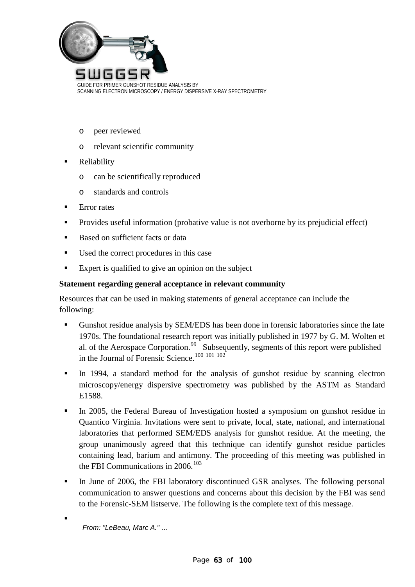

- o peer reviewed
- o relevant scientific community
- Reliability
	- o can be scientifically reproduced
	- o standards and controls
- Error rates
- Provides useful information (probative value is not overborne by its prejudicial effect)
- Based on sufficient facts or data
- Used the correct procedures in this case
- Expert is qualified to give an opinion on the subject

#### **Statement regarding general acceptance in relevant community**

Resources that can be used in making statements of general acceptance can include the following:

- Gunshot residue analysis by SEM/EDS has been done in forensic laboratories since the late 1970s. The foundational research report was initially published in 1977 by G. M. Wolten et al. of the Aerospace Corporation.<sup>[99](#page-99-12)</sup> Subsequently, segments of this report were published in the Journal of Forensic Science.<sup>[100](#page-99-13) [101](#page-99-14) [102](#page-99-15)</sup>
- In 1994, a standard method for the analysis of gunshot residue by scanning electron microscopy/energy dispersive spectrometry was published by the ASTM as Standard E1588.
- In 2005, the Federal Bureau of Investigation hosted a symposium on gunshot residue in Quantico Virginia. Invitations were sent to private, local, state, national, and international laboratories that performed SEM/EDS analysis for gunshot residue. At the meeting, the group unanimously agreed that this technique can identify gunshot residue particles containing lead, barium and antimony. The proceeding of this meeting was published in the FBI Communications in  $2006$ .<sup>[103](#page-99-16)</sup>
- In June of 2006, the FBI laboratory discontinued GSR analyses. The following personal communication to answer questions and concerns about this decision by the FBI was send to the Forensic-SEM listserve. The following is the complete text of this message.

*From: "LeBeau, Marc A." …*

.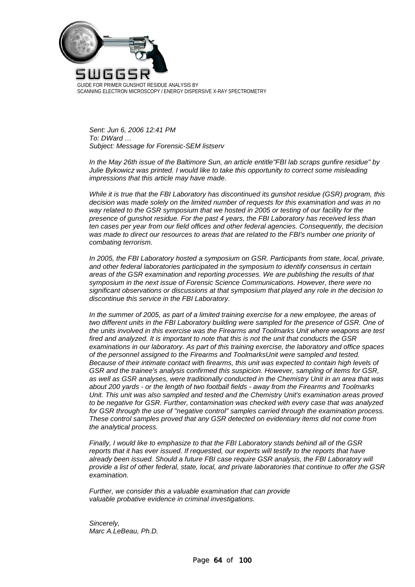

*Sent: Jun 6, 2006 12:41 PM To: DWard … Subject: Message for Forensic-SEM listserv*

*In the May 26th issue of the Baltimore Sun, an article entitle"FBI lab scraps gunfire residue" by Julie Bykowicz was printed. I would like to take this opportunity to correct some misleading impressions that this article may have made.* 

*While it is true that the FBI Laboratory has discontinued its gunshot residue (GSR) program, this decision was made solely on the limited number of requests for this examination and was in no way related to the GSR symposium that we hosted in 2005 or testing of our facility for the presence of gunshot residue. For the past 4 years, the FBI Laboratory has received less than ten cases per year from our field offices and other federal agencies. Consequently, the decision was made to direct our resources to areas that are related to the FBI's number one priority of combating terrorism.*

*In 2005, the FBI Laboratory hosted a symposium on GSR. Participants from state, local, private, and other federal laboratories participated in the symposium to identify consensus in certain areas of the GSR examination and reporting processes. We are publishing the results of that symposium in the next issue of Forensic Science Communications. However, there were no significant observations or discussions at that symposium that played any role in the decision to discontinue this service in the FBI Laboratory.* 

*In the summer of 2005, as part of a limited training exercise for a new employee, the areas of two different units in the FBI Laboratory building were sampled for the presence of GSR. One of the units involved in this exercise was the Firearms and Toolmarks Unit where weapons are test fired and analyzed. It is important to note that this is not the unit that conducts the GSR examinations in our laboratory. As part of this training exercise, the laboratory and office spaces of the personnel assigned to the Firearms and ToolmarksUnit were sampled and tested. Because of their intimate contact with firearms, this unit was expected to contain high levels of GSR and the trainee's analysis confirmed this suspicion. However, sampling of items for GSR, as well as GSR analyses, were traditionally conducted in the Chemistry Unit in an area that was about 200 yards - or the length of two football fields - away from the Firearms and Toolmarks Unit. This unit was also sampled and tested and the Chemistry Unit's examination areas proved to be negative for GSR. Further, contamination was checked with every case that was analyzed for GSR through the use of "negative control" samples carried through the examination process. These control samples proved that any GSR detected on evidentiary items did not come from the analytical process.* 

*Finally, I would like to emphasize to that the FBI Laboratory stands behind all of the GSR reports that it has ever issued. If requested, our experts will testify to the reports that have already been issued. Should a future FBI case require GSR analysis, the FBI Laboratory will provide a list of other federal, state, local, and private laboratories that continue to offer the GSR examination.* 

*Further, we consider this a valuable examination that can provide valuable probative evidence in criminal investigations.*

*Sincerely, Marc A.LeBeau, Ph.D.*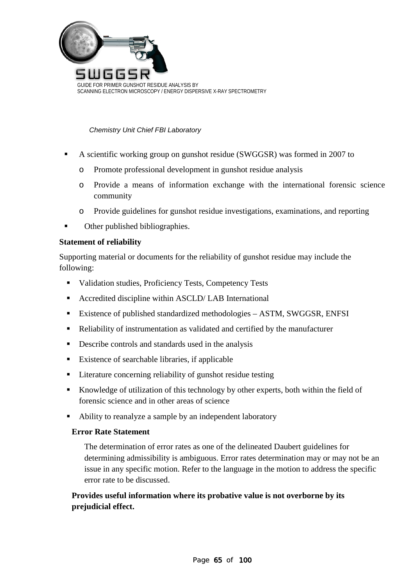

#### *Chemistry Unit Chief FBI Laboratory*

- A scientific working group on gunshot residue (SWGGSR) was formed in 2007 to
	- o Promote professional development in gunshot residue analysis
	- o Provide a means of information exchange with the international forensic science community
	- o Provide guidelines for gunshot residue investigations, examinations, and reporting
- Other published bibliographies.

#### **Statement of reliability**

Supporting material or documents for the reliability of gunshot residue may include the following:

- Validation studies, Proficiency Tests, Competency Tests
- Accredited discipline within ASCLD/ LAB International
- Existence of published standardized methodologies ASTM, SWGGSR, ENFSI
- Reliability of instrumentation as validated and certified by the manufacturer
- Describe controls and standards used in the analysis
- Existence of searchable libraries, if applicable
- Literature concerning reliability of gunshot residue testing
- Knowledge of utilization of this technology by other experts, both within the field of forensic science and in other areas of science
- Ability to reanalyze a sample by an independent laboratory

#### **Error Rate Statement**

The determination of error rates as one of the delineated Daubert guidelines for determining admissibility is ambiguous. Error rates determination may or may not be an issue in any specific motion. Refer to the language in the motion to address the specific error rate to be discussed.

### **Provides useful information where its probative value is not overborne by its prejudicial effect.**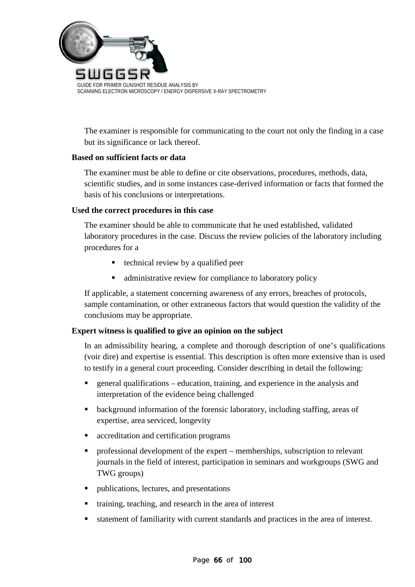

The examiner is responsible for communicating to the court not only the finding in a case but its significance or lack thereof.

#### **Based on sufficient facts or data**

The examiner must be able to define or cite observations, procedures, methods, data, scientific studies, and in some instances case-derived information or facts that formed the basis of his conclusions or interpretations.

#### **Used the correct procedures in this case**

The examiner should be able to communicate that he used established, validated laboratory procedures in the case. Discuss the review policies of the laboratory including procedures for a

- technical review by a qualified peer
- administrative review for compliance to laboratory policy

If applicable, a statement concerning awareness of any errors, breaches of protocols, sample contamination, or other extraneous factors that would question the validity of the conclusions may be appropriate.

### **Expert witness is qualified to give an opinion on the subject**

In an admissibility hearing, a complete and thorough description of one's qualifications (voir dire) and expertise is essential. This description is often more extensive than is used to testify in a general court proceeding. Consider describing in detail the following:

- general qualifications education, training, and experience in the analysis and interpretation of the evidence being challenged
- background information of the forensic laboratory, including staffing, areas of expertise, area serviced, longevity
- accreditation and certification programs
- professional development of the expert memberships, subscription to relevant journals in the field of interest, participation in seminars and workgroups (SWG and TWG groups)
- publications, lectures, and presentations
- training, teaching, and research in the area of interest
- statement of familiarity with current standards and practices in the area of interest.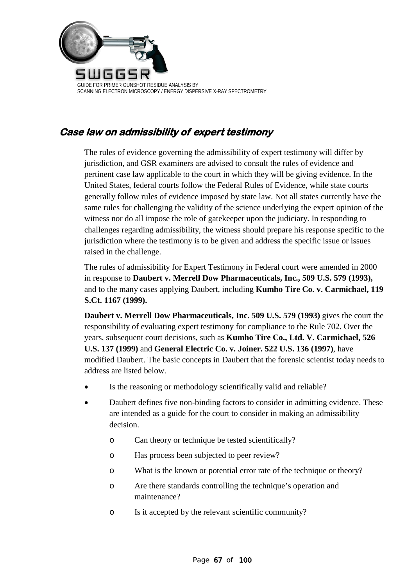

## **Case law on admissibility of expert testimony**

The rules of evidence governing the admissibility of expert testimony will differ by jurisdiction, and GSR examiners are advised to consult the rules of evidence and pertinent case law applicable to the court in which they will be giving evidence. In the United States, federal courts follow the Federal Rules of Evidence, while state courts generally follow rules of evidence imposed by state law. Not all states currently have the same rules for challenging the validity of the science underlying the expert opinion of the witness nor do all impose the role of gatekeeper upon the judiciary. In responding to challenges regarding admissibility, the witness should prepare his response specific to the jurisdiction where the testimony is to be given and address the specific issue or issues raised in the challenge.

The rules of admissibility for Expert Testimony in Federal court were amended in 2000 in response to **Daubert v. Merrell Dow Pharmaceuticals, Inc., 509 U.S. 579 (1993),** and to the many cases applying Daubert, including **Kumho Tire Co. v. Carmichael, 119 S.Ct. 1167 (1999).**

**Daubert v. Merrell Dow Pharmaceuticals, Inc. 509 U.S. 579 (1993)** gives the court the responsibility of evaluating expert testimony for compliance to the Rule 702. Over the years, subsequent court decisions, such as **Kumho Tire Co., Ltd. V. Carmichael, 526 U.S. 137 (1999)** and **General Electric Co. v. Joiner. 522 U.S. 136 (1997)**, have modified Daubert. The basic concepts in Daubert that the forensic scientist today needs to address are listed below.

- Is the reasoning or methodology scientifically valid and reliable?
- Daubert defines five non-binding factors to consider in admitting evidence. These are intended as a guide for the court to consider in making an admissibility decision.
	- o Can theory or technique be tested scientifically?
	- o Has process been subjected to peer review?
	- o What is the known or potential error rate of the technique or theory?
	- o Are there standards controlling the technique's operation and maintenance?
	- o Is it accepted by the relevant scientific community?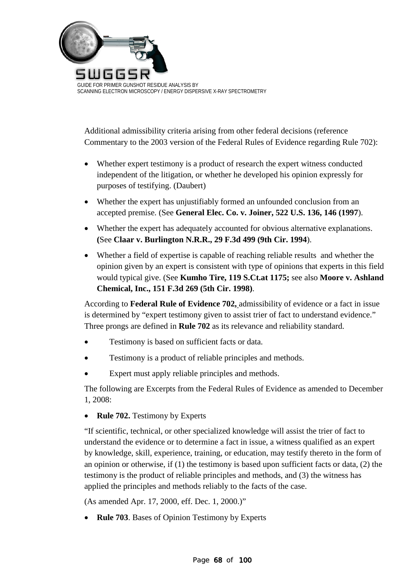

Additional admissibility criteria arising from other federal decisions (reference Commentary to the 2003 version of the Federal Rules of Evidence regarding Rule 702):

- Whether expert testimony is a product of research the expert witness conducted independent of the litigation, or whether he developed his opinion expressly for purposes of testifying. (Daubert)
- Whether the expert has unjustifiably formed an unfounded conclusion from an accepted premise. (See **General Elec. Co. v. Joiner, 522 U.S. 136, 146 (1997**).
- Whether the expert has adequately accounted for obvious alternative explanations. **(**See **Claar v. Burlington N.R.R., 29 F.3d 499 (9th Cir. 1994**).
- Whether a field of expertise is capable of reaching reliable results and whether the opinion given by an expert is consistent with type of opinions that experts in this field would typical give. (See **Kumho Tire, 119 S.Ct.at 1175;** see also **Moore v. Ashland Chemical, Inc., 151 F.3d 269 (5th Cir. 1998)**.

According to **Federal Rule of Evidence 702,** admissibility of evidence or a fact in issue is determined by "expert testimony given to assist trier of fact to understand evidence." Three prongs are defined in **Rule 702** as its relevance and reliability standard.

- Testimony is based on sufficient facts or data.
- Testimony is a product of reliable principles and methods.
- Expert must apply reliable principles and methods.

The following are Excerpts from the Federal Rules of Evidence as amended to December 1, 2008:

• **Rule 702.** Testimony by Experts

"If scientific, technical, or other specialized knowledge will assist the trier of fact to understand the evidence or to determine a fact in issue, a witness qualified as an expert by knowledge, skill, experience, training, or education, may testify thereto in the form of an opinion or otherwise, if (1) the testimony is based upon sufficient facts or data, (2) the testimony is the product of reliable principles and methods, and (3) the witness has applied the principles and methods reliably to the facts of the case.

(As amended Apr. 17, 2000, eff. Dec. 1, 2000.)"

**Rule 703.** Bases of Opinion Testimony by Experts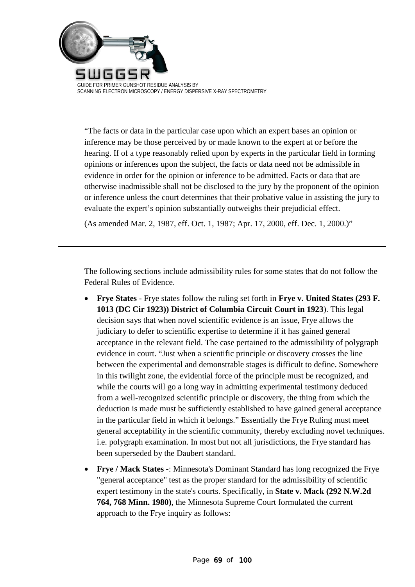

"The facts or data in the particular case upon which an expert bases an opinion or inference may be those perceived by or made known to the expert at or before the hearing. If of a type reasonably relied upon by experts in the particular field in forming opinions or inferences upon the subject, the facts or data need not be admissible in evidence in order for the opinion or inference to be admitted. Facts or data that are otherwise inadmissible shall not be disclosed to the jury by the proponent of the opinion or inference unless the court determines that their probative value in assisting the jury to evaluate the expert's opinion substantially outweighs their prejudicial effect.

(As amended Mar. 2, 1987, eff. Oct. 1, 1987; Apr. 17, 2000, eff. Dec. 1, 2000.)"

The following sections include admissibility rules for some states that do not follow the Federal Rules of Evidence.

- **Frye States** Frye states follow the ruling set forth in **Frye v. United States (293 F. 1013 (DC Cir 1923)) District of Columbia Circuit Court in 1923**). This legal decision says that when novel scientific evidence is an issue, Frye allows the judiciary to defer to scientific expertise to determine if it has gained general acceptance in the relevant field. The case pertained to the admissibility of polygraph evidence in court. "Just when a scientific principle or discovery crosses the line between the experimental and demonstrable stages is difficult to define. Somewhere in this twilight zone, the evidential force of the principle must be recognized, and while the courts will go a long way in admitting experimental testimony deduced from a well-recognized scientific principle or discovery, the thing from which the deduction is made must be sufficiently established to have gained general acceptance in the particular field in which it belongs." Essentially the Frye Ruling must meet general acceptability in the scientific community, thereby excluding novel techniques. i.e. polygraph examination. In most but not all jurisdictions, the Frye standard has been superseded by the Daubert standard.
- **Frye / Mack States -**: Minnesota's Dominant Standard has long recognized the Frye "general acceptance" test as the proper standard for the admissibility of scientific expert testimony in the state's courts. Specifically, in **State v. Mack (292 N.W.2d 764, 768 Minn. 1980)**, the Minnesota Supreme Court formulated the current approach to the Frye inquiry as follows: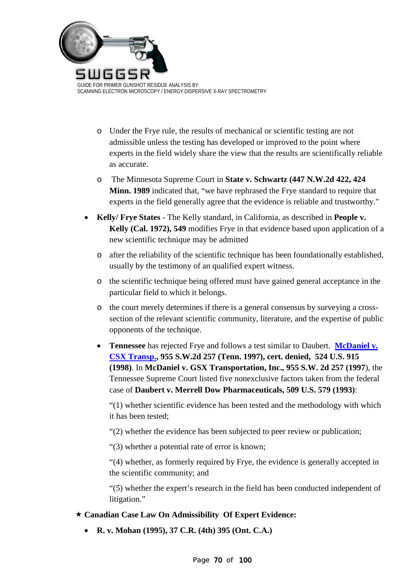

- o Under the Frye rule, the results of mechanical or scientific testing are not admissible unless the testing has developed or improved to the point where experts in the field widely share the view that the results are scientifically reliable as accurate.
- o The Minnesota Supreme Court in **State v. Schwartz (447 N.W.2d 422, 424 Minn. 1989** indicated that, "we have rephrased the Frye standard to require that experts in the field generally agree that the evidence is reliable and trustworthy."
- **Kelly/ Frye States** The Kelly standard, in California, as described in **People v. Kelly (Cal. 1972), 549** modifies Frye in that evidence based upon application of a new scientific technique may be admitted
	- o after the reliability of the scientific technique has been foundationally established, usually by the testimony of an qualified expert witness.
	- o the scientific technique being offered must have gained general acceptance in the particular field to which it belongs.
	- o the court merely determines if there is a general consensus by surveying a crosssection of the relevant scientific community, literature, and the expertise of public opponents of the technique.
	- **Tennessee** has rejected Frye and follows a test similar to Daubert. **[McDaniel v.](http://www.tsc.state.tn.us/opinions/tsc/PDF/973/mcdanilk.pdf)  [CSX Transp.,](http://www.tsc.state.tn.us/opinions/tsc/PDF/973/mcdanilk.pdf) 955 S.W.2d 257 (Tenn. 1997), cert. denied, 524 U.S. 915 (1998)**. In **McDaniel v. GSX Transportation, Inc., 955 S.W. 2d 257 (1997**), the Tennessee Supreme Court listed five nonexclusive factors taken from the federal case of **Daubert v. Merrell Dow Pharmaceuticals, 509 U.S. 579 (1993)**:

"(1) whether scientific evidence has been tested and the methodology with which it has been tested;

"(2) whether the evidence has been subjected to peer review or publication;

"(3) whether a potential rate of error is known;

"(4) whether, as formerly required by Frye, the evidence is generally accepted in the scientific community; and

"(5) whether the expert's research in the field has been conducted independent of litigation."

- **Canadian Case Law On Admissibility Of Expert Evidence:**
	- **R. v. Mohan (1995), 37 C.R. (4th) 395 (Ont. C.A.)**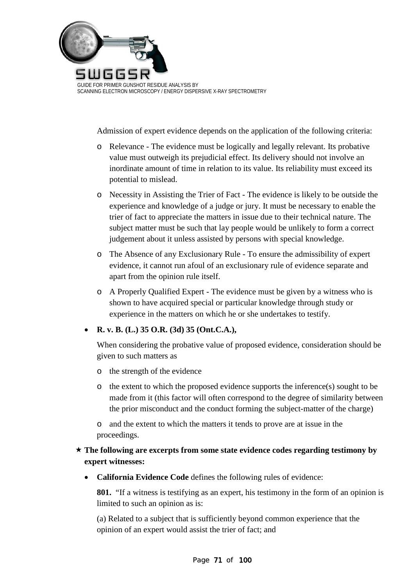

Admission of expert evidence depends on the application of the following criteria:

- o Relevance The evidence must be logically and legally relevant. Its probative value must outweigh its prejudicial effect. Its delivery should not involve an inordinate amount of time in relation to its value. Its reliability must exceed its potential to mislead.
- o Necessity in Assisting the Trier of Fact The evidence is likely to be outside the experience and knowledge of a judge or jury. It must be necessary to enable the trier of fact to appreciate the matters in issue due to their technical nature. The subject matter must be such that lay people would be unlikely to form a correct judgement about it unless assisted by persons with special knowledge.
- o The Absence of any Exclusionary Rule To ensure the admissibility of expert evidence, it cannot run afoul of an exclusionary rule of evidence separate and apart from the opinion rule itself.
- o A Properly Qualified Expert The evidence must be given by a witness who is shown to have acquired special or particular knowledge through study or experience in the matters on which he or she undertakes to testify.
- **R. v. B. (L.) 35 O.R. (3d) 35 (Ont.C.A.),**

When considering the probative value of proposed evidence, consideration should be given to such matters as

- o the strength of the evidence
- o the extent to which the proposed evidence supports the inference(s) sought to be made from it (this factor will often correspond to the degree of similarity between the prior misconduct and the conduct forming the subject-matter of the charge)

o and the extent to which the matters it tends to prove are at issue in the proceedings.

### **The following are excerpts from some state evidence codes regarding testimony by expert witnesses:**

• **California Evidence Code** defines the following rules of evidence:

**801.** "If a witness is testifying as an expert, his testimony in the form of an opinion is limited to such an opinion as is:

(a) Related to a subject that is sufficiently beyond common experience that the opinion of an expert would assist the trier of fact; and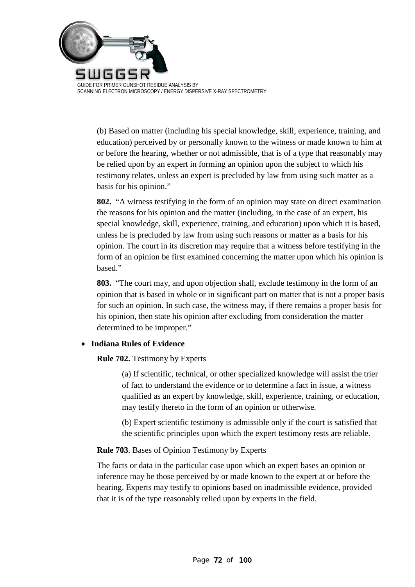

(b) Based on matter (including his special knowledge, skill, experience, training, and education) perceived by or personally known to the witness or made known to him at or before the hearing, whether or not admissible, that is of a type that reasonably may be relied upon by an expert in forming an opinion upon the subject to which his testimony relates, unless an expert is precluded by law from using such matter as a basis for his opinion."

**802.** "A witness testifying in the form of an opinion may state on direct examination the reasons for his opinion and the matter (including, in the case of an expert, his special knowledge, skill, experience, training, and education) upon which it is based, unless he is precluded by law from using such reasons or matter as a basis for his opinion. The court in its discretion may require that a witness before testifying in the form of an opinion be first examined concerning the matter upon which his opinion is based."

**803.** "The court may, and upon objection shall, exclude testimony in the form of an opinion that is based in whole or in significant part on matter that is not a proper basis for such an opinion. In such case, the witness may, if there remains a proper basis for his opinion, then state his opinion after excluding from consideration the matter determined to be improper."

#### • **Indiana Rules of Evidence**

#### **Rule 702.** Testimony by Experts

(a) If scientific, technical, or other specialized knowledge will assist the trier of fact to understand the evidence or to determine a fact in issue, a witness qualified as an expert by knowledge, skill, experience, training, or education, may testify thereto in the form of an opinion or otherwise.

(b) Expert scientific testimony is admissible only if the court is satisfied that the scientific principles upon which the expert testimony rests are reliable.

#### **Rule 703**. Bases of Opinion Testimony by Experts

The facts or data in the particular case upon which an expert bases an opinion or inference may be those perceived by or made known to the expert at or before the hearing. Experts may testify to opinions based on inadmissible evidence, provided that it is of the type reasonably relied upon by experts in the field.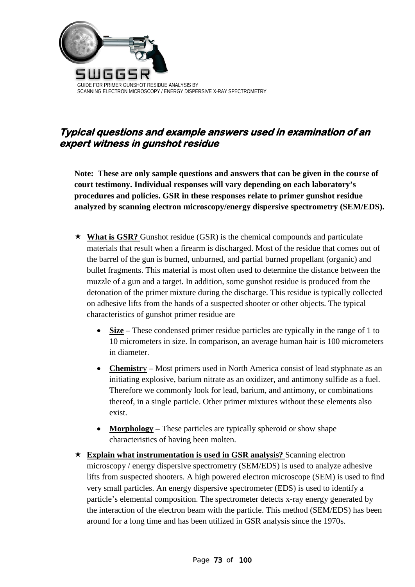

#### **Typical questions and example answers used in examination of an expert witness in gunshot residue**

**Note: These are only sample questions and answers that can be given in the course of court testimony. Individual responses will vary depending on each laboratory's procedures and policies. GSR in these responses relate to primer gunshot residue analyzed by scanning electron microscopy/energy dispersive spectrometry (SEM/EDS).**

- **What is GSR?** Gunshot residue (GSR) is the chemical compounds and particulate materials that result when a firearm is discharged. Most of the residue that comes out of the barrel of the gun is burned, unburned, and partial burned propellant (organic) and bullet fragments. This material is most often used to determine the distance between the muzzle of a gun and a target. In addition, some gunshot residue is produced from the detonation of the primer mixture during the discharge. This residue is typically collected on adhesive lifts from the hands of a suspected shooter or other objects. The typical characteristics of gunshot primer residue are
	- **Size** These condensed primer residue particles are typically in the range of 1 to 10 micrometers in size. In comparison, an average human hair is 100 micrometers in diameter.
	- **Chemistr**y Most primers used in North America consist of lead styphnate as an initiating explosive, barium nitrate as an oxidizer, and antimony sulfide as a fuel. Therefore we commonly look for lead, barium, and antimony, or combinations thereof, in a single particle. Other primer mixtures without these elements also exist.
	- **Morphology** These particles are typically spheroid or show shape characteristics of having been molten.
- ★ **Explain what instrumentation is used in GSR analysis?** Scanning electron microscopy / energy dispersive spectrometry (SEM/EDS) is used to analyze adhesive lifts from suspected shooters. A high powered electron microscope (SEM) is used to find very small particles. An energy dispersive spectrometer (EDS) is used to identify a particle's elemental composition. The spectrometer detects x-ray energy generated by the interaction of the electron beam with the particle. This method (SEM/EDS) has been around for a long time and has been utilized in GSR analysis since the 1970s.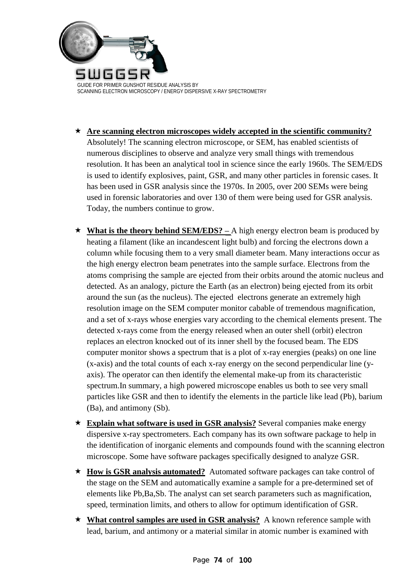

- **Are scanning electron microscopes widely accepted in the scientific community?**  Absolutely! The scanning electron microscope, or SEM, has enabled scientists of numerous disciplines to observe and analyze very small things with tremendous resolution. It has been an analytical tool in science since the early 1960s. The SEM/EDS is used to identify explosives, paint, GSR, and many other particles in forensic cases. It has been used in GSR analysis since the 1970s. In 2005, over 200 SEMs were being used in forensic laboratories and over 130 of them were being used for GSR analysis. Today, the numbers continue to grow.
- ★ What is the theory behind SEM/EDS? A high energy electron beam is produced by heating a filament (like an incandescent light bulb) and forcing the electrons down a column while focusing them to a very small diameter beam. Many interactions occur as the high energy electron beam penetrates into the sample surface. Electrons from the atoms comprising the sample are ejected from their orbits around the atomic nucleus and detected. As an analogy, picture the Earth (as an electron) being ejected from its orbit around the sun (as the nucleus). The ejected electrons generate an extremely high resolution image on the SEM computer monitor cabable of tremendous magnification, and a set of x-rays whose energies vary according to the chemical elements present. The detected x-rays come from the energy released when an outer shell (orbit) electron replaces an electron knocked out of its inner shell by the focused beam. The EDS computer monitor shows a spectrum that is a plot of x-ray energies (peaks) on one line (x-axis) and the total counts of each x-ray energy on the second perpendicular line (yaxis). The operator can then identify the elemental make-up from its characteristic spectrum.In summary, a high powered microscope enables us both to see very small particles like GSR and then to identify the elements in the particle like lead (Pb), barium (Ba), and antimony (Sb).
- **Explain what software is used in GSR analysis?** Several companies make energy dispersive x-ray spectrometers. Each company has its own software package to help in the identification of inorganic elements and compounds found with the scanning electron microscope. Some have software packages specifically designed to analyze GSR.
- **How is GSR analysis automated?** Automated software packages can take control of the stage on the SEM and automatically examine a sample for a pre-determined set of elements like Pb,Ba,Sb. The analyst can set search parameters such as magnification, speed, termination limits, and others to allow for optimum identification of GSR.
- **What control samples are used in GSR analysis?** A known reference sample with lead, barium, and antimony or a material similar in atomic number is examined with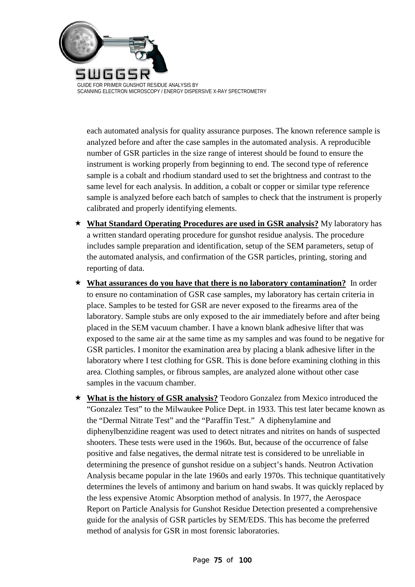

each automated analysis for quality assurance purposes. The known reference sample is analyzed before and after the case samples in the automated analysis. A reproducible number of GSR particles in the size range of interest should be found to ensure the instrument is working properly from beginning to end. The second type of reference sample is a cobalt and rhodium standard used to set the brightness and contrast to the same level for each analysis. In addition, a cobalt or copper or similar type reference sample is analyzed before each batch of samples to check that the instrument is properly calibrated and properly identifying elements.

- **What Standard Operating Procedures are used in GSR analysis?** My laboratory has a written standard operating procedure for gunshot residue analysis. The procedure includes sample preparation and identification, setup of the SEM parameters, setup of the automated analysis, and confirmation of the GSR particles, printing, storing and reporting of data.
- **What assurances do you have that there is no laboratory contamination?** In order to ensure no contamination of GSR case samples, my laboratory has certain criteria in place. Samples to be tested for GSR are never exposed to the firearms area of the laboratory. Sample stubs are only exposed to the air immediately before and after being placed in the SEM vacuum chamber. I have a known blank adhesive lifter that was exposed to the same air at the same time as my samples and was found to be negative for GSR particles. I monitor the examination area by placing a blank adhesive lifter in the laboratory where I test clothing for GSR. This is done before examining clothing in this area. Clothing samples, or fibrous samples, are analyzed alone without other case samples in the vacuum chamber.
- **What is the history of GSR analysis?** Teodoro Gonzalez from Mexico introduced the "Gonzalez Test" to the Milwaukee Police Dept. in 1933. This test later became known as the "Dermal Nitrate Test" and the "Paraffin Test." A diphenylamine and diphenylbenzidine reagent was used to detect nitrates and nitrites on hands of suspected shooters. These tests were used in the 1960s. But, because of the occurrence of false positive and false negatives, the dermal nitrate test is considered to be unreliable in determining the presence of gunshot residue on a subject's hands. Neutron Activation Analysis became popular in the late 1960s and early 1970s. This technique quantitatively determines the levels of antimony and barium on hand swabs. It was quickly replaced by the less expensive Atomic Absorption method of analysis. In 1977, the Aerospace Report on Particle Analysis for Gunshot Residue Detection presented a comprehensive guide for the analysis of GSR particles by SEM/EDS. This has become the preferred method of analysis for GSR in most forensic laboratories.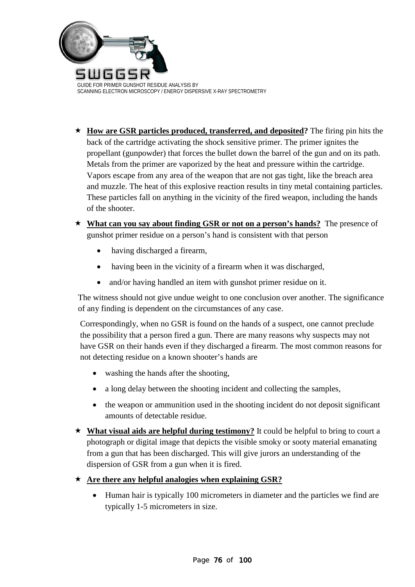

- **How are GSR particles produced, transferred, and deposited?** The firing pin hits the back of the cartridge activating the shock sensitive primer. The primer ignites the propellant (gunpowder) that forces the bullet down the barrel of the gun and on its path. Metals from the primer are vaporized by the heat and pressure within the cartridge. Vapors escape from any area of the weapon that are not gas tight, like the breach area and muzzle. The heat of this explosive reaction results in tiny metal containing particles. These particles fall on anything in the vicinity of the fired weapon, including the hands of the shooter.
- **What can you say about finding GSR or not on a person's hands?** The presence of gunshot primer residue on a person's hand is consistent with that person
	- having discharged a firearm,
	- having been in the vicinity of a firearm when it was discharged,
	- and/or having handled an item with gunshot primer residue on it.

The witness should not give undue weight to one conclusion over another. The significance of any finding is dependent on the circumstances of any case.

Correspondingly, when no GSR is found on the hands of a suspect, one cannot preclude the possibility that a person fired a gun. There are many reasons why suspects may not have GSR on their hands even if they discharged a firearm. The most common reasons for not detecting residue on a known shooter's hands are

- washing the hands after the shooting,
- a long delay between the shooting incident and collecting the samples,
- the weapon or ammunition used in the shooting incident do not deposit significant amounts of detectable residue.
- **What visual aids are helpful during testimony?** It could be helpful to bring to court a photograph or digital image that depicts the visible smoky or sooty material emanating from a gun that has been discharged. This will give jurors an understanding of the dispersion of GSR from a gun when it is fired.
- **Are there any helpful analogies when explaining GSR?**
	- Human hair is typically 100 micrometers in diameter and the particles we find are typically 1-5 micrometers in size.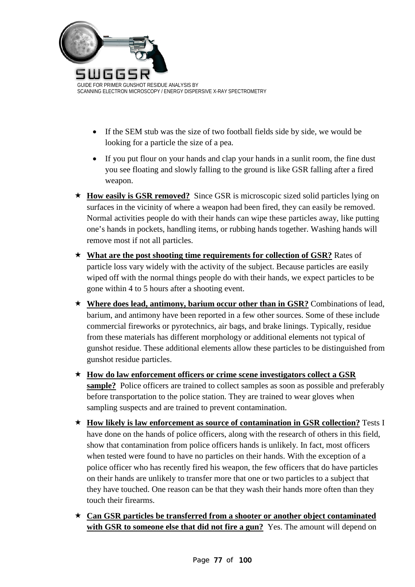

- If the SEM stub was the size of two football fields side by side, we would be looking for a particle the size of a pea.
- If you put flour on your hands and clap your hands in a sunlit room, the fine dust you see floating and slowly falling to the ground is like GSR falling after a fired weapon.
- **How easily is GSR removed?** Since GSR is microscopic sized solid particles lying on surfaces in the vicinity of where a weapon had been fired, they can easily be removed. Normal activities people do with their hands can wipe these particles away, like putting one's hands in pockets, handling items, or rubbing hands together. Washing hands will remove most if not all particles.
- **What are the post shooting time requirements for collection of GSR?** Rates of particle loss vary widely with the activity of the subject. Because particles are easily wiped off with the normal things people do with their hands, we expect particles to be gone within 4 to 5 hours after a shooting event.
- **Where does lead, antimony, barium occur other than in GSR?** Combinations of lead, barium, and antimony have been reported in a few other sources. Some of these include commercial fireworks or pyrotechnics, air bags, and brake linings. Typically, residue from these materials has different morphology or additional elements not typical of gunshot residue. These additional elements allow these particles to be distinguished from gunshot residue particles.
- **How do law enforcement officers or crime scene investigators collect a GSR sample?** Police officers are trained to collect samples as soon as possible and preferably before transportation to the police station. They are trained to wear gloves when sampling suspects and are trained to prevent contamination.
- **How likely is law enforcement as source of contamination in GSR collection?** Tests I have done on the hands of police officers, along with the research of others in this field, show that contamination from police officers hands is unlikely. In fact, most officers when tested were found to have no particles on their hands. With the exception of a police officer who has recently fired his weapon, the few officers that do have particles on their hands are unlikely to transfer more that one or two particles to a subject that they have touched. One reason can be that they wash their hands more often than they touch their firearms.
- **Can GSR particles be transferred from a shooter or another object contaminated with GSR to someone else that did not fire a gun?** Yes. The amount will depend on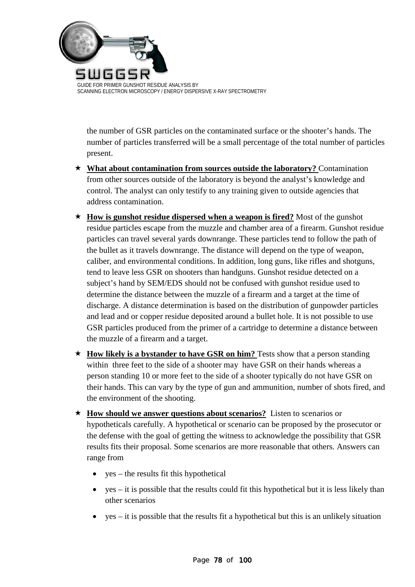

the number of GSR particles on the contaminated surface or the shooter's hands. The number of particles transferred will be a small percentage of the total number of particles present.

- **What about contamination from sources outside the laboratory?** Contamination from other sources outside of the laboratory is beyond the analyst's knowledge and control. The analyst can only testify to any training given to outside agencies that address contamination.
- **How is gunshot residue dispersed when a weapon is fired?** Most of the gunshot residue particles escape from the muzzle and chamber area of a firearm. Gunshot residue particles can travel several yards downrange. These particles tend to follow the path of the bullet as it travels downrange. The distance will depend on the type of weapon, caliber, and environmental conditions. In addition, long guns, like rifles and shotguns, tend to leave less GSR on shooters than handguns. Gunshot residue detected on a subject's hand by SEM/EDS should not be confused with gunshot residue used to determine the distance between the muzzle of a firearm and a target at the time of discharge. A distance determination is based on the distribution of gunpowder particles and lead and or copper residue deposited around a bullet hole. It is not possible to use GSR particles produced from the primer of a cartridge to determine a distance between the muzzle of a firearm and a target.
- **How likely is a bystander to have GSR on him?** Tests show that a person standing within three feet to the side of a shooter may have GSR on their hands whereas a person standing 10 or more feet to the side of a shooter typically do not have GSR on their hands. This can vary by the type of gun and ammunition, number of shots fired, and the environment of the shooting.
- **How should we answer questions about scenarios?** Listen to scenarios or hypotheticals carefully. A hypothetical or scenario can be proposed by the prosecutor or the defense with the goal of getting the witness to acknowledge the possibility that GSR results fits their proposal. Some scenarios are more reasonable that others. Answers can range from
	- yes the results fit this hypothetical
	- yes it is possible that the results could fit this hypothetical but it is less likely than other scenarios
	- $\bullet$  yes it is possible that the results fit a hypothetical but this is an unlikely situation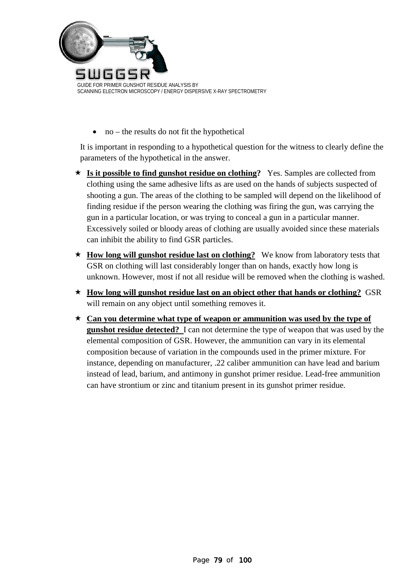

•  $no$  – the results do not fit the hypothetical

It is important in responding to a hypothetical question for the witness to clearly define the parameters of the hypothetical in the answer.

- **Is it possible to find gunshot residue on clothing?** Yes. Samples are collected from clothing using the same adhesive lifts as are used on the hands of subjects suspected of shooting a gun. The areas of the clothing to be sampled will depend on the likelihood of finding residue if the person wearing the clothing was firing the gun, was carrying the gun in a particular location, or was trying to conceal a gun in a particular manner. Excessively soiled or bloody areas of clothing are usually avoided since these materials can inhibit the ability to find GSR particles.
- **How long will gunshot residue last on clothing?** We know from laboratory tests that GSR on clothing will last considerably longer than on hands, exactly how long is unknown. However, most if not all residue will be removed when the clothing is washed.
- **How long will gunshot residue last on an object other that hands or clothing?** GSR will remain on any object until something removes it.
- **Can you determine what type of weapon or ammunition was used by the type of gunshot residue detected?** I can not determine the type of weapon that was used by the elemental composition of GSR. However, the ammunition can vary in its elemental composition because of variation in the compounds used in the primer mixture. For instance, depending on manufacturer, .22 caliber ammunition can have lead and barium instead of lead, barium, and antimony in gunshot primer residue. Lead-free ammunition can have strontium or zinc and titanium present in its gunshot primer residue.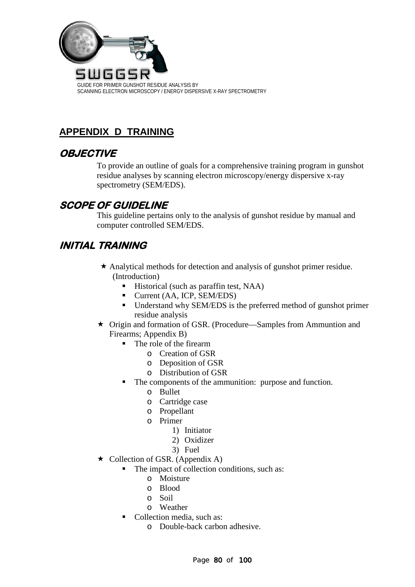

#### **APPENDIX D TRAINING**

## **OBJECTIVE**

To provide an outline of goals for a comprehensive training program in gunshot residue analyses by scanning electron microscopy/energy dispersive x-ray spectrometry (SEM/EDS).

## **SCOPE OF GUIDELINE**

This guideline pertains only to the analysis of gunshot residue by manual and computer controlled SEM/EDS.

# **INITIAL TRAINING**

- Analytical methods for detection and analysis of gunshot primer residue. (Introduction)
	- Historical (such as paraffin test, NAA)
	- Current (AA, ICP, SEM/EDS)
	- Understand why SEM/EDS is the preferred method of gunshot primer residue analysis
- Origin and formation of GSR. (Procedure—Samples from Ammuntion and Firearms; Appendix B)
	- The role of the firearm
		- o Creation of GSR
			- o Deposition of GSR
			- o Distribution of GSR
	- The components of the ammunition: purpose and function.
		- o Bullet
		- o Cartridge case
		- o Propellant
		- o Primer
			- 1) Initiator
			- 2) Oxidizer
			- 3) Fuel
- $\star$  Collection of GSR. (Appendix A)
	- The impact of collection conditions, such as:
		- o Moisture
		- o Blood
		- o Soil
		- o Weather
	- Collection media, such as:
		- o Double-back carbon adhesive.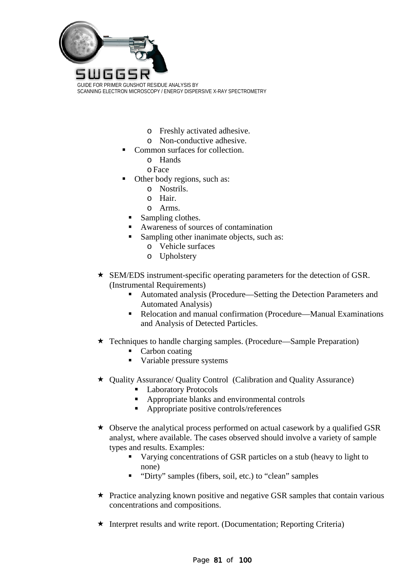

- o Freshly activated adhesive.
- o Non-conductive adhesive.
- Common surfaces for collection.
	- o Hands
	- oFace
- Other body regions, such as:
	- o Nostrils.
	- o Hair.
	- o Arms.
	- Sampling clothes.
	- Awareness of sources of contamination
	- Sampling other inanimate objects, such as:
		- o Vehicle surfaces
		- o Upholstery
- $\star$  SEM/EDS instrument-specific operating parameters for the detection of GSR. (Instrumental Requirements)
	- Automated analysis (Procedure—Setting the Detection Parameters and Automated Analysis)
	- Relocation and manual confirmation (Procedure—Manual Examinations and Analysis of Detected Particles.
- Techniques to handle charging samples. (Procedure—Sample Preparation)
	- Carbon coating
	- Variable pressure systems
- Quality Assurance/ Quality Control (Calibration and Quality Assurance)
	- Laboratory Protocols
	- Appropriate blanks and environmental controls
	- Appropriate positive controls/references
- Observe the analytical process performed on actual casework by a qualified GSR analyst, where available. The cases observed should involve a variety of sample types and results. Examples:
	- Varying concentrations of GSR particles on a stub (heavy to light to none)
	- "Dirty" samples (fibers, soil, etc.) to "clean" samples
- $\star$  Practice analyzing known positive and negative GSR samples that contain various concentrations and compositions.
- $\star$  Interpret results and write report. (Documentation; Reporting Criteria)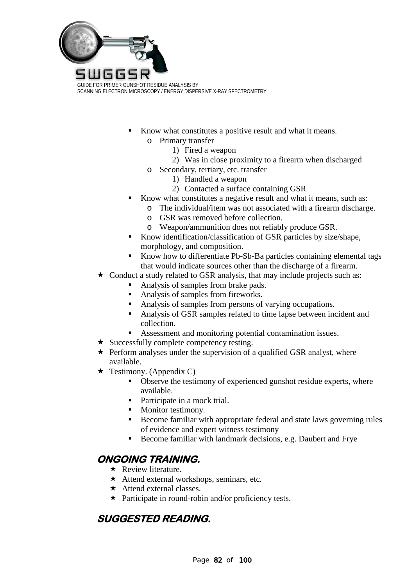

- Know what constitutes a positive result and what it means.
	- o Primary transfer
		- 1) Fired a weapon
		- 2) Was in close proximity to a firearm when discharged
	- o Secondary, tertiary, etc. transfer
		- 1) Handled a weapon
		- 2) Contacted a surface containing GSR
- Know what constitutes a negative result and what it means, such as:
	- o The individual/item was not associated with a firearm discharge.
	- o GSR was removed before collection.
	- o Weapon/ammunition does not reliably produce GSR.
- Know identification/classification of GSR particles by size/shape, morphology, and composition.
- Know how to differentiate Pb-Sb-Ba particles containing elemental tags that would indicate sources other than the discharge of a firearm.
- $\star$  Conduct a study related to GSR analysis, that may include projects such as:
	- Analysis of samples from brake pads.
	- Analysis of samples from fireworks.
	- Analysis of samples from persons of varying occupations.
	- Analysis of GSR samples related to time lapse between incident and collection.
	- Assessment and monitoring potential contamination issues.
- $\star$  Successfully complete competency testing.
- $\star$  Perform analyses under the supervision of a qualified GSR analyst, where available.
- $\star$  Testimony. (Appendix C)
	- Observe the testimony of experienced gunshot residue experts, where available.
	- Participate in a mock trial.
	- Monitor testimony.
	- Become familiar with appropriate federal and state laws governing rules of evidence and expert witness testimony
	- Become familiar with landmark decisions, e.g. Daubert and Frye

#### **ONGOING TRAINING.**

- $\star$  Review literature.
- $\star$  Attend external workshops, seminars, etc.
- $\star$  Attend external classes.
- $\star$  Participate in round-robin and/or proficiency tests.

# **SUGGESTED READING.**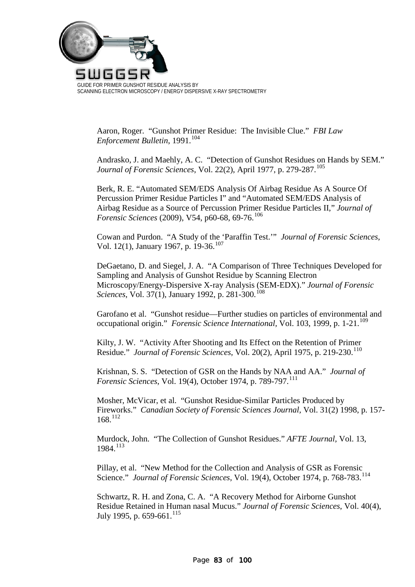

Aaron, Roger. "Gunshot Primer Residue: The Invisible Clue." *FBI Law Enforcement Bulletin,* 1991.<sup>[104](#page-99-0)</sup>

Andrasko, J. and Maehly, A. C. "Detection of Gunshot Residues on Hands by SEM." *Journal of Forensic Sciences*, Vol. 22(2), April 1977, p. 279-287.<sup>[105](#page-99-1)</sup>

Berk, R. E. "Automated SEM/EDS Analysis Of Airbag Residue As A Source Of Percussion Primer Residue Particles I" and "Automated SEM/EDS Analysis of Airbag Residue as a Source of Percussion Primer Residue Particles II," *Journal of Forensic Sciences* (2009), V54, p60-68, 69-76.<sup>[106](#page-99-2)</sup>

Cowan and Purdon. "A Study of the 'Paraffin Test.'" *Journal of Forensic Sciences*, Vol. 12(1), January 1967, p. 19-36.<sup>[107](#page-99-3)</sup>

DeGaetano, D. and Siegel, J. A. "A Comparison of Three Techniques Developed for Sampling and Analysis of Gunshot Residue by Scanning Electron Microscopy/Energy-Dispersive X-ray Analysis (SEM-EDX)." *Journal of Forensic Sciences*, Vol. 37(1), January 1992, p. 281-300.<sup>[108](#page-99-4)</sup>

Garofano et al. "Gunshot residue—Further studies on particles of environmental and occupational origin." *Forensic Science International*, Vol. 103, 1999, p. 1-21.<sup>[109](#page-99-5)</sup>

Kilty, J. W. "Activity After Shooting and Its Effect on the Retention of Primer Residue." *Journal of Forensic Sciences*, Vol. 20(2), April 1975, p. 219-230.<sup>[110](#page-99-6)</sup>

Krishnan, S. S. "Detection of GSR on the Hands by NAA and AA." *Journal of Forensic Sciences*, Vol. 19(4), October 1974, p. 789-797.<sup>[111](#page-99-7)</sup>

Mosher, McVicar, et al. "Gunshot Residue-Similar Particles Produced by Fireworks." *Canadian Society of Forensic Sciences Journal,* Vol. 31(2) 1998, p. 157-  $168.112$  $168.112$ 

Murdock, John. "The Collection of Gunshot Residues." *AFTE Journal,* Vol. 13, 1984.[113](#page-99-9)

Pillay, et al. "New Method for the Collection and Analysis of GSR as Forensic Science." *Journal of Forensic Sciences*, Vol. 19(4), October 1974, p. 768-783.<sup>[114](#page-99-10)</sup>

Schwartz, R. H. and Zona, C. A. "A Recovery Method for Airborne Gunshot Residue Retained in Human nasal Mucus." *Journal of Forensic Sciences*, Vol. 40(4), July 1995, p. 659-661.<sup>[115](#page-99-11)</sup>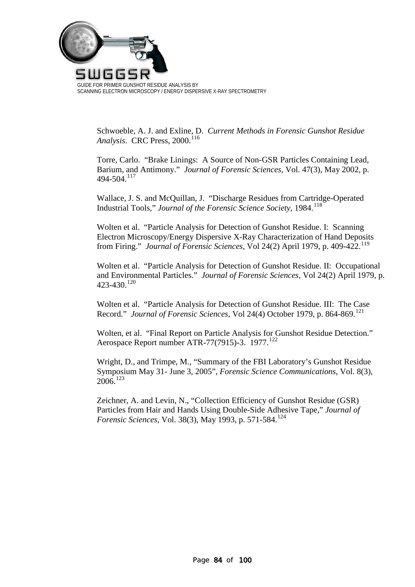

Schwoeble, A. J. and Exline, D. *Current Methods in Forensic Gunshot Residue Analysis.* CRC Press, 2000.<sup>[116](#page-99-12)</sup>

Torre, Carlo. "Brake Linings: A Source of Non-GSR Particles Containing Lead, Barium, and Antimony." *Journal of Forensic Sciences,* Vol. 47(3), May 2002, p.  $494 - 504$ <sup>[117](#page-99-13)</sup>

Wallace, J. S. and McQuillan, J. "Discharge Residues from Cartridge-Operated Industrial Tools," Journal of the Forensic Science Society, 1984.<sup>[118](#page-99-14)</sup>

Wolten et al. "Particle Analysis for Detection of Gunshot Residue. I: Scanning Electron Microscopy/Energy Dispersive X-Ray Characterization of Hand Deposits from Firing." *Journal of Forensic Sciences,* Vol 24(2) April 1979, p. 409-422.[119](#page-99-15)

Wolten et al. "Particle Analysis for Detection of Gunshot Residue. II: Occupational and Environmental Particles." *Journal of Forensic Sciences,* Vol 24(2) April 1979, p.  $423 - 430^{120}$  $423 - 430^{120}$  $423 - 430^{120}$ 

Wolten et al. "Particle Analysis for Detection of Gunshot Residue. III: The Case Record." *Journal of Forensic Sciences*, Vol 24(4) October 1979, p. 864-869.<sup>[121](#page-99-1)</sup>

Wolten, et al. "Final Report on Particle Analysis for Gunshot Residue Detection." Aerospace Report number ATR-77(7915)-3. 1977.<sup>[122](#page-99-2)</sup>

Wright, D., and Trimpe, M., "Summary of the FBI Laboratory's Gunshot Residue Symposium May 31- June 3, 2005", *Forensic Science Communications*, Vol. 8(3),  $2006^{123}$  $2006^{123}$  $2006^{123}$ 

Zeichner, A. and Levin, N., "Collection Efficiency of Gunshot Residue (GSR) Particles from Hair and Hands Using Double-Side Adhesive Tape," *Journal of Forensic Sciences, Vol. 38(3), May 1993, p. 571-584.*<sup>[124](#page-99-4)</sup>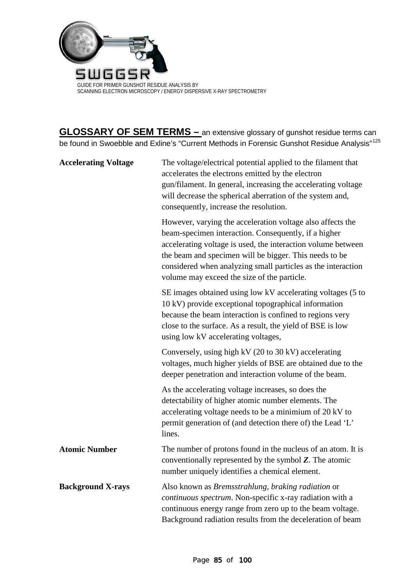

**GLOSSARY OF SEM TERMS** - an extensive glossary of gunshot residue terms can be found in Swoebble and Exline's "Current Methods in Forensic Gunshot Residue Analysis"<sup>[125](#page-99-18)</sup>

| <b>Accelerating Voltage</b> | The voltage/electrical potential applied to the filament that<br>accelerates the electrons emitted by the electron<br>gun/filament. In general, increasing the accelerating voltage<br>will decrease the spherical aberration of the system and,<br>consequently, increase the resolution.                                                                  |
|-----------------------------|-------------------------------------------------------------------------------------------------------------------------------------------------------------------------------------------------------------------------------------------------------------------------------------------------------------------------------------------------------------|
|                             | However, varying the acceleration voltage also affects the<br>beam-specimen interaction. Consequently, if a higher<br>accelerating voltage is used, the interaction volume between<br>the beam and specimen will be bigger. This needs to be<br>considered when analyzing small particles as the interaction<br>volume may exceed the size of the particle. |
|                             | SE images obtained using low kV accelerating voltages (5 to<br>10 kV) provide exceptional topographical information<br>because the beam interaction is confined to regions very<br>close to the surface. As a result, the yield of BSE is low<br>using low kV accelerating voltages,                                                                        |
|                             | Conversely, using high kV (20 to 30 kV) accelerating<br>voltages, much higher yields of BSE are obtained due to the<br>deeper penetration and interaction volume of the beam.                                                                                                                                                                               |
|                             | As the accelerating voltage increases, so does the<br>detectability of higher atomic number elements. The<br>accelerating voltage needs to be a minimium of 20 kV to<br>permit generation of (and detection there of) the Lead 'L'<br>lines.                                                                                                                |
| <b>Atomic Number</b>        | The number of protons found in the nucleus of an atom. It is<br>conventionally represented by the symbol $Z$ . The atomic<br>number uniquely identifies a chemical element.                                                                                                                                                                                 |
| <b>Background X-rays</b>    | Also known as <i>Bremsstrahlung</i> , <i>braking radiation</i> or<br>continuous spectrum. Non-specific x-ray radiation with a<br>continuous energy range from zero up to the beam voltage.<br>Background radiation results from the deceleration of beam                                                                                                    |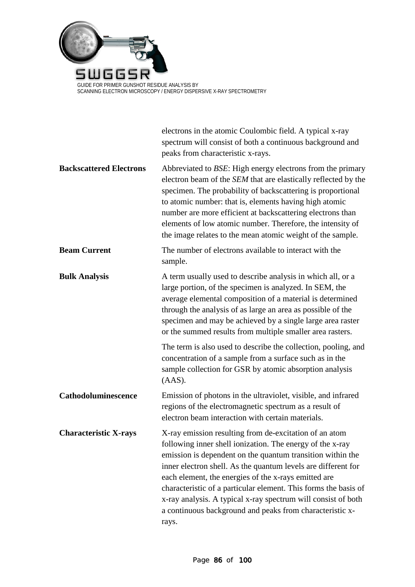

|                                | electrons in the atomic Coulombic field. A typical x-ray<br>spectrum will consist of both a continuous background and<br>peaks from characteristic x-rays.                                                                                                                                                                                                                                                                                                                                                          |
|--------------------------------|---------------------------------------------------------------------------------------------------------------------------------------------------------------------------------------------------------------------------------------------------------------------------------------------------------------------------------------------------------------------------------------------------------------------------------------------------------------------------------------------------------------------|
| <b>Backscattered Electrons</b> | Abbreviated to <i>BSE</i> : High energy electrons from the primary<br>electron beam of the <i>SEM</i> that are elastically reflected by the<br>specimen. The probability of backscattering is proportional<br>to atomic number: that is, elements having high atomic<br>number are more efficient at backscattering electrons than<br>elements of low atomic number. Therefore, the intensity of<br>the image relates to the mean atomic weight of the sample.                                                      |
| <b>Beam Current</b>            | The number of electrons available to interact with the<br>sample.                                                                                                                                                                                                                                                                                                                                                                                                                                                   |
| <b>Bulk Analysis</b>           | A term usually used to describe analysis in which all, or a<br>large portion, of the specimen is analyzed. In SEM, the<br>average elemental composition of a material is determined<br>through the analysis of as large an area as possible of the<br>specimen and may be achieved by a single large area raster<br>or the summed results from multiple smaller area rasters.                                                                                                                                       |
|                                | The term is also used to describe the collection, pooling, and<br>concentration of a sample from a surface such as in the<br>sample collection for GSR by atomic absorption analysis<br>(AAS).                                                                                                                                                                                                                                                                                                                      |
| Cathodoluminescence            | Emission of photons in the ultraviolet, visible, and infrared<br>regions of the electromagnetic spectrum as a result of<br>electron beam interaction with certain materials.                                                                                                                                                                                                                                                                                                                                        |
| <b>Characteristic X-rays</b>   | X-ray emission resulting from de-excitation of an atom<br>following inner shell ionization. The energy of the x-ray<br>emission is dependent on the quantum transition within the<br>inner electron shell. As the quantum levels are different for<br>each element, the energies of the x-rays emitted are<br>characteristic of a particular element. This forms the basis of<br>x-ray analysis. A typical x-ray spectrum will consist of both<br>a continuous background and peaks from characteristic x-<br>rays. |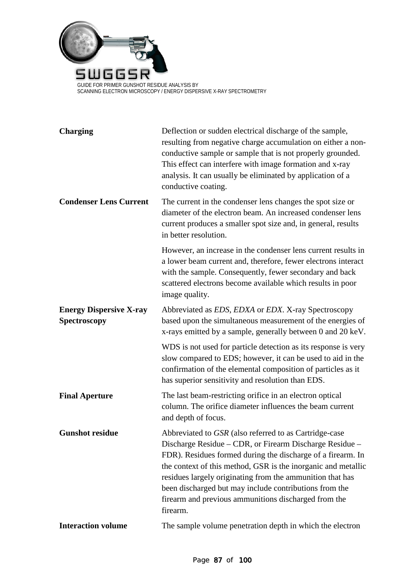

| <b>Charging</b>                                | Deflection or sudden electrical discharge of the sample,<br>resulting from negative charge accumulation on either a non-<br>conductive sample or sample that is not properly grounded.<br>This effect can interfere with image formation and x-ray<br>analysis. It can usually be eliminated by application of a<br>conductive coating.                                                                                                      |  |
|------------------------------------------------|----------------------------------------------------------------------------------------------------------------------------------------------------------------------------------------------------------------------------------------------------------------------------------------------------------------------------------------------------------------------------------------------------------------------------------------------|--|
| <b>Condenser Lens Current</b>                  | The current in the condenser lens changes the spot size or<br>diameter of the electron beam. An increased condenser lens<br>current produces a smaller spot size and, in general, results<br>in better resolution.                                                                                                                                                                                                                           |  |
|                                                | However, an increase in the condenser lens current results in<br>a lower beam current and, therefore, fewer electrons interact<br>with the sample. Consequently, fewer secondary and back<br>scattered electrons become available which results in poor<br>image quality.                                                                                                                                                                    |  |
| <b>Energy Dispersive X-ray</b><br>Spectroscopy | Abbreviated as <i>EDS</i> , <i>EDXA</i> or <i>EDX</i> . X-ray Spectroscopy<br>based upon the simultaneous measurement of the energies of<br>x-rays emitted by a sample, generally between 0 and 20 keV.                                                                                                                                                                                                                                      |  |
|                                                | WDS is not used for particle detection as its response is very<br>slow compared to EDS; however, it can be used to aid in the<br>confirmation of the elemental composition of particles as it<br>has superior sensitivity and resolution than EDS.                                                                                                                                                                                           |  |
| <b>Final Aperture</b>                          | The last beam-restricting orifice in an electron optical<br>column. The orifice diameter influences the beam current<br>and depth of focus.                                                                                                                                                                                                                                                                                                  |  |
| <b>Gunshot residue</b>                         | Abbreviated to GSR (also referred to as Cartridge-case<br>Discharge Residue – CDR, or Firearm Discharge Residue –<br>FDR). Residues formed during the discharge of a firearm. In<br>the context of this method, GSR is the inorganic and metallic<br>residues largely originating from the ammunition that has<br>been discharged but may include contributions from the<br>firearm and previous ammunitions discharged from the<br>firearm. |  |
| <b>Interaction volume</b>                      | The sample volume penetration depth in which the electron                                                                                                                                                                                                                                                                                                                                                                                    |  |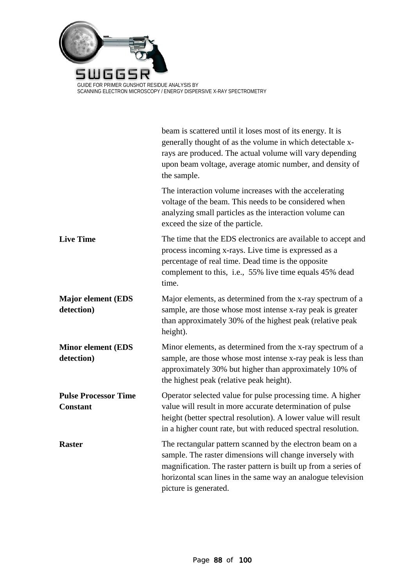

|                                                | beam is scattered until it loses most of its energy. It is<br>generally thought of as the volume in which detectable x-<br>rays are produced. The actual volume will vary depending<br>upon beam voltage, average atomic number, and density of<br>the sample.                   |
|------------------------------------------------|----------------------------------------------------------------------------------------------------------------------------------------------------------------------------------------------------------------------------------------------------------------------------------|
|                                                | The interaction volume increases with the accelerating<br>voltage of the beam. This needs to be considered when<br>analyzing small particles as the interaction volume can<br>exceed the size of the particle.                                                                   |
| <b>Live Time</b>                               | The time that the EDS electronics are available to accept and<br>process incoming x-rays. Live time is expressed as a<br>percentage of real time. Dead time is the opposite<br>complement to this, i.e., 55% live time equals 45% dead<br>time.                                  |
| <b>Major element (EDS</b><br>detection)        | Major elements, as determined from the x-ray spectrum of a<br>sample, are those whose most intense x-ray peak is greater<br>than approximately 30% of the highest peak (relative peak<br>height).                                                                                |
| <b>Minor element (EDS</b><br>detection)        | Minor elements, as determined from the x-ray spectrum of a<br>sample, are those whose most intense x-ray peak is less than<br>approximately 30% but higher than approximately 10% of<br>the highest peak (relative peak height).                                                 |
| <b>Pulse Processor Time</b><br><b>Constant</b> | Operator selected value for pulse processing time. A higher<br>value will result in more accurate determination of pulse<br>height (better spectral resolution). A lower value will result<br>in a higher count rate, but with reduced spectral resolution.                      |
| <b>Raster</b>                                  | The rectangular pattern scanned by the electron beam on a<br>sample. The raster dimensions will change inversely with<br>magnification. The raster pattern is built up from a series of<br>horizontal scan lines in the same way an analogue television<br>picture is generated. |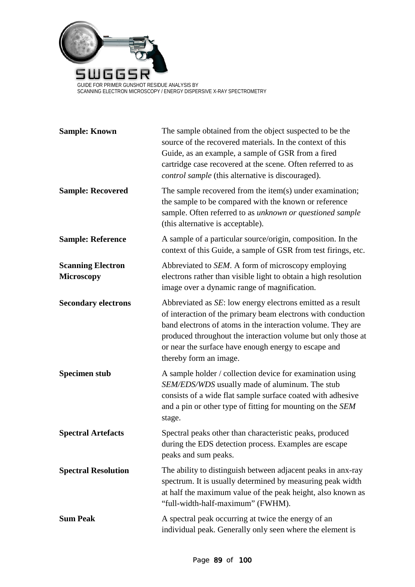

| <b>Sample: Known</b>                          | The sample obtained from the object suspected to be the<br>source of the recovered materials. In the context of this<br>Guide, as an example, a sample of GSR from a fired<br>cartridge case recovered at the scene. Often referred to as<br><i>control sample</i> (this alternative is discouraged).                                        |
|-----------------------------------------------|----------------------------------------------------------------------------------------------------------------------------------------------------------------------------------------------------------------------------------------------------------------------------------------------------------------------------------------------|
| <b>Sample: Recovered</b>                      | The sample recovered from the item(s) under examination;<br>the sample to be compared with the known or reference<br>sample. Often referred to as unknown or questioned sample<br>(this alternative is acceptable).                                                                                                                          |
| <b>Sample: Reference</b>                      | A sample of a particular source/origin, composition. In the<br>context of this Guide, a sample of GSR from test firings, etc.                                                                                                                                                                                                                |
| <b>Scanning Electron</b><br><b>Microscopy</b> | Abbreviated to <i>SEM</i> . A form of microscopy employing<br>electrons rather than visible light to obtain a high resolution<br>image over a dynamic range of magnification.                                                                                                                                                                |
| <b>Secondary electrons</b>                    | Abbreviated as SE: low energy electrons emitted as a result<br>of interaction of the primary beam electrons with conduction<br>band electrons of atoms in the interaction volume. They are<br>produced throughout the interaction volume but only those at<br>or near the surface have enough energy to escape and<br>thereby form an image. |
| <b>Specimen stub</b>                          | A sample holder / collection device for examination using<br>SEM/EDS/WDS usually made of aluminum. The stub<br>consists of a wide flat sample surface coated with adhesive<br>and a pin or other type of fitting for mounting on the SEM<br>stage.                                                                                           |
| <b>Spectral Artefacts</b>                     | Spectral peaks other than characteristic peaks, produced<br>during the EDS detection process. Examples are escape<br>peaks and sum peaks.                                                                                                                                                                                                    |
| <b>Spectral Resolution</b>                    | The ability to distinguish between adjacent peaks in anx-ray<br>spectrum. It is usually determined by measuring peak width<br>at half the maximum value of the peak height, also known as<br>"full-width-half-maximum" (FWHM).                                                                                                               |
| <b>Sum Peak</b>                               | A spectral peak occurring at twice the energy of an<br>individual peak. Generally only seen where the element is                                                                                                                                                                                                                             |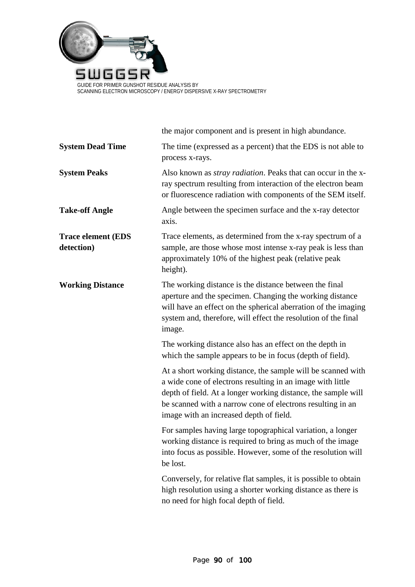

|                                          | the major component and is present in high abundance.                                                                                                                                                                                                                                                |  |
|------------------------------------------|------------------------------------------------------------------------------------------------------------------------------------------------------------------------------------------------------------------------------------------------------------------------------------------------------|--|
| <b>System Dead Time</b>                  | The time (expressed as a percent) that the EDS is not able to<br>process x-rays.                                                                                                                                                                                                                     |  |
| <b>System Peaks</b>                      | Also known as <i>stray radiation</i> . Peaks that can occur in the x-<br>ray spectrum resulting from interaction of the electron beam<br>or fluorescence radiation with components of the SEM itself.                                                                                                |  |
| <b>Take-off Angle</b>                    | Angle between the specimen surface and the x-ray detector<br>axis.                                                                                                                                                                                                                                   |  |
| <b>Trace element (EDS)</b><br>detection) | Trace elements, as determined from the x-ray spectrum of a<br>sample, are those whose most intense x-ray peak is less than<br>approximately 10% of the highest peak (relative peak<br>height).                                                                                                       |  |
| <b>Working Distance</b>                  | The working distance is the distance between the final<br>aperture and the specimen. Changing the working distance<br>will have an effect on the spherical aberration of the imaging<br>system and, therefore, will effect the resolution of the final<br>image.                                     |  |
|                                          | The working distance also has an effect on the depth in<br>which the sample appears to be in focus (depth of field).                                                                                                                                                                                 |  |
|                                          | At a short working distance, the sample will be scanned with<br>a wide cone of electrons resulting in an image with little<br>depth of field. At a longer working distance, the sample will<br>be scanned with a narrow cone of electrons resulting in an<br>image with an increased depth of field. |  |
|                                          | For samples having large topographical variation, a longer<br>working distance is required to bring as much of the image<br>into focus as possible. However, some of the resolution will<br>be lost.                                                                                                 |  |
|                                          | Conversely, for relative flat samples, it is possible to obtain<br>high resolution using a shorter working distance as there is<br>no need for high focal depth of field.                                                                                                                            |  |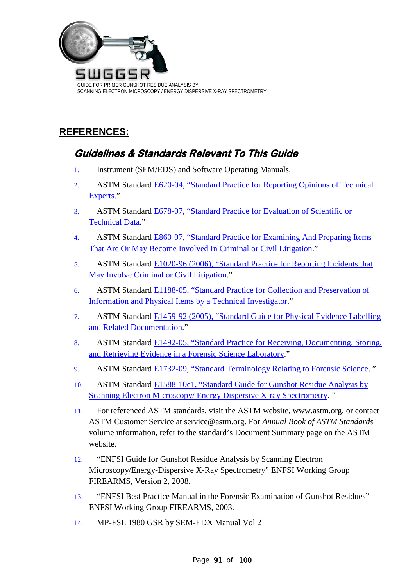

### **REFERENCES:**

# **Guidelines & Standards Relevant To This Guide**

- 1. Instrument (SEM/EDS) and Software Operating Manuals.
- 2. ASTM Standard [E620-04, "Standard Practice for Reporting Opinions of Technical](http://www.astm.org/DATABASE.CART/REDLINE_PAGES/E620.htm)  [Experts.](http://www.astm.org/DATABASE.CART/REDLINE_PAGES/E620.htm)"
- 3. ASTM Standard [E678-07, "Standard Practice for Evaluation of Scientific or](http://www.astm.org/DATABASE.CART/REDLINE_PAGES/E678.htm)  [Technical Data.](http://www.astm.org/DATABASE.CART/REDLINE_PAGES/E678.htm)"
- 4. ASTM Standard [E860-07, "Standard Practice for Examining And Preparing Items](http://www.astm.org/DATABASE.CART/REDLINE_PAGES/E860.htm)  [That Are Or May Become Involved In Criminal or Civil Litigation.](http://www.astm.org/DATABASE.CART/REDLINE_PAGES/E860.htm)"
- 5. ASTM Standard [E1020-96 \(2006\), "Standard Practice for Reporting Incidents that](http://www.astm.org/DATABASE.CART/REDLINE_PAGES/E1020.htm)  [May Involve Criminal or Civil Litigation.](http://www.astm.org/DATABASE.CART/REDLINE_PAGES/E1020.htm)"
- 6. ASTM Standard [E1188-05, "Standard Practice for Collection and Preservation of](http://www.astm.org/DATABASE.CART/REDLINE_PAGES/E1188.htm)  [Information and Physical Items by a Technical Investigator.](http://www.astm.org/DATABASE.CART/REDLINE_PAGES/E1188.htm)"
- 7. ASTM Standard [E1459-92 \(2005\), "Standard Guide for Physical Evidence Labelling](http://www.astm.org/DATABASE.CART/REDLINE_PAGES/E1459.htm)  [and Related Documentation.](http://www.astm.org/DATABASE.CART/REDLINE_PAGES/E1459.htm)"
- 8. ASTM Standard [E1492-05, "Standard Practice for Receiving, Documenting, Storing,](http://www.astm.org/DATABASE.CART/REDLINE_PAGES/E1492.htm)  [and Retrieving Evidence in a Forensic Science Laboratory.](http://www.astm.org/DATABASE.CART/REDLINE_PAGES/E1492.htm)"
- 9. ASTM Standard [E1732-09, "Standard Terminology Relating to Forensic Science](http://www.astm.org/DATABASE.CART/REDLINE_PAGES/E1732.htm)."
- 10. ASTM Standard [E1588-10e1, "Standard Guide for Gunshot Residue Analysis by](http://www.astm.org/DATABASE.CART/REDLINE_PAGES/E1588.htm)  [Scanning Electron Microscopy/ Energy Dispersive X-ray Spectrometry](http://www.astm.org/DATABASE.CART/REDLINE_PAGES/E1588.htm)."
- 11. For referenced ASTM standards, visit the ASTM website, www.astm.org, or contact ASTM Customer Service at service@astm.org. For *Annual Book of ASTM Standards*  volume information, refer to the standard's Document Summary page on the ASTM website.
- 12. "ENFSI Guide for Gunshot Residue Analysis by Scanning Electron Microscopy/Energy-Dispersive X-Ray Spectrometry" ENFSI Working Group FIREARMS, Version 2, 2008.
- 13. "ENFSI Best Practice Manual in the Forensic Examination of Gunshot Residues" ENFSI Working Group FIREARMS, 2003.
- 14. MP-FSL 1980 GSR by SEM-EDX Manual Vol 2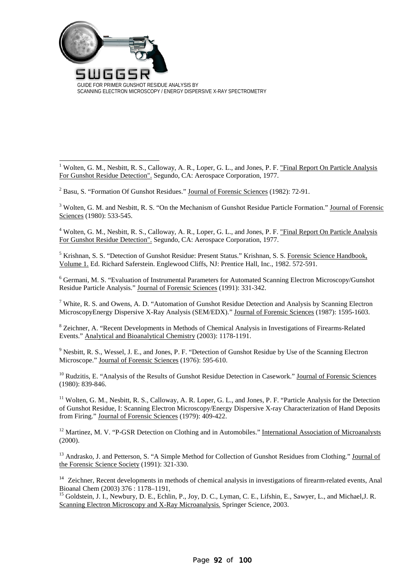

<sup>1</sup> Wolten, G. M., Nesbitt, R. S., Calloway, A. R., Loper, G. L., and Jones, P. F. "Final Report On Particle Analysis For Gunshot Residue Detection". Segundo, CA: Aerospace Corporation, 1977.

<sup>2</sup> Basu, S. "Formation Of Gunshot Residues." Journal of Forensic Sciences (1982): 72-91.

 $3$  Wolten, G. M. and Nesbitt, R. S. "On the Mechanism of Gunshot Residue Particle Formation." Journal of Forensic Sciences (1980): 533-545.

<sup>4</sup> Wolten, G. M., Nesbitt, R. S., Calloway, A. R., Loper, G. L., and Jones, P. F. "Final Report On Particle Analysis For Gunshot Residue Detection". Segundo, CA: Aerospace Corporation, 1977.

<sup>5</sup> Krishnan, S. S. "Detection of Gunshot Residue: Present Status." Krishnan, S. S. Forensic Science Handbook, Volume 1. Ed. Richard Saferstein. Englewood Cliffs, NJ: Prentice Hall, Inc., 1982. 572-591.

<sup>6</sup> Germani, M. S. "Evaluation of Instrumental Parameters for Automated Scanning Electron Microscopy/Gunshot Residue Particle Analysis." Journal of Forensic Sciences (1991): 331-342.

<sup>7</sup> White, R. S. and Owens, A. D. "Automation of Gunshot Residue Detection and Analysis by Scanning Electron MicroscopyEnergy Dispersive X-Ray Analysis (SEM/EDX)." Journal of Forensic Sciences (1987): 1595-1603.

<sup>8</sup> Zeichner, A. "Recent Developments in Methods of Chemical Analysis in Investigations of Firearms-Related Events." Analytical and Bioanalytical Chemistry (2003): 1178-1191.

<sup>9</sup> Nesbitt, R. S., Wessel, J. E., and Jones, P. F. "Detection of Gunshot Residue by Use of the Scanning Electron Microscope." Journal of Forensic Sciences (1976): 595-610.

 $10$  Rudzitis, E. "Analysis of the Results of Gunshot Residue Detection in Casework." Journal of Forensic Sciences (1980): 839-846.

 $11$  Wolten, G. M., Nesbitt, R. S., Calloway, A. R. Loper, G. L., and Jones, P. F. "Particle Analysis for the Detection of Gunshot Residue, I: Scanning Electron Microscopy/Energy Dispersive X-ray Characterization of Hand Deposits from Firing." Journal of Forensic Sciences (1979): 409-422.

<sup>12</sup> Martinez, M. V. "P-GSR Detection on Clothing and in Automobiles." International Association of Microanalysts (2000).

<sup>13</sup> Andrasko, J. and Petterson, S. "A Simple Method for Collection of Gunshot Residues from Clothing." Journal of the Forensic Science Society (1991): 321-330.

<sup>14</sup> Zeichner, Recent developments in methods of chemical analysis in investigations of firearm-related events, Anal Bioanal Chem (2003)  $376:1178-1191$ ,

<sup>15</sup> Goldstein, J. I., Newbury, D. E., Echlin, P., Joy, D. C., Lyman, C. E., Lifshin, E., Sawyer, L., and Michael, J. R. Scanning Electron Microscopy and X-Ray Microanalysis. Springer Science, 2003.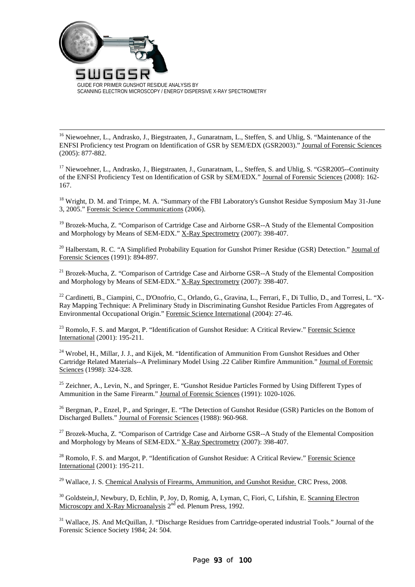

<sup>16</sup> Niewoehner, L., Andrasko, J., Biegstraaten, J., Gunaratnam, L., Steffen, S. and Uhlig, S. "Maintenance of the ENFSI Proficiency test Program on Identification of GSR by SEM/EDX (GSR2003)." Journal of Forensic Sciences (2005): 877-882.

<sup>17</sup> Niewoehner, L., Andrasko, J., Biegstraaten, J., Gunaratnam, L., Steffen, S. and Uhlig, S. "GSR2005--Continuity of the ENFSI Proficiency Test on Identification of GSR by SEM/EDX." Journal of Forensic Sciences (2008): 162- 167.

<sup>18</sup> Wright, D. M. and Trimpe, M. A. "Summary of the FBI Laboratory's Gunshot Residue Symposium May 31-June 3, 2005." Forensic Science Communications (2006).

<sup>19</sup> Brozek-Mucha, Z. "Comparison of Cartridge Case and Airborne GSR--A Study of the Elemental Composition and Morphology by Means of SEM-EDX." X-Ray Spectrometry (2007): 398-407.

<sup>20</sup> Halberstam, R. C. "A Simplified Probability Equation for Gunshot Primer Residue (GSR) Detection." Journal of Forensic Sciences (1991): 894-897.

<sup>21</sup> Brozek-Mucha, Z. "Comparison of Cartridge Case and Airborne GSR--A Study of the Elemental Composition and Morphology by Means of SEM-EDX." X-Ray Spectrometry (2007): 398-407.

<sup>22</sup> Cardinetti, B., Ciampini, C., D'Onofrio, C., Orlando, G., Gravina, L., Ferrari, F., Di Tullio, D., and Torresi, L. "X-Ray Mapping Technique: A Preliminary Study in Discriminating Gunshot Residue Particles From Aggregates of Environmental Occupational Origin." Forensic Science International (2004): 27-46.

<sup>23</sup> Romolo, F. S. and Margot, P. "Identification of Gunshot Residue: A Critical Review." Forensic Science International (2001): 195-211.

<sup>24</sup> Wrobel, H., Millar, J. J., and Kijek, M. "Identification of Ammunition From Gunshot Residues and Other Cartridge Related Materials--A Preliminary Model Using .22 Caliber Rimfire Ammunition." Journal of Forensic Sciences (1998): 324-328.

 $25$  Zeichner, A., Levin, N., and Springer, E. "Gunshot Residue Particles Formed by Using Different Types of Ammunition in the Same Firearm." Journal of Forensic Sciences (1991): 1020-1026.

<sup>26</sup> Bergman, P., Enzel, P., and Springer, E. "The Detection of Gunshot Residue (GSR) Particles on the Bottom of Discharged Bullets." Journal of Forensic Sciences (1988): 960-968.

<sup>27</sup> Brozek-Mucha, Z. "Comparison of Cartridge Case and Airborne GSR--A Study of the Elemental Composition and Morphology by Means of SEM-EDX." X-Ray Spectrometry (2007): 398-407.

<sup>28</sup> Romolo, F. S. and Margot, P. "Identification of Gunshot Residue: A Critical Review." Forensic Science International (2001): 195-211.

<sup>29</sup> Wallace, J. S. Chemical Analysis of Firearms, Ammunition, and Gunshot Residue. CRC Press, 2008.

<sup>30</sup> Goldstein, J, Newbury, D, Echlin, P, Joy, D, Romig, A, Lyman, C, Fiori, C, Lifshin, E. Scanning Electron Microscopy and X-Ray Microanalysis 2<sup>nd</sup> ed. Plenum Press, 1992.

<sup>31</sup> Wallace, JS. And McQuillan, J. "Discharge Residues from Cartridge-operated industrial Tools." Journal of the Forensic Science Society 1984; 24: 504.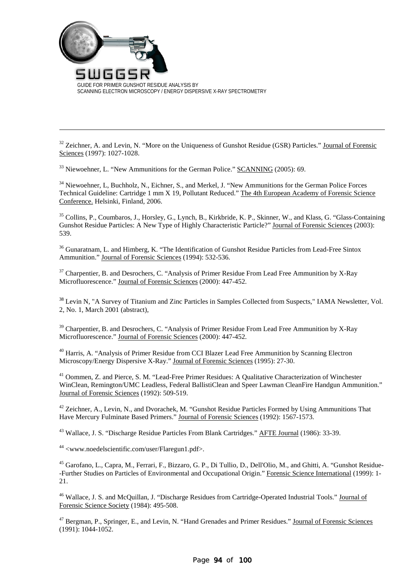

 $32$  Zeichner, A. and Levin, N. "More on the Uniqueness of Gunshot Residue (GSR) Particles." Journal of Forensic Sciences (1997): 1027-1028.

<sup>33</sup> Niewoehner, L. "New Ammunitions for the German Police." SCANNING (2005): 69.

<sup>34</sup> Niewoehner, L, Buchholz, N., Eichner, S., and Merkel, J. "New Ammunitions for the German Police Forces Technical Guideline: Cartridge 1 mm X 19, Pollutant Reduced." The 4th European Academy of Forensic Science Conference. Helsinki, Finland, 2006.

<sup>35</sup> Collins, P., Coumbaros, J., Horsley, G., Lynch, B., Kirkbride, K. P., Skinner, W., and Klass, G. "Glass-Containing Gunshot Residue Particles: A New Type of Highly Characteristic Particle?" Journal of Forensic Sciences (2003): 539.

<sup>36</sup> Gunaratnam, L. and Himberg, K. "The Identification of Gunshot Residue Particles from Lead-Free Sintox Ammunition." Journal of Forensic Sciences (1994): 532-536.

 $37$  Charpentier, B. and Desrochers, C. "Analysis of Primer Residue From Lead Free Ammunition by X-Ray Microfluorescence." Journal of Forensic Sciences (2000): 447-452.

<sup>38</sup> Levin N, "A Survey of Titanium and Zinc Particles in Samples Collected from Suspects," IAMA Newsletter, Vol. 2, No. 1, March 2001 (abstract),

<sup>39</sup> Charpentier, B. and Desrochers, C. "Analysis of Primer Residue From Lead Free Ammunition by X-Ray Microfluorescence." Journal of Forensic Sciences (2000): 447-452.

<sup>40</sup> Harris, A. "Analysis of Primer Residue from CCI Blazer Lead Free Ammunition by Scanning Electron Microscopy/Energy Dispersive X-Ray." Journal of Forensic Sciences (1995): 27-30.

<sup>41</sup> Oommen, Z. and Pierce, S. M. "Lead-Free Primer Residues: A Qualitative Characterization of Winchester WinClean, Remington/UMC Leadless, Federal BallistiClean and Speer Lawman CleanFire Handgun Ammunition." Journal of Forensic Sciences (1992): 509-519.

 $42$  Zeichner, A., Levin, N., and Dvorachek, M. "Gunshot Residue Particles Formed by Using Ammunitions That Have Mercury Fulminate Based Primers." Journal of Forensic Sciences (1992): 1567-1573.

<sup>43</sup> Wallace, J. S. "Discharge Residue Particles From Blank Cartridges." AFTE Journal (1986): 33-39.

<sup>44</sup> <www.noedelscientific.com/user/Flaregun1.pdf>.

<sup>45</sup> Garofano, L., Capra, M., Ferrari, F., Bizzaro, G. P., Di Tullio, D., Dell'Olio, M., and Ghitti, A. "Gunshot Residue- -Further Studies on Particles of Environmental and Occupational Origin." Forensic Science International (1999): 1- 21.

<sup>46</sup> Wallace, J. S. and McQuillan, J. "Discharge Residues from Cartridge-Operated Industrial Tools." Journal of Forensic Science Society (1984): 495-508.

<sup>47</sup> Bergman, P., Springer, E., and Levin, N. "Hand Grenades and Primer Residues." Journal of Forensic Sciences (1991): 1044-1052.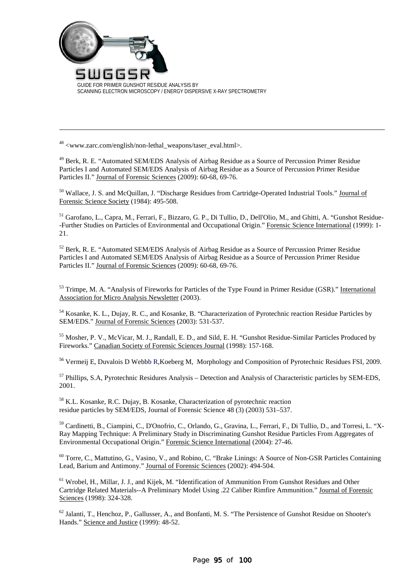

 $48$  <www.zarc.com/english/non-lethal\_weapons/taser\_eval.html>.

<sup>49</sup> Berk, R. E. "Automated SEM/EDS Analysis of Airbag Residue as a Source of Percussion Primer Residue Particles I and Automated SEM/EDS Analysis of Airbag Residue as a Source of Percussion Primer Residue Particles II." Journal of Forensic Sciences (2009): 60-68, 69-76.

<sup>50</sup> Wallace, J. S. and McQuillan, J. "Discharge Residues from Cartridge-Operated Industrial Tools." Journal of Forensic Science Society (1984): 495-508.

<sup>51</sup> Garofano, L., Capra, M., Ferrari, F., Bizzaro, G. P., Di Tullio, D., Dell'Olio, M., and Ghitti, A. "Gunshot Residue--Further Studies on Particles of Environmental and Occupational Origin." Forensic Science International (1999): 1- 21.

<sup>52</sup> Berk, R. E. "Automated SEM/EDS Analysis of Airbag Residue as a Source of Percussion Primer Residue Particles I and Automated SEM/EDS Analysis of Airbag Residue as a Source of Percussion Primer Residue Particles II." Journal of Forensic Sciences (2009): 60-68, 69-76.

<sup>53</sup> Trimpe, M. A. "Analysis of Fireworks for Particles of the Type Found in Primer Residue (GSR)." International Association for Micro Analysis Newsletter (2003).

<sup>54</sup> Kosanke, K. L., Dujay, R. C., and Kosanke, B. "Characterization of Pyrotechnic reaction Residue Particles by SEM/EDS." Journal of Forensic Sciences (2003): 531-537.

<sup>55</sup> Mosher, P. V., McVicar, M. J., Randall, E. D., and Sild, E. H. "Gunshot Residue-Similar Particles Produced by Fireworks." Canadian Society of Forensic Sciences Journal (1998): 157-168.

<sup>56</sup> Vermeij E, Duvalois D Webbb R,Koeberg M, Morphology and Composition of Pyrotechnic Residues FSI, 2009.

 $57$  Phillips, S.A, Pyrotechnic Residures Analysis – Detection and Analysis of Characteristic particles by SEM-EDS, 2001.

<sup>58</sup> K.L. Kosanke, R.C. Dujay, B. Kosanke, Characterization of pyrotechnic reaction residue particles by SEM/EDS, Journal of Forensic Science 48 (3) (2003) 531–537.

<sup>59</sup> Cardinetti, B., Ciampini, C., D'Onofrio, C., Orlando, G., Gravina, L., Ferrari, F., Di Tullio, D., and Torresi, L. "X-Ray Mapping Technique: A Preliminary Study in Discriminating Gunshot Residue Particles From Aggregates of Environmental Occupational Origin." Forensic Science International (2004): 27-46.

<sup>60</sup> Torre, C., Mattutino, G., Vasino, V., and Robino, C. "Brake Linings: A Source of Non-GSR Particles Containing Lead, Barium and Antimony." Journal of Forensic Sciences (2002): 494-504.

<sup>61</sup> Wrobel, H., Millar, J. J., and Kijek, M. "Identification of Ammunition From Gunshot Residues and Other Cartridge Related Materials--A Preliminary Model Using .22 Caliber Rimfire Ammunition." Journal of Forensic Sciences (1998): 324-328.

 $62$  Jalanti, T., Henchoz, P., Gallusser, A., and Bonfanti, M. S. "The Persistence of Gunshot Residue on Shooter's Hands." Science and Justice (1999): 48-52.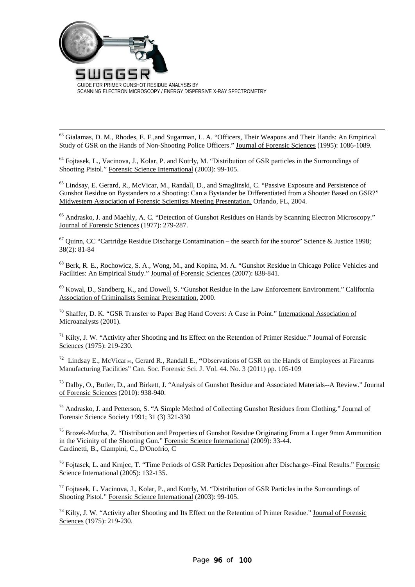

<sup>63</sup> Gialamas, D. M., Rhodes, E. F.,and Sugarman, L. A. "Officers, Their Weapons and Their Hands: An Empirical Study of GSR on the Hands of Non-Shooting Police Officers." Journal of Forensic Sciences (1995): 1086-1089.

<sup>64</sup> Fojtasek, L., Vacinova, J., Kolar, P. and Kotrly, M. "Distribution of GSR particles in the Surroundings of Shooting Pistol." Forensic Science International (2003): 99-105.

<sup>65</sup> Lindsay, E. Gerard, R., McVicar, M., Randall, D., and Smaglinski, C. "Passive Exposure and Persistence of Gunshot Residue on Bystanders to a Shooting: Can a Bystander be Differentiated from a Shooter Based on GSR?" Midwestern Association of Forensic Scientists Meeting Presentation. Orlando, FL, 2004.

<sup>66</sup> Andrasko, J. and Maehly, A. C. "Detection of Gunshot Residues on Hands by Scanning Electron Microscopy." Journal of Forensic Sciences (1977): 279-287.

 $67$  Ouinn, CC "Cartridge Residue Discharge Contamination – the search for the source" Science & Justice 1998; 38(2): 81-84

<sup>68</sup> Berk, R. E., Rochowicz, S. A., Wong, M., and Kopina, M. A. "Gunshot Residue in Chicago Police Vehicles and Facilities: An Empirical Study." Journal of Forensic Sciences (2007): 838-841.

<sup>69</sup> Kowal, D., Sandberg, K., and Dowell, S. "Gunshot Residue in the Law Enforcement Environment." California Association of Criminalists Seminar Presentation. 2000.

 $70$  Shaffer, D. K. "GSR Transfer to Paper Bag Hand Covers: A Case in Point." International Association of Microanalysts (2001).

 $71$  Kilty, J. W. "Activity after Shooting and Its Effect on the Retention of Primer Residue." Journal of Forensic Sciences (1975): 219-230.

<sup>72</sup> Lindsay E., McVicar M., Gerard R., Randall E., "Observations of GSR on the Hands of Employees at Firearms Manufacturing Facilities" Can. Soc. Forensic Sci. J. Vol. 44. No. 3 (2011) pp. 105-109

<sup>73</sup> Dalby, O., Butler, D., and Birkett, J. "Analysis of Gunshot Residue and Associated Materials--A Review." Journal of Forensic Sciences (2010): 938-940.

<sup>74</sup> Andrasko, J. and Petterson, S. "A Simple Method of Collecting Gunshot Residues from Clothing." Journal of Forensic Science Society 1991; 31 (3) 321-330

<sup>75</sup> Brozek-Mucha, Z. "Distribution and Properties of Gunshot Residue Originating From a Luger 9mm Ammunition in the Vicinity of the Shooting Gun." Forensic Science International (2009): 33-44. Cardinetti, B., Ciampini, C., D'Onofrio, C

<sup>76</sup> Fojtasek, L. and Krnjec, T. "Time Periods of GSR Particles Deposition after Discharge--Final Results." Forensic Science International (2005): 132-135.

 $77$  Fojtasek, L. Vacinova, J., Kolar, P., and Kotrly, M. "Distribution of GSR Particles in the Surroundings of Shooting Pistol." Forensic Science International (2003): 99-105.

 $^{78}$  Kilty, J. W. "Activity after Shooting and Its Effect on the Retention of Primer Residue." Journal of Forensic Sciences (1975): 219-230.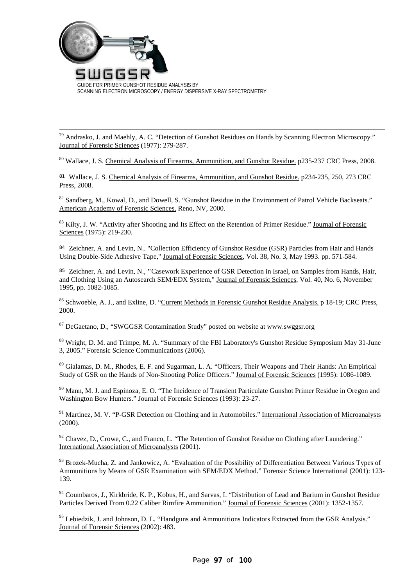

<sup>79</sup> Andrasko, J. and Maehly, A. C. "Detection of Gunshot Residues on Hands by Scanning Electron Microscopy." Journal of Forensic Sciences (1977): 279-287.

<sup>80</sup> Wallace, J. S. Chemical Analysis of Firearms, Ammunition, and Gunshot Residue. p235-237 CRC Press, 2008.

<sup>81</sup> Wallace, J. S. Chemical Analysis of Firearms, Ammunition, and Gunshot Residue. p234-235, 250, 273 CRC Press, 2008.

<sup>82</sup> Sandberg, M., Kowal, D., and Dowell, S. "Gunshot Residue in the Environment of Patrol Vehicle Backseats." American Academy of Forensic Sciences. Reno, NV, 2000.

<sup>83</sup> Kilty, J. W. "Activity after Shooting and Its Effect on the Retention of Primer Residue." Journal of Forensic Sciences (1975): 219-230.

<sup>84</sup> Zeichner, A. and Levin, N.. "Collection Efficiency of Gunshot Residue (GSR) Particles from Hair and Hands Using Double-Side Adhesive Tape," Journal of Forensic Sciences*,* Vol. 38, No. 3, May 1993. pp. 571-584.

<sup>85</sup> Zeichner, A. and Levin, N., **"**Casework Experience of GSR Detection in Israel, on Samples from Hands, Hair, and Clothing Using an Autosearch SEM/EDX System," Journal of Forensic Sciences*,* Vol. 40, No. 6, November 1995, pp. 1082-1085.

<sup>86</sup> Schwoeble, A. J., and Exline, D. "Current Methods in Forensic Gunshot Residue Analysis. p 18-19; CRC Press, 2000.

<sup>87</sup> DeGaetano, D., "SWGGSR Contamination Study" posted on website at www.swggsr.org

<sup>88</sup> Wright, D. M. and Trimpe, M. A. "Summary of the FBI Laboratory's Gunshot Residue Symposium May 31-June 3, 2005." Forensic Science Communications (2006).

<sup>89</sup> Gialamas, D. M., Rhodes, E. F. and Sugarman, L. A. "Officers, Their Weapons and Their Hands: An Empirical Study of GSR on the Hands of Non-Shooting Police Officers." Journal of Forensic Sciences (1995): 1086-1089.

<sup>90</sup> Mann, M. J. and Espinoza, E. O. "The Incidence of Transient Particulate Gunshot Primer Residue in Oregon and Washington Bow Hunters." Journal of Forensic Sciences (1993): 23-27.

<sup>91</sup> Martinez, M. V. "P-GSR Detection on Clothing and in Automobiles." International Association of Microanalysts (2000).

 $92$  Chavez, D., Crowe, C., and Franco, L. "The Retention of Gunshot Residue on Clothing after Laundering." International Association of Microanalysts (2001).

93 Brozek-Mucha, Z. and Jankowicz, A. "Evaluation of the Possibility of Differentiation Between Various Types of Ammunitions by Means of GSR Examination with SEM/EDX Method." Forensic Science International (2001): 123- 139.

<sup>94</sup> Coumbaros, J., Kirkbride, K. P., Kobus, H., and Sarvas, I. "Distribution of Lead and Barium in Gunshot Residue Particles Derived From 0.22 Caliber Rimfire Ammunition." Journal of Forensic Sciences (2001): 1352-1357.

<sup>95</sup> Lebiedzik, J. and Johnson, D. L. "Handguns and Ammunitions Indicators Extracted from the GSR Analysis." Journal of Forensic Sciences (2002): 483.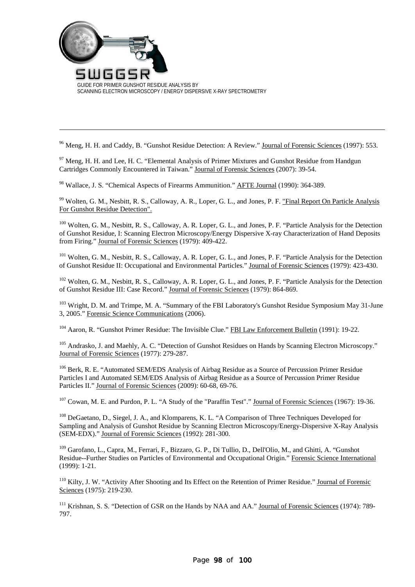

 $96$  Meng, H. H. and Caddy, B. "Gunshot Residue Detection: A Review." Journal of Forensic Sciences (1997): 553.

<sup>97</sup> Meng, H. H. and Lee, H. C. "Elemental Analysis of Primer Mixtures and Gunshot Residue from Handgun Cartridges Commonly Encountered in Taiwan." Journal of Forensic Sciences (2007): 39-54.

<sup>98</sup> Wallace, J. S. "Chemical Aspects of Firearms Ammunition." AFTE Journal (1990): 364-389.

<sup>99</sup> Wolten, G. M., Nesbitt, R. S., Calloway, A. R., Loper, G. L., and Jones, P. F. "Final Report On Particle Analysis For Gunshot Residue Detection".

<sup>100</sup> Wolten, G. M., Nesbitt, R. S., Calloway, A. R. Loper, G. L., and Jones, P. F. "Particle Analysis for the Detection of Gunshot Residue, I: Scanning Electron Microscopy/Energy Dispersive X-ray Characterization of Hand Deposits from Firing." Journal of Forensic Sciences (1979): 409-422.

<sup>101</sup> Wolten, G. M., Nesbitt, R. S., Calloway, A. R. Loper, G. L., and Jones, P. F. "Particle Analysis for the Detection of Gunshot Residue II: Occupational and Environmental Particles." Journal of Forensic Sciences (1979): 423-430.

<sup>102</sup> Wolten, G. M., Nesbitt, R. S., Calloway, A. R. Loper, G. L., and Jones, P. F. "Particle Analysis for the Detection of Gunshot Residue III: Case Record." Journal of Forensic Sciences (1979): 864-869.

<sup>103</sup> Wright, D. M. and Trimpe, M. A. "Summary of the FBI Laboratory's Gunshot Residue Symposium May 31-June 3, 2005." Forensic Science Communications (2006).

<sup>104</sup> Aaron, R. "Gunshot Primer Residue: The Invisible Clue." FBI Law Enforcement Bulletin (1991): 19-22.

<sup>105</sup> Andrasko, J. and Maehly, A. C. "Detection of Gunshot Residues on Hands by Scanning Electron Microscopy." Journal of Forensic Sciences (1977): 279-287.

<sup>106</sup> Berk, R. E. "Automated SEM/EDS Analysis of Airbag Residue as a Source of Percussion Primer Residue Particles I and Automated SEM/EDS Analysis of Airbag Residue as a Source of Percussion Primer Residue Particles II." Journal of Forensic Sciences (2009): 60-68, 69-76.

<sup>107</sup> Cowan, M. E. and Purdon, P. L. "A Study of the "Paraffin Test"." Journal of Forensic Sciences (1967): 19-36.

<sup>108</sup> DeGaetano, D., Siegel, J. A., and Klomparens, K. L. "A Comparison of Three Techniques Developed for Sampling and Analysis of Gunshot Residue by Scanning Electron Microscopy/Energy-Dispersive X-Ray Analysis (SEM-EDX)." Journal of Forensic Sciences (1992): 281-300.

<sup>109</sup> Garofano, L., Capra, M., Ferrari, F., Bizzaro, G. P., Di Tullio, D., Dell'Olio, M., and Ghitti, A. "Gunshot Residue--Further Studies on Particles of Environmental and Occupational Origin." Forensic Science International (1999): 1-21.

<sup>110</sup> Kilty, J. W. "Activity After Shooting and Its Effect on the Retention of Primer Residue." Journal of Forensic Sciences (1975): 219-230.

<sup>111</sup> Krishnan, S. S. "Detection of GSR on the Hands by NAA and AA." Journal of Forensic Sciences (1974): 789-797.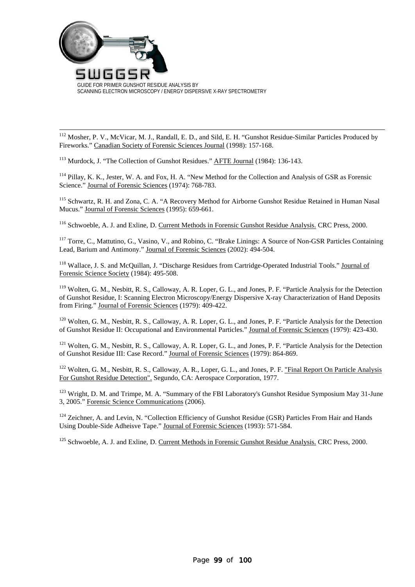

<sup>112</sup> Mosher, P. V., McVicar, M. J., Randall, E. D., and Sild, E. H. "Gunshot Residue-Similar Particles Produced by Fireworks." Canadian Society of Forensic Sciences Journal (1998): 157-168.

<sup>113</sup> Murdock, J. "The Collection of Gunshot Residues." AFTE Journal (1984): 136-143.

<sup>114</sup> Pillay, K. K., Jester, W. A. and Fox, H. A. "New Method for the Collection and Analysis of GSR as Forensic Science." Journal of Forensic Sciences (1974): 768-783.

<sup>115</sup> Schwartz, R. H. and Zona, C. A. "A Recovery Method for Airborne Gunshot Residue Retained in Human Nasal Mucus." Journal of Forensic Sciences (1995): 659-661.

<sup>116</sup> Schwoeble, A. J. and Exline, D. Current Methods in Forensic Gunshot Residue Analysis. CRC Press, 2000.

<sup>117</sup> Torre, C., Mattutino, G., Vasino, V., and Robino, C. "Brake Linings: A Source of Non-GSR Particles Containing Lead, Barium and Antimony." Journal of Forensic Sciences (2002): 494-504.

<sup>118</sup> Wallace, J. S. and McQuillan, J. "Discharge Residues from Cartridge-Operated Industrial Tools." Journal of Forensic Science Society (1984): 495-508.

<sup>119</sup> Wolten, G. M., Nesbitt, R. S., Calloway, A. R. Loper, G. L., and Jones, P. F. "Particle Analysis for the Detection of Gunshot Residue, I: Scanning Electron Microscopy/Energy Dispersive X-ray Characterization of Hand Deposits from Firing." Journal of Forensic Sciences (1979): 409-422.

<sup>120</sup> Wolten, G. M., Nesbitt, R. S., Calloway, A. R. Loper, G. L., and Jones, P. F. "Particle Analysis for the Detection of Gunshot Residue II: Occupational and Environmental Particles." Journal of Forensic Sciences (1979): 423-430.

<sup>121</sup> Wolten, G. M., Nesbitt, R. S., Calloway, A. R. Loper, G. L., and Jones, P. F. "Particle Analysis for the Detection of Gunshot Residue III: Case Record." Journal of Forensic Sciences (1979): 864-869.

<sup>122</sup> Wolten, G. M., Nesbitt, R. S., Calloway, A. R., Loper, G. L., and Jones, P. F. "Final Report On Particle Analysis For Gunshot Residue Detection". Segundo, CA: Aerospace Corporation, 1977.

<sup>123</sup> Wright, D. M. and Trimpe, M. A. "Summary of the FBI Laboratory's Gunshot Residue Symposium May 31-June 3, 2005." Forensic Science Communications (2006).

<sup>124</sup> Zeichner, A. and Levin, N. "Collection Efficiency of Gunshot Residue (GSR) Particles From Hair and Hands Using Double-Side Adheisve Tape." Journal of Forensic Sciences (1993): 571-584.

<sup>125</sup> Schwoeble, A. J. and Exline, D. Current Methods in Forensic Gunshot Residue Analysis. CRC Press, 2000.